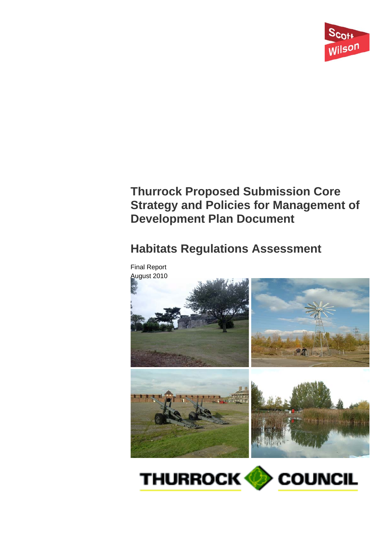

# **Thurrock Proposed Submission Core Strategy and Policies for Management of Development Plan Document**

# **Habitats Regulations Assessment**



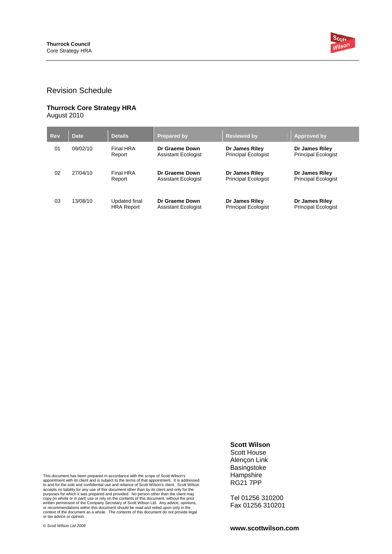

### Revision Schedule

#### **Thurrock Core Strategy HRA**  August 2010

| <b>Rev</b> | <b>Date</b> | <b>Details</b>                     | <b>Prepared by</b>                           | <b>Reviewed by</b>                           | Approved by                                  |
|------------|-------------|------------------------------------|----------------------------------------------|----------------------------------------------|----------------------------------------------|
| 01         | 09/02/10    | Final HRA<br>Report                | Dr Graeme Down<br><b>Assistant Ecologist</b> | Dr James Riley<br><b>Principal Ecologist</b> | Dr James Riley<br><b>Principal Ecologist</b> |
| 02         | 27/04/10    | Final HRA<br>Report                | Dr Graeme Down<br><b>Assistant Ecologist</b> | Dr James Riley<br><b>Principal Ecologist</b> | Dr James Riley<br><b>Principal Ecologist</b> |
| 03         | 13/08/10    | Updated final<br><b>HRA Report</b> | Dr Graeme Down<br>Assistant Ecologist        | Dr James Riley<br><b>Principal Ecologist</b> | Dr James Riley<br><b>Principal Ecologist</b> |

This document has been prepared in accordance with the scope of Scott Wilson's<br>appointment with its client and is subject to the terms of that appointment. It is addressed<br>to and for the sole and confidential use and relia written permission of the Company Secretary of Scott Wilson Ltd. Any advice, opinions,<br>or recommendations within this document should be read and relied upon only in the<br>context of the document as a whole. The contents of

© *Scott Wilson Ltd 2009* 

**Basingstoke Hampshire** RG21 7PP

**Scott Wilson**  Scott House Alençon Link

Tel 01256 310200 Fax 01256 310201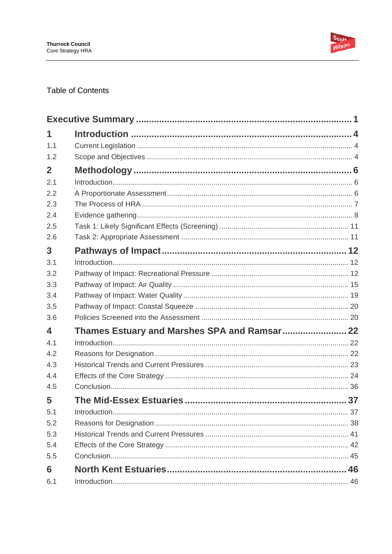

## **Table of Contents**

| 1                       |                                              |  |
|-------------------------|----------------------------------------------|--|
| 1.1                     |                                              |  |
| 1.2                     |                                              |  |
| $\mathbf{2}$            |                                              |  |
| 2.1                     |                                              |  |
| 2.2                     |                                              |  |
| 2.3                     |                                              |  |
| 2.4                     |                                              |  |
| 2.5                     |                                              |  |
| 2.6                     |                                              |  |
| 3                       |                                              |  |
| 3.1                     |                                              |  |
| 3.2                     |                                              |  |
| 3.3                     |                                              |  |
| 3.4                     |                                              |  |
| 3.5                     |                                              |  |
| 3.6                     |                                              |  |
| $\overline{\mathbf{4}}$ | Thames Estuary and Marshes SPA and Ramsar 22 |  |
| 4.1                     |                                              |  |
| 4.2                     |                                              |  |
| 4.3                     |                                              |  |
| 4.4                     |                                              |  |
| 4.5                     |                                              |  |
| 5                       |                                              |  |
| 5.1                     |                                              |  |
| 5.2                     |                                              |  |
| 5.3                     |                                              |  |
| 5.4                     |                                              |  |
| 5.5                     |                                              |  |
| 6                       |                                              |  |
| 6.1                     |                                              |  |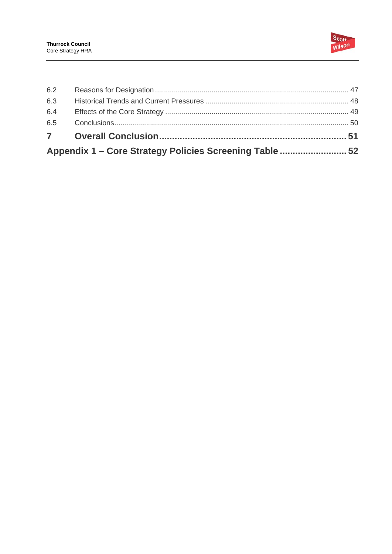

| Appendix 1 - Core Strategy Policies Screening Table  52 |  |  |
|---------------------------------------------------------|--|--|
|                                                         |  |  |
| 6.5                                                     |  |  |
| 6.4                                                     |  |  |
| 6.3                                                     |  |  |
| 6.2                                                     |  |  |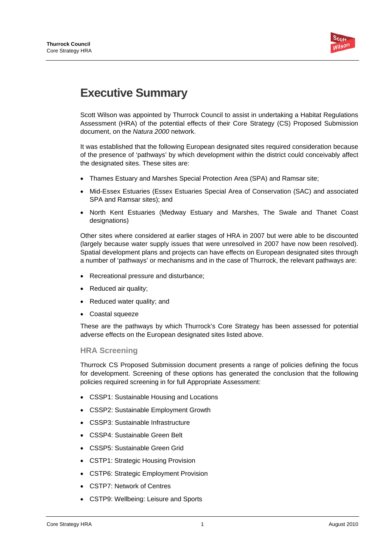

# **Executive Summary**

Scott Wilson was appointed by Thurrock Council to assist in undertaking a Habitat Regulations Assessment (HRA) of the potential effects of their Core Strategy (CS) Proposed Submission document, on the *Natura 2000* network.

It was established that the following European designated sites required consideration because of the presence of 'pathways' by which development within the district could conceivably affect the designated sites. These sites are:

- Thames Estuary and Marshes Special Protection Area (SPA) and Ramsar site;
- Mid-Essex Estuaries (Essex Estuaries Special Area of Conservation (SAC) and associated SPA and Ramsar sites); and
- North Kent Estuaries (Medway Estuary and Marshes, The Swale and Thanet Coast designations)

Other sites where considered at earlier stages of HRA in 2007 but were able to be discounted (largely because water supply issues that were unresolved in 2007 have now been resolved). Spatial development plans and projects can have effects on European designated sites through a number of 'pathways' or mechanisms and in the case of Thurrock, the relevant pathways are:

- Recreational pressure and disturbance;
- Reduced air quality;
- Reduced water quality; and
- Coastal squeeze

These are the pathways by which Thurrock's Core Strategy has been assessed for potential adverse effects on the European designated sites listed above.

### **HRA Screening**

Thurrock CS Proposed Submission document presents a range of policies defining the focus for development. Screening of these options has generated the conclusion that the following policies required screening in for full Appropriate Assessment:

- CSSP1: Sustainable Housing and Locations
- CSSP2: Sustainable Employment Growth
- CSSP3: Sustainable Infrastructure
- CSSP4: Sustainable Green Belt
- CSSP5: Sustainable Green Grid
- CSTP1: Strategic Housing Provision
- CSTP6: Strategic Employment Provision
- CSTP7: Network of Centres
- CSTP9: Wellbeing: Leisure and Sports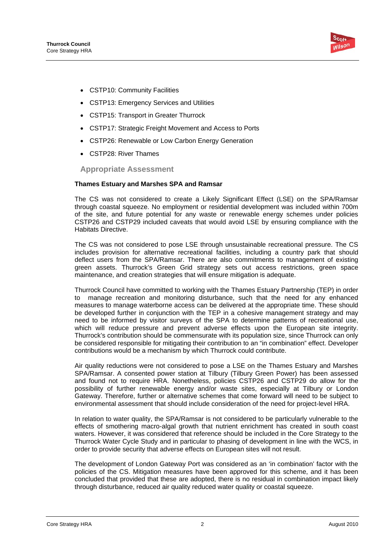

- CSTP10: Community Facilities
- CSTP13: Emergency Services and Utilities
- CSTP15: Transport in Greater Thurrock
- CSTP17: Strategic Freight Movement and Access to Ports
- CSTP26: Renewable or Low Carbon Energy Generation
- CSTP28: River Thames

**Appropriate Assessment** 

### **Thames Estuary and Marshes SPA and Ramsar**

The CS was not considered to create a Likely Significant Effect (LSE) on the SPA/Ramsar through coastal squeeze. No employment or residential development was included within 700m of the site, and future potential for any waste or renewable energy schemes under policies CSTP26 and CSTP29 included caveats that would avoid LSE by ensuring compliance with the Habitats Directive.

The CS was not considered to pose LSE through unsustainable recreational pressure. The CS includes provision for alternative recreational facilities, including a country park that should deflect users from the SPA/Ramsar. There are also commitments to management of existing green assets. Thurrock's Green Grid strategy sets out access restrictions, green space maintenance, and creation strategies that will ensure mitigation is adequate.

Thurrock Council have committed to working with the Thames Estuary Partnership (TEP) in order to manage recreation and monitoring disturbance, such that the need for any enhanced measures to manage waterborne access can be delivered at the appropriate time. These should be developed further in conjunction with the TEP in a cohesive management strategy and may need to be informed by visitor surveys of the SPA to determine patterns of recreational use, which will reduce pressure and prevent adverse effects upon the European site integrity. Thurrock's contribution should be commensurate with its population size, since Thurrock can only be considered responsible for mitigating their contribution to an "in combination" effect. Developer contributions would be a mechanism by which Thurrock could contribute.

Air quality reductions were not considered to pose a LSE on the Thames Estuary and Marshes SPA/Ramsar. A consented power station at Tilbury (Tilbury Green Power) has been assessed and found not to require HRA. Nonetheless, policies CSTP26 and CSTP29 do allow for the possibility of further renewable energy and/or waste sites, especially at Tilbury or London Gateway. Therefore, further or alternative schemes that come forward will need to be subject to environmental assessment that should include consideration of the need for project-level HRA.

In relation to water quality, the SPA/Ramsar is not considered to be particularly vulnerable to the effects of smothering macro-algal growth that nutrient enrichment has created in south coast waters. However, it was considered that reference should be included in the Core Strategy to the Thurrock Water Cycle Study and in particular to phasing of development in line with the WCS, in order to provide security that adverse effects on European sites will not result.

The development of London Gateway Port was considered as an 'in combination' factor with the policies of the CS. Mitigation measures have been approved for this scheme, and it has been concluded that provided that these are adopted, there is no residual in combination impact likely through disturbance, reduced air quality reduced water quality or coastal squeeze.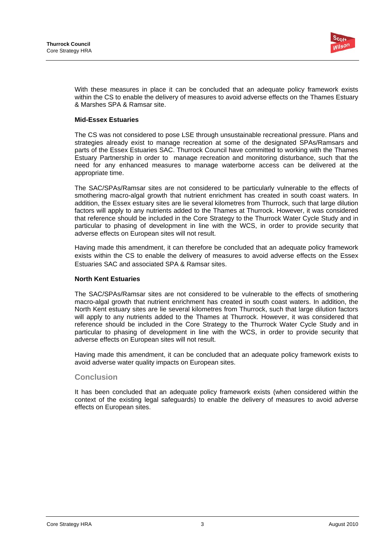

With these measures in place it can be concluded that an adequate policy framework exists within the CS to enable the delivery of measures to avoid adverse effects on the Thames Estuary & Marshes SPA & Ramsar site.

### **Mid-Essex Estuaries**

The CS was not considered to pose LSE through unsustainable recreational pressure. Plans and strategies already exist to manage recreation at some of the designated SPAs/Ramsars and parts of the Essex Estuaries SAC. Thurrock Council have committed to working with the Thames Estuary Partnership in order to manage recreation and monitoring disturbance, such that the need for any enhanced measures to manage waterborne access can be delivered at the appropriate time.

The SAC/SPAs/Ramsar sites are not considered to be particularly vulnerable to the effects of smothering macro-algal growth that nutrient enrichment has created in south coast waters. In addition, the Essex estuary sites are lie several kilometres from Thurrock, such that large dilution factors will apply to any nutrients added to the Thames at Thurrock. However, it was considered that reference should be included in the Core Strategy to the Thurrock Water Cycle Study and in particular to phasing of development in line with the WCS, in order to provide security that adverse effects on European sites will not result.

Having made this amendment, it can therefore be concluded that an adequate policy framework exists within the CS to enable the delivery of measures to avoid adverse effects on the Essex Estuaries SAC and associated SPA & Ramsar sites.

### **North Kent Estuaries**

The SAC/SPAs/Ramsar sites are not considered to be vulnerable to the effects of smothering macro-algal growth that nutrient enrichment has created in south coast waters. In addition, the North Kent estuary sites are lie several kilometres from Thurrock, such that large dilution factors will apply to any nutrients added to the Thames at Thurrock. However, it was considered that reference should be included in the Core Strategy to the Thurrock Water Cycle Study and in particular to phasing of development in line with the WCS, in order to provide security that adverse effects on European sites will not result.

Having made this amendment, it can be concluded that an adequate policy framework exists to avoid adverse water quality impacts on European sites.

### **Conclusion**

It has been concluded that an adequate policy framework exists (when considered within the context of the existing legal safeguards) to enable the delivery of measures to avoid adverse effects on European sites.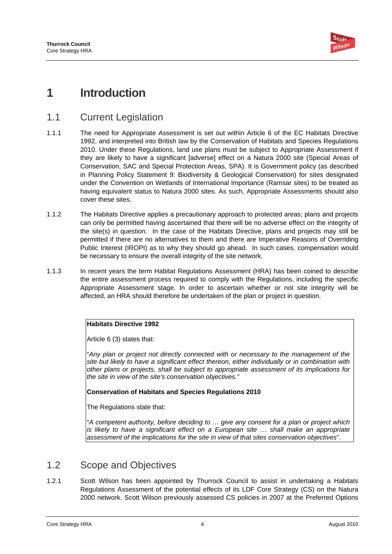

# **1 Introduction**

# 1.1 Current Legislation

- 1.1.1 The need for Appropriate Assessment is set out within Article 6 of the EC Habitats Directive 1992, and interpreted into British law by the Conservation of Habitats and Species Regulations 2010. Under these Regulations, land use plans must be subject to Appropriate Assessment if they are likely to have a significant [adverse] effect on a Natura 2000 site (Special Areas of Conservation, SAC and Special Protection Areas, SPA). It is Government policy (as described in Planning Policy Statement 9: Biodiversity & Geological Conservation) for sites designated under the Convention on Wetlands of International Importance (Ramsar sites) to be treated as having equivalent status to Natura 2000 sites. As such, Appropriate Assessments should also cover these sites.
- 1.1.2 The Habitats Directive applies a precautionary approach to protected areas; plans and projects can only be permitted having ascertained that there will be no adverse effect on the integrity of the site(s) in question. In the case of the Habitats Directive, plans and projects may still be permitted if there are no alternatives to them and there are Imperative Reasons of Overriding Public Interest (IROPI) as to why they should go ahead. In such cases, compensation would be necessary to ensure the overall integrity of the site network.
- 1.1.3 In recent years the term Habitat Regulations Assessment (HRA) has been coined to describe the entire assessment process required to comply with the Regulations, including the specific Appropriate Assessment stage. In order to ascertain whether or not site integrity will be affected, an HRA should therefore be undertaken of the plan or project in question.

### **Habitats Directive 1992**

Article 6 (3) states that:

"*Any plan or project not directly connected with or necessary to the management of the site but likely to have a significant effect thereon, either individually or in combination with other plans or projects, shall be subject to appropriate assessment of its implications for the site in view of the site's conservation objectives."*

### **Conservation of Habitats and Species Regulations 2010**

The Regulations state that:

 $\frac{1}{\sqrt{2}}$ "*A competent authority, before deciding to … give any consent for a plan or project which is likely to have a significant effect on a European site ... shall make an appropriate assessment of the implications for the site in view of that sites conservation objectives*".

# 1.2 Scope and Objectives

1.2.1 Scott Wilson has been appointed by Thurrock Council to assist in undertaking a Habitats Regulations Assessment of the potential effects of its LDF Core Strategy (CS) on the Natura 2000 network. Scott Wilson previously assessed CS policies in 2007 at the Preferred Options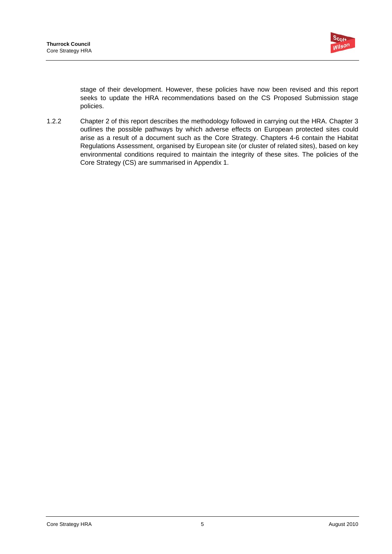

stage of their development. However, these policies have now been revised and this report seeks to update the HRA recommendations based on the CS Proposed Submission stage policies.

1.2.2 Chapter 2 of this report describes the methodology followed in carrying out the HRA. Chapter 3 outlines the possible pathways by which adverse effects on European protected sites could arise as a result of a document such as the Core Strategy. Chapters 4-6 contain the Habitat Regulations Assessment, organised by European site (or cluster of related sites), based on key environmental conditions required to maintain the integrity of these sites. The policies of the Core Strategy (CS) are summarised in Appendix 1.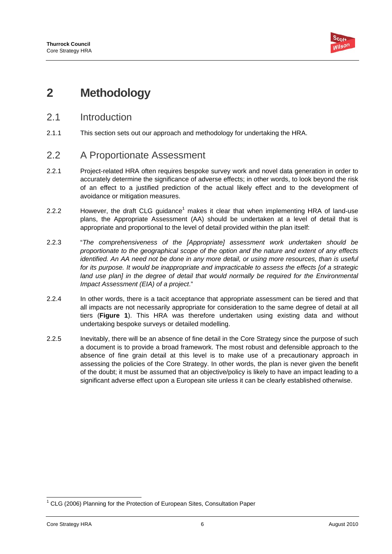

# **2 Methodology**

- 2.1 Introduction
- 2.1.1 This section sets out our approach and methodology for undertaking the HRA.

# 2.2 A Proportionate Assessment

- 2.2.1 Project-related HRA often requires bespoke survey work and novel data generation in order to accurately determine the significance of adverse effects; in other words, to look beyond the risk of an effect to a justified prediction of the actual likely effect and to the development of avoidance or mitigation measures.
- 2.2.2 However, the draft CLG guidance<sup>1</sup> makes it clear that when implementing HRA of land-use plans, the Appropriate Assessment (AA) should be undertaken at a level of detail that is appropriate and proportional to the level of detail provided within the plan itself:
- 2.2.3 "*The comprehensiveness of the [Appropriate] assessment work undertaken should be proportionate to the geographical scope of the option and the nature and extent of any effects identified. An AA need not be done in any more detail, or using more resources, than is useful for its purpose. It would be inappropriate and impracticable to assess the effects [of a strategic*  land use plan] in the degree of detail that would normally be required for the Environmental *Impact Assessment (EIA) of a project*."
- 2.2.4 In other words, there is a tacit acceptance that appropriate assessment can be tiered and that all impacts are not necessarily appropriate for consideration to the same degree of detail at all tiers (**Figure 1**). This HRA was therefore undertaken using existing data and without undertaking bespoke surveys or detailed modelling.
- 2.2.5 Inevitably, there will be an absence of fine detail in the Core Strategy since the purpose of such a document is to provide a broad framework. The most robust and defensible approach to the absence of fine grain detail at this level is to make use of a precautionary approach in assessing the policies of the Core Strategy. In other words, the plan is never given the benefit of the doubt; it must be assumed that an objective/policy is likely to have an impact leading to a significant adverse effect upon a European site unless it can be clearly established otherwise.

 <sup>1</sup> CLG (2006) Planning for the Protection of European Sites, Consultation Paper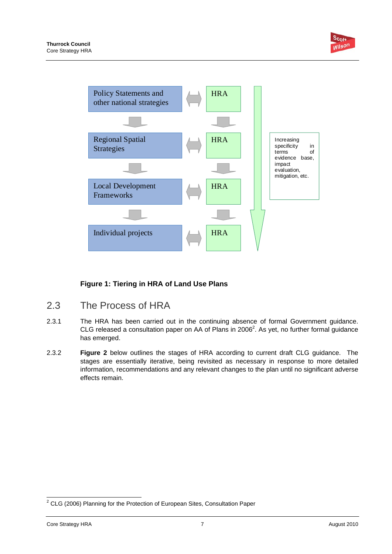

### **Figure 1: Tiering in HRA of Land Use Plans**

- 2.3 The Process of HRA
- 2.3.1 The HRA has been carried out in the continuing absence of formal Government guidance. CLG released a consultation paper on AA of Plans in 2006<sup>2</sup>. As yet, no further formal guidance has emerged.
- 2.3.2 **Figure 2** below outlines the stages of HRA according to current draft CLG guidance. The stages are essentially iterative, being revisited as necessary in response to more detailed information, recommendations and any relevant changes to the plan until no significant adverse effects remain.

 2 CLG (2006) Planning for the Protection of European Sites, Consultation Paper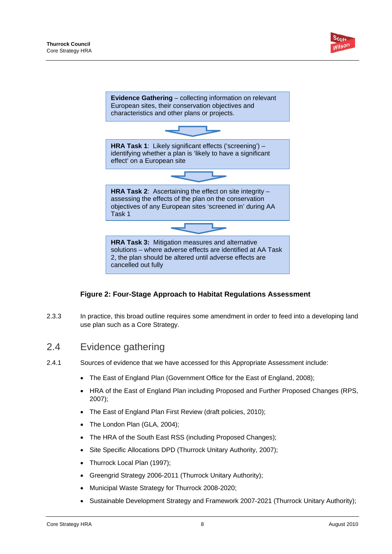



### **Figure 2: Four-Stage Approach to Habitat Regulations Assessment**

2.3.3 In practice, this broad outline requires some amendment in order to feed into a developing land use plan such as a Core Strategy.

# 2.4 Evidence gathering

- 2.4.1 Sources of evidence that we have accessed for this Appropriate Assessment include:
	- The East of England Plan (Government Office for the East of England, 2008);
	- HRA of the East of England Plan including Proposed and Further Proposed Changes (RPS, 2007);
	- The East of England Plan First Review (draft policies, 2010);
	- The London Plan (GLA, 2004);
	- The HRA of the South East RSS (including Proposed Changes);
	- Site Specific Allocations DPD (Thurrock Unitary Authority, 2007);
	- Thurrock Local Plan (1997);
	- Greengrid Strategy 2006-2011 (Thurrock Unitary Authority);
	- Municipal Waste Strategy for Thurrock 2008-2020;
	- Sustainable Development Strategy and Framework 2007-2021 (Thurrock Unitary Authority);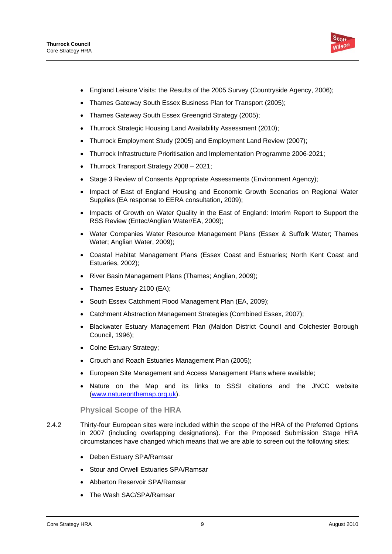

- England Leisure Visits: the Results of the 2005 Survey (Countryside Agency, 2006);
- Thames Gateway South Essex Business Plan for Transport (2005);
- Thames Gateway South Essex Greengrid Strategy (2005);
- Thurrock Strategic Housing Land Availability Assessment (2010);
- Thurrock Employment Study (2005) and Employment Land Review (2007);
- Thurrock Infrastructure Prioritisation and Implementation Programme 2006-2021;
- Thurrock Transport Strategy 2008 2021;
- Stage 3 Review of Consents Appropriate Assessments (Environment Agency);
- Impact of East of England Housing and Economic Growth Scenarios on Regional Water Supplies (EA response to EERA consultation, 2009);
- Impacts of Growth on Water Quality in the East of England: Interim Report to Support the RSS Review (Entec/Anglian Water/EA, 2009);
- Water Companies Water Resource Management Plans (Essex & Suffolk Water; Thames Water; Anglian Water, 2009);
- Coastal Habitat Management Plans (Essex Coast and Estuaries; North Kent Coast and Estuaries, 2002);
- River Basin Management Plans (Thames; Anglian, 2009);
- Thames Estuary 2100 (EA);
- South Essex Catchment Flood Management Plan (EA, 2009);
- Catchment Abstraction Management Strategies (Combined Essex, 2007);
- Blackwater Estuary Management Plan (Maldon District Council and Colchester Borough Council, 1996);
- Colne Estuary Strategy;
- Crouch and Roach Estuaries Management Plan (2005);
- European Site Management and Access Management Plans where available;
- Nature on the Map and its links to SSSI citations and the JNCC website (www.natureonthemap.org.uk).

### **Physical Scope of the HRA**

- 2.4.2 Thirty-four European sites were included within the scope of the HRA of the Preferred Options in 2007 (including overlapping designations). For the Proposed Submission Stage HRA circumstances have changed which means that we are able to screen out the following sites:
	- Deben Estuary SPA/Ramsar
	- Stour and Orwell Estuaries SPA/Ramsar
	- Abberton Reservoir SPA/Ramsar
	- The Wash SAC/SPA/Ramsar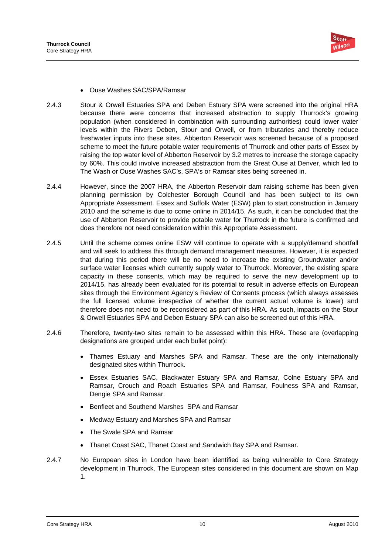

- Ouse Washes SAC/SPA/Ramsar
- 2.4.3 Stour & Orwell Estuaries SPA and Deben Estuary SPA were screened into the original HRA because there were concerns that increased abstraction to supply Thurrock's growing population (when considered in combination with surrounding authorities) could lower water levels within the Rivers Deben, Stour and Orwell, or from tributaries and thereby reduce freshwater inputs into these sites. Abberton Reservoir was screened because of a proposed scheme to meet the future potable water requirements of Thurrock and other parts of Essex by raising the top water level of Abberton Reservoir by 3.2 metres to increase the storage capacity by 60%. This could involve increased abstraction from the Great Ouse at Denver, which led to The Wash or Ouse Washes SAC's, SPA's or Ramsar sites being screened in.
- 2.4.4 However, since the 2007 HRA, the Abberton Reservoir dam raising scheme has been given planning permission by Colchester Borough Council and has been subject to its own Appropriate Assessment. Essex and Suffolk Water (ESW) plan to start construction in January 2010 and the scheme is due to come online in 2014/15. As such, it can be concluded that the use of Abberton Reservoir to provide potable water for Thurrock in the future is confirmed and does therefore not need consideration within this Appropriate Assessment.
- 2.4.5 Until the scheme comes online ESW will continue to operate with a supply/demand shortfall and will seek to address this through demand management measures. However, it is expected that during this period there will be no need to increase the existing Groundwater and/or surface water licenses which currently supply water to Thurrock. Moreover, the existing spare capacity in these consents, which may be required to serve the new development up to 2014/15, has already been evaluated for its potential to result in adverse effects on European sites through the Environment Agency's Review of Consents process (which always assesses the full licensed volume irrespective of whether the current actual volume is lower) and therefore does not need to be reconsidered as part of this HRA. As such, impacts on the Stour & Orwell Estuaries SPA and Deben Estuary SPA can also be screened out of this HRA.
- 2.4.6 Therefore, twenty-two sites remain to be assessed within this HRA. These are (overlapping designations are grouped under each bullet point):
	- Thames Estuary and Marshes SPA and Ramsar. These are the only internationally designated sites within Thurrock.
	- Essex Estuaries SAC, Blackwater Estuary SPA and Ramsar, Colne Estuary SPA and Ramsar, Crouch and Roach Estuaries SPA and Ramsar, Foulness SPA and Ramsar, Dengie SPA and Ramsar.
	- Benfleet and Southend Marshes SPA and Ramsar
	- Medway Estuary and Marshes SPA and Ramsar
	- The Swale SPA and Ramsar
	- Thanet Coast SAC, Thanet Coast and Sandwich Bay SPA and Ramsar.
- 2.4.7 No European sites in London have been identified as being vulnerable to Core Strategy development in Thurrock. The European sites considered in this document are shown on Map 1.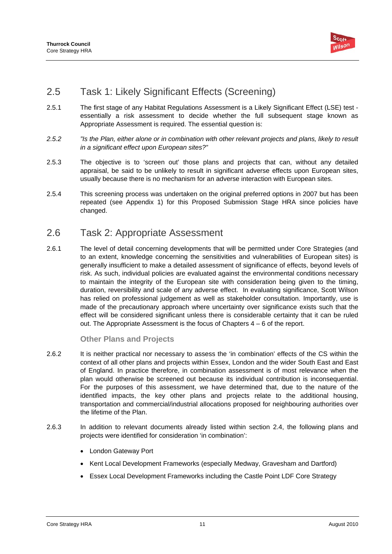

# 2.5 Task 1: Likely Significant Effects (Screening)

- 2.5.1 The first stage of any Habitat Regulations Assessment is a Likely Significant Effect (LSE) test essentially a risk assessment to decide whether the full subsequent stage known as Appropriate Assessment is required. The essential question is:
- *2.5.2 "Is the Plan, either alone or in combination with other relevant projects and plans, likely to result in a significant effect upon European sites?"*
- 2.5.3 The objective is to 'screen out' those plans and projects that can, without any detailed appraisal, be said to be unlikely to result in significant adverse effects upon European sites, usually because there is no mechanism for an adverse interaction with European sites.
- 2.5.4 This screening process was undertaken on the original preferred options in 2007 but has been repeated (see Appendix 1) for this Proposed Submission Stage HRA since policies have changed.

# 2.6 Task 2: Appropriate Assessment

2.6.1 The level of detail concerning developments that will be permitted under Core Strategies (and to an extent, knowledge concerning the sensitivities and vulnerabilities of European sites) is generally insufficient to make a detailed assessment of significance of effects, beyond levels of risk. As such, individual policies are evaluated against the environmental conditions necessary to maintain the integrity of the European site with consideration being given to the timing, duration, reversibility and scale of any adverse effect. In evaluating significance, Scott Wilson has relied on professional judgement as well as stakeholder consultation. Importantly, use is made of the precautionary approach where uncertainty over significance exists such that the effect will be considered significant unless there is considerable certainty that it can be ruled out. The Appropriate Assessment is the focus of Chapters 4 – 6 of the report.

### **Other Plans and Projects**

- 2.6.2 It is neither practical nor necessary to assess the 'in combination' effects of the CS within the context of all other plans and projects within Essex, London and the wider South East and East of England. In practice therefore, in combination assessment is of most relevance when the plan would otherwise be screened out because its individual contribution is inconsequential. For the purposes of this assessment, we have determined that, due to the nature of the identified impacts, the key other plans and projects relate to the additional housing, transportation and commercial/industrial allocations proposed for neighbouring authorities over the lifetime of the Plan.
- 2.6.3 In addition to relevant documents already listed within section 2.4, the following plans and projects were identified for consideration 'in combination':
	- London Gateway Port
	- Kent Local Development Frameworks (especially Medway, Gravesham and Dartford)
	- Essex Local Development Frameworks including the Castle Point LDF Core Strategy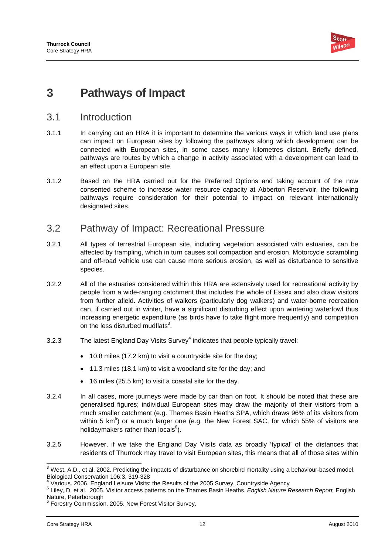

# **3 Pathways of Impact**

### 3.1 Introduction

- 3.1.1 In carrying out an HRA it is important to determine the various ways in which land use plans can impact on European sites by following the pathways along which development can be connected with European sites, in some cases many kilometres distant. Briefly defined, pathways are routes by which a change in activity associated with a development can lead to an effect upon a European site.
- 3.1.2 Based on the HRA carried out for the Preferred Options and taking account of the now consented scheme to increase water resource capacity at Abberton Reservoir, the following pathways require consideration for their potential to impact on relevant internationally designated sites.

## 3.2 Pathway of Impact: Recreational Pressure

- 3.2.1 All types of terrestrial European site, including vegetation associated with estuaries, can be affected by trampling, which in turn causes soil compaction and erosion. Motorcycle scrambling and off-road vehicle use can cause more serious erosion, as well as disturbance to sensitive species.
- 3.2.2 All of the estuaries considered within this HRA are extensively used for recreational activity by people from a wide-ranging catchment that includes the whole of Essex and also draw visitors from further afield. Activities of walkers (particularly dog walkers) and water-borne recreation can, if carried out in winter, have a significant disturbing effect upon wintering waterfowl thus increasing energetic expenditure (as birds have to take flight more frequently) and competition on the less disturbed mudflats $3$ .
- 3.2.3 The latest England Day Visits Survey $<sup>4</sup>$  indicates that people typically travel:</sup>
	- 10.8 miles (17.2 km) to visit a countryside site for the day;
	- 11.3 miles (18.1 km) to visit a woodland site for the day; and
	- 16 miles (25.5 km) to visit a coastal site for the day.
- 3.2.4 In all cases, more journeys were made by car than on foot. It should be noted that these are generalised figures; individual European sites may draw the majority of their visitors from a much smaller catchment (e.g. Thames Basin Heaths SPA, which draws 96% of its visitors from within 5  $km<sup>5</sup>$ ) or a much larger one (e.g. the New Forest SAC, for which 55% of visitors are holidaymakers rather than locals $^6$ ).
- 3.2.5 However, if we take the England Day Visits data as broadly 'typical' of the distances that residents of Thurrock may travel to visit European sites, this means that all of those sites within

 3 West, A.D., et al. 2002. Predicting the impacts of disturbance on shorebird mortality using a behaviour-based model. Biological Conservation 106:3, 319-328

<sup>&</sup>lt;sup>4</sup> Various. 2006. England Leisure Visits: the Results of the 2005 Survey. Countryside Agency  $\frac{5}{2}$  Liloy, D. at al. 2005. Visiter access potters on the Themas Begin Heather *English Nature* 5

Liley, D. et al. 2005. Visitor access patterns on the Thames Basin Heaths. *English Nature Research Report,* English Nature, Peterborough

<sup>6</sup> Forestry Commission. 2005. New Forest Visitor Survey.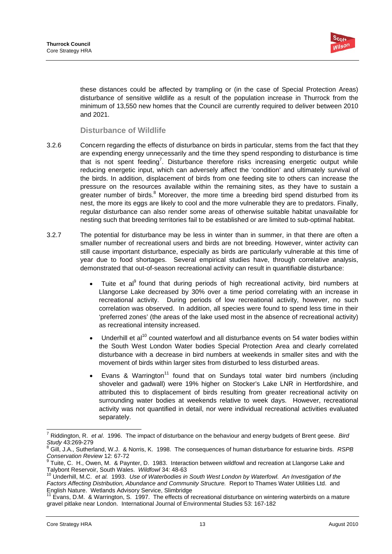

these distances could be affected by trampling or (in the case of Special Protection Areas) disturbance of sensitive wildlife as a result of the population increase in Thurrock from the minimum of 13,550 new homes that the Council are currently required to deliver between 2010 and 2021.

### **Disturbance of Wildlife**

- 3.2.6 Concern regarding the effects of disturbance on birds in particular, stems from the fact that they are expending energy unnecessarily and the time they spend responding to disturbance is time that is not spent feeding<sup>7</sup>. Disturbance therefore risks increasing energetic output while reducing energetic input, which can adversely affect the 'condition' and ultimately survival of the birds. In addition, displacement of birds from one feeding site to others can increase the pressure on the resources available within the remaining sites, as they have to sustain a greater number of birds.<sup>8</sup> Moreover, the more time a breeding bird spend disturbed from its nest, the more its eggs are likely to cool and the more vulnerable they are to predators. Finally, regular disturbance can also render some areas of otherwise suitable habitat unavailable for nesting such that breeding territories fail to be established or are limited to sub-optimal habitat.
- 3.2.7 The potential for disturbance may be less in winter than in summer, in that there are often a smaller number of recreational users and birds are not breeding. However, winter activity can still cause important disturbance, especially as birds are particularly vulnerable at this time of year due to food shortages. Several empirical studies have, through correlative analysis, demonstrated that out-of-season recreational activity can result in quantifiable disturbance:
	- Tuite et al<sup>9</sup> found that during periods of high recreational activity, bird numbers at Llangorse Lake decreased by 30% over a time period correlating with an increase in recreational activity. During periods of low recreational activity, however, no such correlation was observed. In addition, all species were found to spend less time in their 'preferred zones' (the areas of the lake used most in the absence of recreational activity) as recreational intensity increased.
	- Underhill et al<sup>10</sup> counted waterfowl and all disturbance events on 54 water bodies within the South West London Water bodies Special Protection Area and clearly correlated disturbance with a decrease in bird numbers at weekends in smaller sites and with the movement of birds within larger sites from disturbed to less disturbed areas.
	- Evans & Warrington<sup>11</sup> found that on Sundays total water bird numbers (including shoveler and gadwall) were 19% higher on Stocker's Lake LNR in Hertfordshire, and attributed this to displacement of birds resulting from greater recreational activity on surrounding water bodies at weekends relative to week days. However, recreational activity was not quantified in detail, nor were individual recreational activities evaluated separately.

 $\overline{a}$ 

<sup>7</sup> Riddington, R. *et al*. 1996. The impact of disturbance on the behaviour and energy budgets of Brent geese. *Bird*  Study 43:269-279

Gill, J.A., Sutherland, W.J. & Norris, K. 1998. The consequences of human disturbance for estuarine birds. *RSPB* 

Conservation Review 12: 67-72<br>
<sup>9</sup> Tuite, C. H., Owen, M. & Paynter, D. 1983. Interactive Talybont Reservoir, South Wales. *Wildfowl* 34: 48-63 Tuite, C. H., Owen, M. & Paynter, D. 1983. Interaction between wildfowl and recreation at Llangorse Lake and

Underhill, M.C. *et al.* 1993. Use of Waterbodies in South West London by Waterfowl. An Investigation of the Factors Affecting Distribution, Abundance and Community Structure. Report to Thames Water Utilities Ltd. and English Nature. Wetlands Advisory Service, Slimbridge<br><sup>11</sup> Evans. D.M. **2017** 

<sup>11</sup> Evans, D.M. & Warrington, S. 1997. The effects of recreational disturbance on wintering waterbirds on a mature gravel pitlake near London. International Journal of Environmental Studies 53: 167-182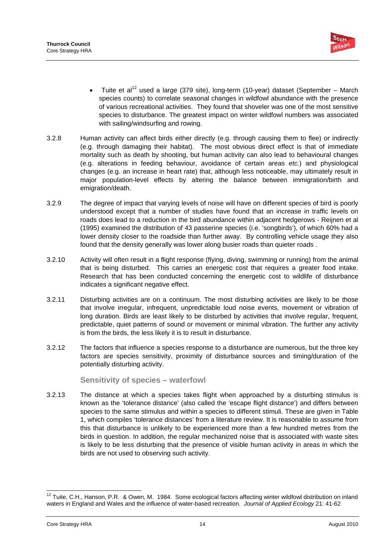

- Tuite et al<sup>12</sup> used a large (379 site), long-term (10-year) dataset (September March species counts) to correlate seasonal changes in wildfowl abundance with the presence of various recreational activities. They found that shoveler was one of the most sensitive species to disturbance. The greatest impact on winter wildfowl numbers was associated with sailing/windsurfing and rowing.
- 3.2.8 Human activity can affect birds either directly (e.g. through causing them to flee) or indirectly (e.g. through damaging their habitat). The most obvious direct effect is that of immediate mortality such as death by shooting, but human activity can also lead to behavioural changes (e.g. alterations in feeding behaviour, avoidance of certain areas *etc.*) and physiological changes (e.g. an increase in heart rate) that, although less noticeable, may ultimately result in major population-level effects by altering the balance between immigration/birth and emigration/death.
- 3.2.9 The degree of impact that varying levels of noise will have on different species of bird is poorly understood except that a number of studies have found that an increase in traffic levels on roads does lead to a reduction in the bird abundance within adjacent hedgerows - Reijnen et al (1995) examined the distribution of 43 passerine species (i.e. 'songbirds'), of which 60% had a lower density closer to the roadside than further away. By controlling vehicle usage they also found that the density generally was lower along busier roads than quieter roads.
- 3.2.10 Activity will often result in a flight response (flying, diving, swimming or running) from the animal that is being disturbed. This carries an energetic cost that requires a greater food intake. Research that has been conducted concerning the energetic cost to wildlife of disturbance indicates a significant negative effect.
- 3.2.11 Disturbing activities are on a continuum. The most disturbing activities are likely to be those that involve irregular, infrequent, unpredictable loud noise events, movement or vibration of long duration. Birds are least likely to be disturbed by activities that involve regular, frequent, predictable, quiet patterns of sound or movement or minimal vibration. The further any activity is from the birds, the less likely it is to result in disturbance.
- 3.2.12 The factors that influence a species response to a disturbance are numerous, but the three key factors are species sensitivity, proximity of disturbance sources and timing/duration of the potentially disturbing activity.

### **Sensitivity of species – waterfowl**

3.2.13 The distance at which a species takes flight when approached by a disturbing stimulus is known as the 'tolerance distance' (also called the 'escape flight distance') and differs between species to the same stimulus and within a species to different stimuli. These are given in Table 1, which compiles 'tolerance distances' from a literature review. It is reasonable to assume from this that disturbance is unlikely to be experienced more than a few hundred metres from the birds in question. In addition, the regular mechanized noise that is associated with waste sites is likely to be less disturbing that the presence of visible human activity in areas in which the birds are not used to observing such activity.

<sup>1</sup>  $12$  Tuite, C.H., Hanson, P.R. & Owen, M. 1984. Some ecological factors affecting winter wildfowl distribution on inland waters in England and Wales and the influence of water-based recreation. *Journal of Applied Ecology* 21: 41-62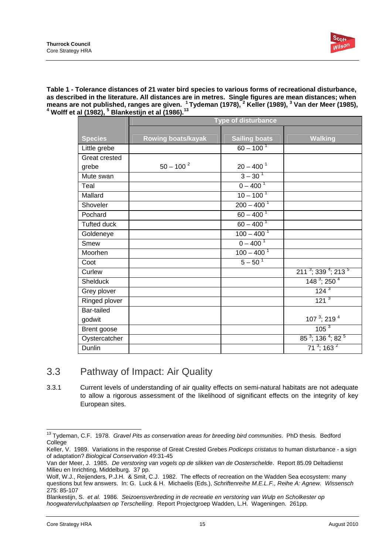

**Table 1 - Tolerance distances of 21 water bird species to various forms of recreational disturbance, as described in the literature. All distances are in metres. Single figures are mean distances; when**  means are not published, ranges are given. <sup>1</sup> Tydeman (1978), <sup>2</sup> Keller (1989), <sup>3</sup> Van der Meer (1985),<br><sup>4</sup> Welff et al.(1983), <sup>5</sup> Plankeetijn et al.(1986), <sup>13</sup>  **Wolff et al (1982), <sup>5</sup> Blankestijn et al (1986).<sup>13</sup>**

|                      | <b>Type of disturbance</b> |                          |                                                         |  |
|----------------------|----------------------------|--------------------------|---------------------------------------------------------|--|
| <b>Species</b>       | <b>Rowing boats/kayak</b>  | <b>Sailing boats</b>     | <b>Walking</b>                                          |  |
| Little grebe         |                            | $60 - 100^{1}$           |                                                         |  |
| <b>Great crested</b> |                            |                          |                                                         |  |
| grebe                | $50 - 100^{2}$             | $20 - 400$ <sup>1</sup>  |                                                         |  |
| Mute swan            |                            | $3 - 30^{1}$             |                                                         |  |
| Teal                 |                            | $0 - 400^1$              |                                                         |  |
| Mallard              |                            | $10 - 100^{1}$           |                                                         |  |
| Shoveler             |                            | $200 - 400^{1}$          |                                                         |  |
| Pochard              |                            | $60 - 400^{1}$           |                                                         |  |
| <b>Tufted duck</b>   |                            | $60 - 400^1$             |                                                         |  |
| Goldeneye            |                            | $100 - 400$ <sup>1</sup> |                                                         |  |
| Smew                 |                            | $0 - 400^1$              |                                                         |  |
| Moorhen              |                            | $100 - 400^{1}$          |                                                         |  |
| Coot                 |                            | $5 - 50^{1}$             |                                                         |  |
| Curlew               |                            |                          | $2113$ ; 339 <sup>4</sup> ; 213 <sup>5</sup>            |  |
| Shelduck             |                            |                          | $1483$ ; 250 <sup>4</sup>                               |  |
| Grey plover          |                            |                          | $124^{3}$                                               |  |
| Ringed plover        |                            |                          | 121 <sup>3</sup>                                        |  |
| Bar-tailed           |                            |                          |                                                         |  |
| godwit               |                            |                          | 107 $3$ ; 219 $4$                                       |  |
| Brent goose          |                            |                          | 105 <sup>3</sup>                                        |  |
| Oystercatcher        |                            |                          | $85^{\frac{3}{2}}$ ; 136 <sup>4</sup> ; 82 <sup>5</sup> |  |
| Dunlin               |                            |                          | $\overline{71}^3$ ; 163 $^2$                            |  |

# 3.3 Pathway of Impact: Air Quality

3.3.1 Current levels of understanding of air quality effects on semi-natural habitats are not adequate to allow a rigorous assessment of the likelihood of significant effects on the integrity of key European sites.

 13 Tydeman, C.F. 1978. *Gravel Pits as conservation areas for breeding bird communities*. PhD thesis. Bedford College

Keller, V. 1989. Variations in the response of Great Crested Grebes *Podiceps cristatus* to human disturbance - a sign of adaptation? *Biological Conservation* 49:31-45

Van der Meer, J. 1985. *De verstoring van vogels op de slikken van de Oosterschelde*. Report 85.09 Deltadienst Milieu en Inrichting, Middelburg. 37 pp.

Wolf, W.J., Reijenders, P.J.H. & Smit, C.J. 1982. The effects of recreation on the Wadden Sea ecosystem: many questions but few answers. In: G. Luck & H. Michaelis (Eds.), *Schriftenreihe M.E.L.F., Reihe A: Agnew. Wissensch*  275: 85-107

Blankestijn, S. *et al.* 1986. *Seizoensverbreding in de recreatie en verstoring van Wulp en Scholkester op hoogwatervluchplaatsen op Terschelling*. Report Projectgroep Wadden, L.H. Wageningen. 261pp.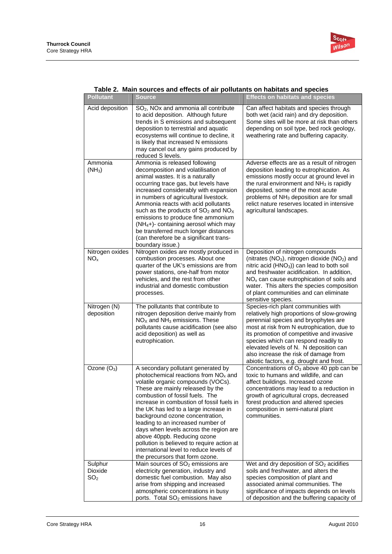

| <b>Pollutant</b>                      | rable 2. Maili suurces and enects or air pondiants on nabitats and species<br><b>Source</b>                                                                                                                                                                                                                                                                                                                                                                                                                                                                  | <b>Effects on habitats and species</b>                                                                                                                                                                                                                                                                                                                                                       |
|---------------------------------------|--------------------------------------------------------------------------------------------------------------------------------------------------------------------------------------------------------------------------------------------------------------------------------------------------------------------------------------------------------------------------------------------------------------------------------------------------------------------------------------------------------------------------------------------------------------|----------------------------------------------------------------------------------------------------------------------------------------------------------------------------------------------------------------------------------------------------------------------------------------------------------------------------------------------------------------------------------------------|
| Acid deposition                       | SO <sub>2</sub> , NO <sub>x</sub> and ammonia all contribute<br>to acid deposition. Although future<br>trends in S emissions and subsequent<br>deposition to terrestrial and aquatic<br>ecosystems will continue to decline, it<br>is likely that increased N emissions<br>may cancel out any gains produced by<br>reduced S levels.                                                                                                                                                                                                                         | Can affect habitats and species through<br>both wet (acid rain) and dry deposition.<br>Some sites will be more at risk than others<br>depending on soil type, bed rock geology,<br>weathering rate and buffering capacity.                                                                                                                                                                   |
| Ammonia<br>$(NH_3)$                   | Ammonia is released following<br>decomposition and volatilisation of<br>animal wastes. It is a naturally<br>occurring trace gas, but levels have<br>increased considerably with expansion<br>in numbers of agricultural livestock.<br>Ammonia reacts with acid pollutants<br>such as the products of $SO2$ and $NOx$<br>emissions to produce fine ammonium<br>(NH <sub>4</sub> +)- containing aerosol which may<br>be transferred much longer distances<br>(can therefore be a significant trans-<br>boundary issue.)                                        | Adverse effects are as a result of nitrogen<br>deposition leading to eutrophication. As<br>emissions mostly occur at ground level in<br>the rural environment and $NH3$ is rapidly<br>deposited, some of the most acute<br>problems of NH <sub>3</sub> deposition are for small<br>relict nature reserves located in intensive<br>agricultural landscapes.                                   |
| Nitrogen oxides<br>NO <sub>x</sub>    | Nitrogen oxides are mostly produced in<br>combustion processes. About one<br>quarter of the UK's emissions are from<br>power stations, one-half from motor<br>vehicles, and the rest from other<br>industrial and domestic combustion<br>processes.                                                                                                                                                                                                                                                                                                          | Deposition of nitrogen compounds<br>(nitrates $(NO3)$ , nitrogen dioxide $(NO2)$ and<br>nitric acid (HNO <sub>3</sub> )) can lead to both soil<br>and freshwater acidification. In addition,<br>$NOx$ can cause eutrophication of soils and<br>water. This alters the species composition<br>of plant communities and can eliminate<br>sensitive species.                                    |
| Nitrogen (N)<br>deposition            | The pollutants that contribute to<br>nitrogen deposition derive mainly from<br>$NOX$ and $NH3$ emissions. These<br>pollutants cause acidification (see also<br>acid deposition) as well as<br>eutrophication.                                                                                                                                                                                                                                                                                                                                                | Species-rich plant communities with<br>relatively high proportions of slow-growing<br>perennial species and bryophytes are<br>most at risk from N eutrophication, due to<br>its promotion of competitive and invasive<br>species which can respond readily to<br>elevated levels of N. N deposition can<br>also increase the risk of damage from<br>abiotic factors, e.g. drought and frost. |
| Ozone $(O_3)$                         | A secondary pollutant generated by<br>photochemical reactions from $NOx$ and<br>volatile organic compounds (VOCs).<br>These are mainly released by the<br>combustion of fossil fuels. The<br>increase in combustion of fossil fuels in<br>the UK has led to a large increase in<br>background ozone concentration,<br>leading to an increased number of<br>days when levels across the region are<br>above 40ppb. Reducing ozone<br>pollution is believed to require action at<br>international level to reduce levels of<br>the precursors that form ozone. | Concentrations of $O_3$ above 40 ppb can be<br>toxic to humans and wildlife, and can<br>affect buildings. Increased ozone<br>concentrations may lead to a reduction in<br>growth of agricultural crops, decreased<br>forest production and altered species<br>composition in semi-natural plant<br>communities.                                                                              |
| Sulphur<br>Dioxide<br>SO <sub>2</sub> | Main sources of SO <sub>2</sub> emissions are<br>electricity generation, industry and<br>domestic fuel combustion. May also<br>arise from shipping and increased<br>atmospheric concentrations in busy<br>ports. Total SO <sub>2</sub> emissions have                                                                                                                                                                                                                                                                                                        | Wet and dry deposition of SO <sub>2</sub> acidifies<br>soils and freshwater, and alters the<br>species composition of plant and<br>associated animal communities. The<br>significance of impacts depends on levels<br>of deposition and the buffering capacity of                                                                                                                            |

### **Table 2. Main sources and effects of air pollutants on habitats and species**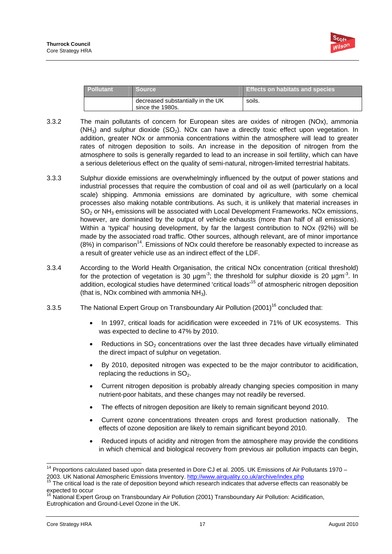

| <b>Pollutant</b> | <b>Source</b>                                         | <b>Effects on habitats and species</b> |
|------------------|-------------------------------------------------------|----------------------------------------|
|                  | decreased substantially in the UK<br>since the 1980s. | soils.                                 |

- 3.3.2 The main pollutants of concern for European sites are oxides of nitrogen (NOx), ammonia  $(NH<sub>3</sub>)$  and sulphur dioxide  $(SO<sub>2</sub>)$ . NOx can have a directly toxic effect upon vegetation. In addition, greater NOx or ammonia concentrations within the atmosphere will lead to greater rates of nitrogen deposition to soils. An increase in the deposition of nitrogen from the atmosphere to soils is generally regarded to lead to an increase in soil fertility, which can have a serious deleterious effect on the quality of semi-natural, nitrogen-limited terrestrial habitats.
- 3.3.3 Sulphur dioxide emissions are overwhelmingly influenced by the output of power stations and industrial processes that require the combustion of coal and oil as well (particularly on a local scale) shipping. Ammonia emissions are dominated by agriculture, with some chemical processes also making notable contributions. As such, it is unlikely that material increases in  $SO<sub>2</sub>$  or NH<sub>3</sub> emissions will be associated with Local Development Frameworks. NOx emissions, however, are dominated by the output of vehicle exhausts (more than half of all emissions). Within a 'typical' housing development, by far the largest contribution to NOx (92%) will be made by the associated road traffic. Other sources, although relevant, are of minor importance  $(8%)$  in comparison<sup>14</sup>. Emissions of NOx could therefore be reasonably expected to increase as a result of greater vehicle use as an indirect effect of the LDF.
- 3.3.4 According to the World Health Organisation, the critical NOx concentration (critical threshold) for the protection of vegetation is 30  $\mu$ gm<sup>-3</sup>; the threshold for sulphur dioxide is 20  $\mu$ gm<sup>-3</sup>. In addition, ecological studies have determined 'critical loads'15 of atmospheric nitrogen deposition (that is, NOx combined with ammonia  $NH<sub>3</sub>$ ).
- 3.3.5 The National Expert Group on Transboundary Air Pollution (2001)16 concluded that:
	- In 1997, critical loads for acidification were exceeded in 71% of UK ecosystems. This was expected to decline to 47% by 2010.
	- Reductions in  $SO<sub>2</sub>$  concentrations over the last three decades have virtually eliminated the direct impact of sulphur on vegetation.
	- By 2010, deposited nitrogen was expected to be the major contributor to acidification, replacing the reductions in  $SO<sub>2</sub>$ .
	- Current nitrogen deposition is probably already changing species composition in many nutrient-poor habitats, and these changes may not readily be reversed.
	- The effects of nitrogen deposition are likely to remain significant beyond 2010.
	- Current ozone concentrations threaten crops and forest production nationally. The effects of ozone deposition are likely to remain significant beyond 2010.
	- Reduced inputs of acidity and nitrogen from the atmosphere may provide the conditions in which chemical and biological recovery from previous air pollution impacts can begin,

<sup>-</sup> $14$  Proportions calculated based upon data presented in Dore CJ et al. 2005. UK Emissions of Air Pollutants 1970 – 2003. UK National Atmospheric Emissions Inventory. http://www.airquality.co.uk/archive/index.php 15 The critical load is the rate of deposition beyond which research indicates that adverse effects can reasonably be

expected to occur

<sup>&</sup>lt;sup>16</sup> National Expert Group on Transboundary Air Pollution (2001) Transboundary Air Pollution: Acidification, Eutrophication and Ground-Level Ozone in the UK.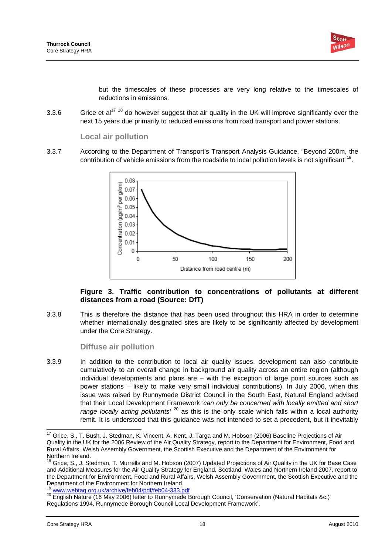

but the timescales of these processes are very long relative to the timescales of reductions in emissions.

3.3.6 Grice et al<sup>17 18</sup> do however suggest that air quality in the UK will improve significantly over the next 15 years due primarily to reduced emissions from road transport and power stations.

### **Local air pollution**

3.3.7 According to the Department of Transport's Transport Analysis Guidance, "Beyond 200m, the contribution of vehicle emissions from the roadside to local pollution levels is not significant"<sup>19</sup>.



### **Figure 3. Traffic contribution to concentrations of pollutants at different distances from a road (Source: DfT)**

3.3.8 This is therefore the distance that has been used throughout this HRA in order to determine whether internationally designated sites are likely to be significantly affected by development under the Core Strategy.

### **Diffuse air pollution**

3.3.9 In addition to the contribution to local air quality issues, development can also contribute cumulatively to an overall change in background air quality across an entire region (although individual developments and plans are – with the exception of large point sources such as power stations – likely to make very small individual contributions). In July 2006, when this issue was raised by Runnymede District Council in the South East, Natural England advised that their Local Development Framework *'can only be concerned with locally emitted and short range locally acting pollutants'* 20 as this is the only scale which falls within a local authority remit. It is understood that this guidance was not intended to set a precedent, but it inevitably

<sup>-</sup><sup>17</sup> Grice, S., T. Bush, J. Stedman, K. Vincent, A. Kent, J. Targa and M. Hobson (2006) Baseline Projections of Air Quality in the UK for the 2006 Review of the Air Quality Strategy, report to the Department for Environment, Food and Rural Affairs, Welsh Assembly Government, the Scottish Executive and the Department of the Environment for Northern Ireland.

<sup>&</sup>lt;sup>18</sup> Grice, S., J. Stedman, T. Murrells and M. Hobson (2007) Updated Projections of Air Quality in the UK for Base Case and Additional Measures for the Air Quality Strategy for England, Scotland, Wales and Northern Ireland 2007, report to the Department for Environment, Food and Rural Affairs, Welsh Assembly Government, the Scottish Executive and the Department of the Environment for Northern Ireland.<br><sup>19</sup> www.webtag.org.uk/archive/feb04/pdf/feb04-333.pdf

<sup>20</sup> English Nature (16 May 2006) letter to Runnymede Borough Council, 'Conservation (Natural Habitats &c.) Regulations 1994, Runnymede Borough Council Local Development Framework'.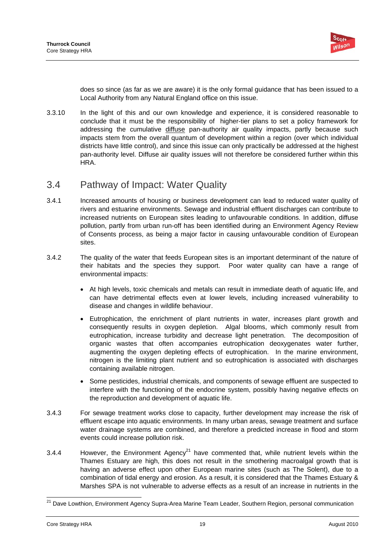

does so since (as far as we are aware) it is the only formal guidance that has been issued to a Local Authority from any Natural England office on this issue.

3.3.10 In the light of this and our own knowledge and experience, it is considered reasonable to conclude that it must be the responsibility of higher-tier plans to set a policy framework for addressing the cumulative diffuse pan-authority air quality impacts, partly because such impacts stem from the overall quantum of development within a region (over which individual districts have little control), and since this issue can only practically be addressed at the highest pan-authority level. Diffuse air quality issues will not therefore be considered further within this HRA.

### 3.4 Pathway of Impact: Water Quality

- 3.4.1 Increased amounts of housing or business development can lead to reduced water quality of rivers and estuarine environments. Sewage and industrial effluent discharges can contribute to increased nutrients on European sites leading to unfavourable conditions. In addition, diffuse pollution, partly from urban run-off has been identified during an Environment Agency Review of Consents process, as being a major factor in causing unfavourable condition of European sites.
- 3.4.2 The quality of the water that feeds European sites is an important determinant of the nature of their habitats and the species they support. Poor water quality can have a range of environmental impacts:
	- At high levels, toxic chemicals and metals can result in immediate death of aquatic life, and can have detrimental effects even at lower levels, including increased vulnerability to disease and changes in wildlife behaviour.
	- Eutrophication, the enrichment of plant nutrients in water, increases plant growth and consequently results in oxygen depletion. Algal blooms, which commonly result from eutrophication, increase turbidity and decrease light penetration. The decomposition of organic wastes that often accompanies eutrophication deoxygenates water further, augmenting the oxygen depleting effects of eutrophication. In the marine environment, nitrogen is the limiting plant nutrient and so eutrophication is associated with discharges containing available nitrogen.
	- Some pesticides, industrial chemicals, and components of sewage effluent are suspected to interfere with the functioning of the endocrine system, possibly having negative effects on the reproduction and development of aquatic life.
- 3.4.3 For sewage treatment works close to capacity, further development may increase the risk of effluent escape into aquatic environments. In many urban areas, sewage treatment and surface water drainage systems are combined, and therefore a predicted increase in flood and storm events could increase pollution risk.
- 3.4.4 However, the Environment Agency<sup>21</sup> have commented that, while nutrient levels within the Thames Estuary are high, this does not result in the smothering macroalgal growth that is having an adverse effect upon other European marine sites (such as The Solent), due to a combination of tidal energy and erosion. As a result, it is considered that the Thames Estuary & Marshes SPA is not vulnerable to adverse effects as a result of an increase in nutrients in the

 <sup>21</sup> Dave Lowthion, Environment Agency Supra-Area Marine Team Leader, Southern Region, personal communication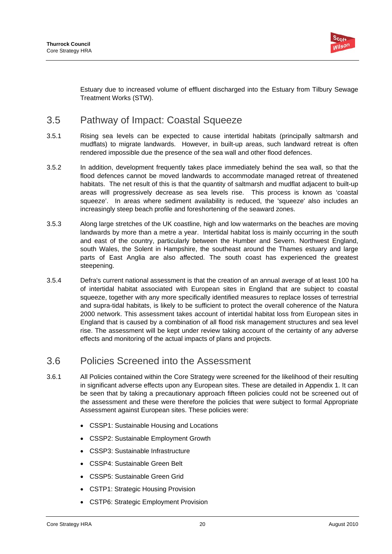

Estuary due to increased volume of effluent discharged into the Estuary from Tilbury Sewage Treatment Works (STW).

# 3.5 Pathway of Impact: Coastal Squeeze

- 3.5.1 Rising sea levels can be expected to cause intertidal habitats (principally saltmarsh and mudflats) to migrate landwards. However, in built-up areas, such landward retreat is often rendered impossible due the presence of the sea wall and other flood defences.
- 3.5.2 In addition, development frequently takes place immediately behind the sea wall, so that the flood defences cannot be moved landwards to accommodate managed retreat of threatened habitats. The net result of this is that the quantity of saltmarsh and mudflat adjacent to built-up areas will progressively decrease as sea levels rise. This process is known as 'coastal squeeze'. In areas where sediment availability is reduced, the 'squeeze' also includes an increasingly steep beach profile and foreshortening of the seaward zones.
- 3.5.3 Along large stretches of the UK coastline, high and low watermarks on the beaches are moving landwards by more than a metre a year. Intertidal habitat loss is mainly occurring in the south and east of the country, particularly between the Humber and Severn. Northwest England, south Wales, the Solent in Hampshire, the southeast around the Thames estuary and large parts of East Anglia are also affected. The south coast has experienced the greatest steepening.
- 3.5.4 Defra's current national assessment is that the creation of an annual average of at least 100 ha of intertidal habitat associated with European sites in England that are subject to coastal squeeze, together with any more specifically identified measures to replace losses of terrestrial and supra-tidal habitats, is likely to be sufficient to protect the overall coherence of the Natura 2000 network. This assessment takes account of intertidal habitat loss from European sites in England that is caused by a combination of all flood risk management structures and sea level rise. The assessment will be kept under review taking account of the certainty of any adverse effects and monitoring of the actual impacts of plans and projects.

# 3.6 Policies Screened into the Assessment

- 3.6.1 All Policies contained within the Core Strategy were screened for the likelihood of their resulting in significant adverse effects upon any European sites. These are detailed in Appendix 1. It can be seen that by taking a precautionary approach fifteen policies could not be screened out of the assessment and these were therefore the policies that were subject to formal Appropriate Assessment against European sites. These policies were:
	- CSSP1: Sustainable Housing and Locations
	- CSSP2: Sustainable Employment Growth
	- CSSP3: Sustainable Infrastructure
	- CSSP4: Sustainable Green Belt
	- CSSP5: Sustainable Green Grid
	- CSTP1: Strategic Housing Provision
	- CSTP6: Strategic Employment Provision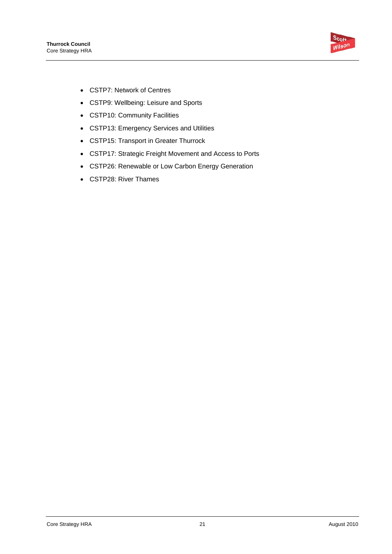

- CSTP7: Network of Centres
- CSTP9: Wellbeing: Leisure and Sports
- CSTP10: Community Facilities
- CSTP13: Emergency Services and Utilities
- CSTP15: Transport in Greater Thurrock
- CSTP17: Strategic Freight Movement and Access to Ports
- CSTP26: Renewable or Low Carbon Energy Generation
- CSTP28: River Thames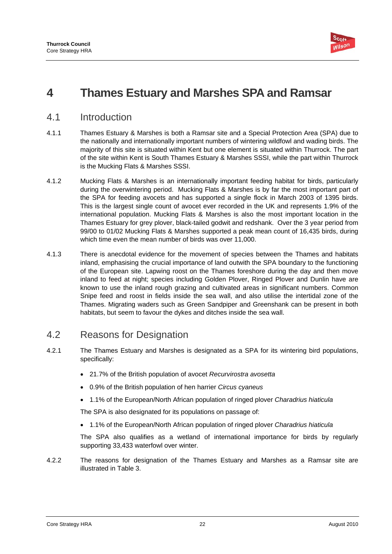

# **4 Thames Estuary and Marshes SPA and Ramsar**

### 4.1 Introduction

- 4.1.1 Thames Estuary & Marshes is both a Ramsar site and a Special Protection Area (SPA) due to the nationally and internationally important numbers of wintering wildfowl and wading birds. The majority of this site is situated within Kent but one element is situated within Thurrock. The part of the site within Kent is South Thames Estuary & Marshes SSSI, while the part within Thurrock is the Mucking Flats & Marshes SSSI.
- 4.1.2 Mucking Flats & Marshes is an internationally important feeding habitat for birds, particularly during the overwintering period. Mucking Flats & Marshes is by far the most important part of the SPA for feeding avocets and has supported a single flock in March 2003 of 1395 birds. This is the largest single count of avocet ever recorded in the UK and represents 1.9% of the international population. Mucking Flats & Marshes is also the most important location in the Thames Estuary for grey plover, black-tailed godwit and redshank. Over the 3 year period from 99/00 to 01/02 Mucking Flats & Marshes supported a peak mean count of 16,435 birds, during which time even the mean number of birds was over 11,000.
- 4.1.3 There is anecdotal evidence for the movement of species between the Thames and habitats inland, emphasising the crucial importance of land outwith the SPA boundary to the functioning of the European site. Lapwing roost on the Thames foreshore during the day and then move inland to feed at night; species including Golden Plover, Ringed Plover and Dunlin have are known to use the inland rough grazing and cultivated areas in significant numbers. Common Snipe feed and roost in fields inside the sea wall, and also utilise the intertidal zone of the Thames. Migrating waders such as Green Sandpiper and Greenshank can be present in both habitats, but seem to favour the dykes and ditches inside the sea wall.

## 4.2 Reasons for Designation

- 4.2.1 The Thames Estuary and Marshes is designated as a SPA for its wintering bird populations, specifically:
	- 21.7% of the British population of avocet *Recurvirostra avosetta*
	- 0.9% of the British population of hen harrier *Circus cyaneus*
	- 1.1% of the European/North African population of ringed plover *Charadrius hiaticula*

The SPA is also designated for its populations on passage of:

• 1.1% of the European/North African population of ringed plover *Charadrius hiaticula*

The SPA also qualifies as a wetland of international importance for birds by regularly supporting 33,433 waterfowl over winter.

4.2.2 The reasons for designation of the Thames Estuary and Marshes as a Ramsar site are illustrated in Table 3.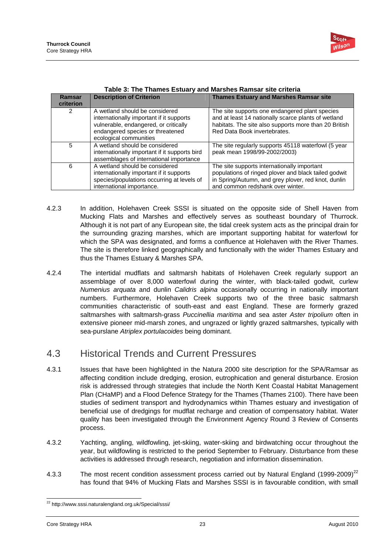

| Ramsar<br>criterion | <b>Description of Criterion</b>                                                                                                                                                   | <b>Thames Estuary and Marshes Ramsar site</b>                                                                                                                                                  |
|---------------------|-----------------------------------------------------------------------------------------------------------------------------------------------------------------------------------|------------------------------------------------------------------------------------------------------------------------------------------------------------------------------------------------|
| 2                   | A wetland should be considered<br>internationally important if it supports<br>vulnerable, endangered, or critically<br>endangered species or threatened<br>ecological communities | The site supports one endangered plant species<br>and at least 14 nationally scarce plants of wetland<br>habitats. The site also supports more than 20 British<br>Red Data Book invertebrates. |
| 5                   | A wetland should be considered<br>internationally important if it supports bird<br>assemblages of international importance                                                        | The site regularly supports 45118 waterfowl (5 year<br>peak mean 1998/99-2002/2003)                                                                                                            |
| 6                   | A wetland should be considered<br>internationally important if it supports<br>species/populations occurring at levels of<br>international importance.                             | The site supports internationally important<br>populations of ringed plover and black tailed godwit<br>in Spring/Autumn, and grey plover, red knot, dunlin<br>and common redshank over winter. |

|  | Table 3: The Thames Estuary and Marshes Ramsar site criteria |
|--|--------------------------------------------------------------|
|--|--------------------------------------------------------------|

- 4.2.3 In addition, Holehaven Creek SSSI is situated on the opposite side of Shell Haven from Mucking Flats and Marshes and effectively serves as southeast boundary of Thurrock. Although it is not part of any European site, the tidal creek system acts as the principal drain for the surrounding grazing marshes, which are important supporting habitat for waterfowl for which the SPA was designated, and forms a confluence at Holehaven with the River Thames. The site is therefore linked geographically and functionally with the wider Thames Estuary and thus the Thames Estuary & Marshes SPA.
- 4.2.4 The intertidal mudflats and saltmarsh habitats of Holehaven Creek regularly support an assemblage of over 8,000 waterfowl during the winter, with black-tailed godwit, curlew *Numenius arquata* and dunlin *Calidris alpina* occasionally occurring in nationally important numbers. Furthermore, Holehaven Creek supports two of the three basic saltmarsh communities characteristic of south-east and east England. These are formerly grazed saltmarshes with saltmarsh-grass *Puccinellia maritima* and sea aster *Aster tripolium* often in extensive pioneer mid-marsh zones, and ungrazed or lightly grazed saltmarshes, typically with sea-purslane *Atriplex portulacoides* being dominant.

# 4.3 Historical Trends and Current Pressures

- 4.3.1 Issues that have been highlighted in the Natura 2000 site description for the SPA/Ramsar as affecting condition include dredging, erosion, eutrophication and general disturbance. Erosion risk is addressed through strategies that include the North Kent Coastal Habitat Management Plan (CHaMP) and a Flood Defence Strategy for the Thames (Thames 2100). There have been studies of sediment transport and hydrodynamics within Thames estuary and investigation of beneficial use of dredgings for mudflat recharge and creation of compensatory habitat. Water quality has been investigated through the Environment Agency Round 3 Review of Consents process.
- 4.3.2 Yachting, angling, wildfowling, jet-skiing, water-skiing and birdwatching occur throughout the year, but wildfowling is restricted to the period September to February. Disturbance from these activities is addressed through research, negotiation and information dissemination.
- 4.3.3 The most recent condition assessment process carried out by Natural England (1999-2009)<sup>22</sup> has found that 94% of Mucking Flats and Marshes SSSI is in favourable condition, with small

<sup>1</sup> <sup>22</sup> http://www.sssi.naturalengland.org.uk/Special/sssi/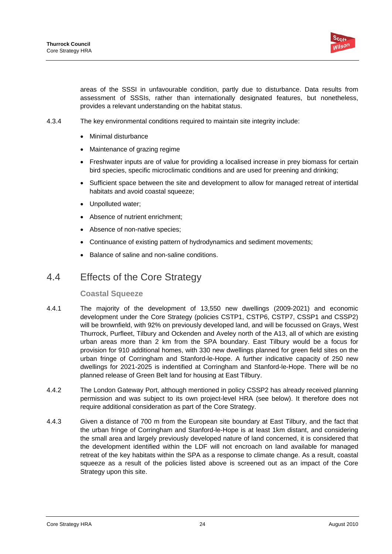

areas of the SSSI in unfavourable condition, partly due to disturbance. Data results from assessment of SSSIs, rather than internationally designated features, but nonetheless, provides a relevant understanding on the habitat status.

- 4.3.4 The key environmental conditions required to maintain site integrity include:
	- Minimal disturbance
	- Maintenance of grazing regime
	- Freshwater inputs are of value for providing a localised increase in prey biomass for certain bird species, specific microclimatic conditions and are used for preening and drinking;
	- Sufficient space between the site and development to allow for managed retreat of intertidal habitats and avoid coastal squeeze:
	- Unpolluted water;
	- Absence of nutrient enrichment;
	- Absence of non-native species;
	- Continuance of existing pattern of hydrodynamics and sediment movements;
	- Balance of saline and non-saline conditions.

## 4.4 Effects of the Core Strategy

### **Coastal Squeeze**

- 4.4.1 The majority of the development of 13,550 new dwellings (2009-2021) and economic development under the Core Strategy (policies CSTP1, CSTP6, CSTP7, CSSP1 and CSSP2) will be brownfield, with 92% on previously developed land, and will be focussed on Grays, West Thurrock, Purfleet, Tilbury and Ockenden and Aveley north of the A13, all of which are existing urban areas more than 2 km from the SPA boundary. East Tilbury would be a focus for provision for 910 additional homes, with 330 new dwellings planned for green field sites on the urban fringe of Corringham and Stanford-le-Hope. A further indicative capacity of 250 new dwellings for 2021-2025 is indentified at Corringham and Stanford-le-Hope. There will be no planned release of Green Belt land for housing at East Tilbury.
- 4.4.2 The London Gateway Port, although mentioned in policy CSSP2 has already received planning permission and was subject to its own project-level HRA (see below). It therefore does not require additional consideration as part of the Core Strategy.
- 4.4.3 Given a distance of 700 m from the European site boundary at East Tilbury, and the fact that the urban fringe of Corringham and Stanford-le-Hope is at least 1km distant, and considering the small area and largely previously developed nature of land concerned, it is considered that the development identified within the LDF will not encroach on land available for managed retreat of the key habitats within the SPA as a response to climate change. As a result, coastal squeeze as a result of the policies listed above is screened out as an impact of the Core Strategy upon this site.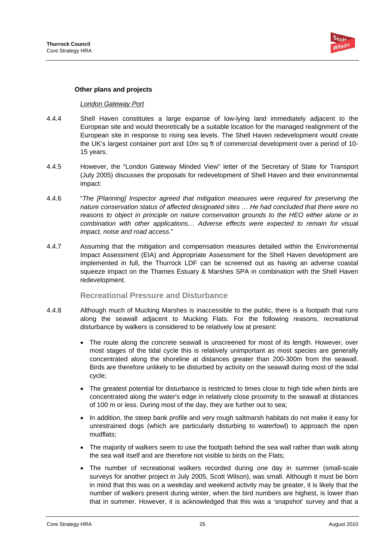

### **Other plans and projects**

#### *London Gateway Port*

- 4.4.4 Shell Haven constitutes a large expanse of low-lying land immediately adjacent to the European site and would theoretically be a suitable location for the managed realignment of the European site in response to rising sea levels. The Shell Haven redevelopment would create the UK's largest container port and 10m sq ft of commercial development over a period of 10- 15 years.
- 4.4.5 However, the "London Gateway Minded View" letter of the Secretary of State for Transport (July 2005) discusses the proposals for redevelopment of Shell Haven and their environmental impact:
- 4.4.6 "*The [Planning] Inspector agreed that mitigation measures were required for preserving the nature conservation status of affected designated sites … He had concluded that there were no reasons to object in principle on nature conservation grounds to the HEO either alone or in combination with other applications… Adverse effects were expected to remain for visual impact, noise and road access*."
- 4.4.7 Assuming that the mitigation and compensation measures detailed within the Environmental Impact Assessment (EIA) and Appropriate Assessment for the Shell Haven development are implemented in full, the Thurrock LDF can be screened out as having an adverse coastal squeeze impact on the Thames Estuary & Marshes SPA in combination with the Shell Haven redevelopment.

### **Recreational Pressure and Disturbance**

- 4.4.8 Although much of Mucking Marshes is inaccessible to the public, there is a footpath that runs along the seawall adjacent to Mucking Flats. For the following reasons, recreational disturbance by walkers is considered to be relatively low at present:
	- The route along the concrete seawall is unscreened for most of its length. However, over most stages of the tidal cycle this is relatively unimportant as most species are generally concentrated along the shoreline at distances greater than 200-300m from the seawall. Birds are therefore unlikely to be disturbed by activity on the seawall during most of the tidal cycle;
	- The greatest potential for disturbance is restricted to times close to high tide when birds are concentrated along the water's edge in relatively close proximity to the seawall at distances of 100 m or less. During most of the day, they are further out to sea;
	- In addition, the steep bank profile and very rough saltmarsh habitats do not make it easy for unrestrained dogs (which are particularly disturbing to waterfowl) to approach the open mudflats;
	- The majority of walkers seem to use the footpath behind the sea wall rather than walk along the sea wall itself and are therefore not visible to birds on the Flats;
	- The number of recreational walkers recorded during one day in summer (small-scale surveys for another project in July 2005, Scott Wilson), was small. Although it must be born in mind that this was on a weekday and weekend activity may be greater, it is likely that the number of walkers present during winter, when the bird numbers are highest, is lower than that in summer. However, it is acknowledged that this was a 'snapshot' survey and that a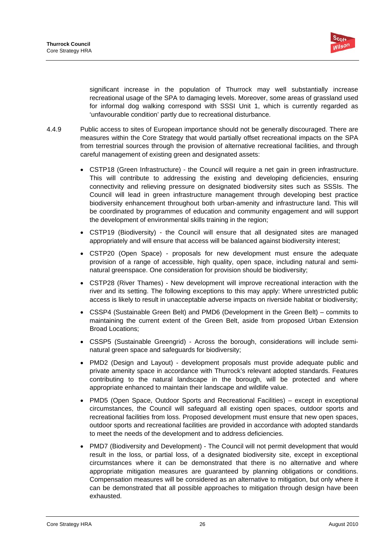

significant increase in the population of Thurrock may well substantially increase recreational usage of the SPA to damaging levels. Moreover, some areas of grassland used for informal dog walking correspond with SSSI Unit 1, which is currently regarded as 'unfavourable condition' partly due to recreational disturbance.

- 4.4.9 Public access to sites of European importance should not be generally discouraged. There are measures within the Core Strategy that would partially offset recreational impacts on the SPA from terrestrial sources through the provision of alternative recreational facilities, and through careful management of existing green and designated assets:
	- CSTP18 (Green Infrastructure) the Council will require a net gain in green infrastructure. This will contribute to addressing the existing and developing deficiencies, ensuring connectivity and relieving pressure on designated biodiversity sites such as SSSIs. The Council will lead in green infrastructure management through developing best practice biodiversity enhancement throughout both urban-amenity and infrastructure land. This will be coordinated by programmes of education and community engagement and will support the development of environmental skills training in the region;
	- CSTP19 (Biodiversity) the Council will ensure that all designated sites are managed appropriately and will ensure that access will be balanced against biodiversity interest;
	- CSTP20 (Open Space) proposals for new development must ensure the adequate provision of a range of accessible, high quality, open space, including natural and seminatural greenspace. One consideration for provision should be biodiversity;
	- CSTP28 (River Thames) New development will improve recreational interaction with the river and its setting. The following exceptions to this may apply: Where unrestricted public access is likely to result in unacceptable adverse impacts on riverside habitat or biodiversity;
	- CSSP4 (Sustainable Green Belt) and PMD6 (Development in the Green Belt) commits to maintaining the current extent of the Green Belt, aside from proposed Urban Extension Broad Locations;
	- CSSP5 (Sustainable Greengrid) Across the borough, considerations will include seminatural green space and safeguards for biodiversity;
	- PMD2 (Design and Layout) development proposals must provide adequate public and private amenity space in accordance with Thurrock's relevant adopted standards. Features contributing to the natural landscape in the borough, will be protected and where appropriate enhanced to maintain their landscape and wildlife value.
	- PMD5 (Open Space, Outdoor Sports and Recreational Facilities) except in exceptional circumstances, the Council will safeguard all existing open spaces, outdoor sports and recreational facilities from loss. Proposed development must ensure that new open spaces, outdoor sports and recreational facilities are provided in accordance with adopted standards to meet the needs of the development and to address deficiencies.
	- PMD7 (Biodiversity and Development) The Council will not permit development that would result in the loss, or partial loss, of a designated biodiversity site, except in exceptional circumstances where it can be demonstrated that there is no alternative and where appropriate mitigation measures are guaranteed by planning obligations or conditions. Compensation measures will be considered as an alternative to mitigation, but only where it can be demonstrated that all possible approaches to mitigation through design have been exhausted.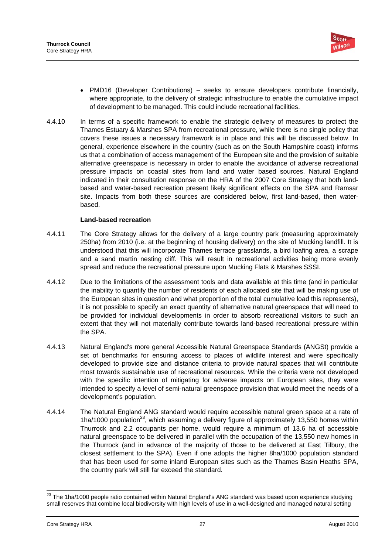

- PMD16 (Developer Contributions) seeks to ensure developers contribute financially, where appropriate, to the delivery of strategic infrastructure to enable the cumulative impact of development to be managed. This could include recreational facilities.
- 4.4.10 In terms of a specific framework to enable the strategic delivery of measures to protect the Thames Estuary & Marshes SPA from recreational pressure, while there is no single policy that covers these issues a necessary framework is in place and this will be discussed below. In general, experience elsewhere in the country (such as on the South Hampshire coast) informs us that a combination of access management of the European site and the provision of suitable alternative greenspace is necessary in order to enable the avoidance of adverse recreational pressure impacts on coastal sites from land and water based sources. Natural England indicated in their consultation response on the HRA of the 2007 Core Strategy that both landbased and water-based recreation present likely significant effects on the SPA and Ramsar site. Impacts from both these sources are considered below, first land-based, then waterbased.

### **Land-based recreation**

- 4.4.11 The Core Strategy allows for the delivery of a large country park (measuring approximately 250ha) from 2010 (i.e. at the beginning of housing delivery) on the site of Mucking landfill. It is understood that this will incorporate Thames terrace grasslands, a bird loafing area, a scrape and a sand martin nesting cliff. This will result in recreational activities being more evenly spread and reduce the recreational pressure upon Mucking Flats & Marshes SSSI.
- 4.4.12 Due to the limitations of the assessment tools and data available at this time (and in particular the inability to quantify the number of residents of each allocated site that will be making use of the European sites in question and what proportion of the total cumulative load this represents), it is not possible to specify an exact quantity of alternative natural greenspace that will need to be provided for individual developments in order to absorb recreational visitors to such an extent that they will not materially contribute towards land-based recreational pressure within the SPA.
- 4.4.13 Natural England's more general Accessible Natural Greenspace Standards (ANGSt) provide a set of benchmarks for ensuring access to places of wildlife interest and were specifically developed to provide size and distance criteria to provide natural spaces that will contribute most towards sustainable use of recreational resources. While the criteria were not developed with the specific intention of mitigating for adverse impacts on European sites, they were intended to specify a level of semi-natural greenspace provision that would meet the needs of a development's population.
- 4.4.14 The Natural England ANG standard would require accessible natural green space at a rate of 1ha/1000 population<sup>23</sup>, which assuming a delivery figure of approximately 13,550 homes within Thurrock and 2.2 occupants per home, would require a minimum of 13.6 ha of accessible natural greenspace to be delivered in parallel with the occupation of the 13,550 new homes in the Thurrock (and in advance of the majority of those to be delivered at East Tilbury, the closest settlement to the SPA). Even if one adopts the higher 8ha/1000 population standard that has been used for some inland European sites such as the Thames Basin Heaths SPA, the country park will still far exceed the standard.

1

 $^{23}$  The 1ha/1000 people ratio contained within Natural England's ANG standard was based upon experience studying small reserves that combine local biodiversity with high levels of use in a well-designed and managed natural setting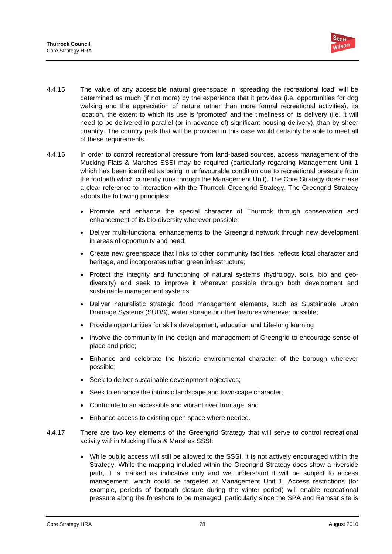

- 4.4.15 The value of any accessible natural greenspace in 'spreading the recreational load' will be determined as much (if not more) by the experience that it provides (i.e. opportunities for dog walking and the appreciation of nature rather than more formal recreational activities), its location, the extent to which its use is 'promoted' and the timeliness of its delivery (i.e. it will need to be delivered in parallel (or in advance of) significant housing delivery), than by sheer quantity. The country park that will be provided in this case would certainly be able to meet all of these requirements.
- 4.4.16 In order to control recreational pressure from land-based sources, access management of the Mucking Flats & Marshes SSSI may be required (particularly regarding Management Unit 1 which has been identified as being in unfavourable condition due to recreational pressure from the footpath which currently runs through the Management Unit). The Core Strategy does make a clear reference to interaction with the Thurrock Greengrid Strategy. The Greengrid Strategy adopts the following principles:
	- Promote and enhance the special character of Thurrock through conservation and enhancement of its bio-diversity wherever possible;
	- Deliver multi-functional enhancements to the Greengrid network through new development in areas of opportunity and need;
	- Create new greenspace that links to other community facilities, reflects local character and heritage, and incorporates urban green infrastructure;
	- Protect the integrity and functioning of natural systems (hydrology, soils, bio and geodiversity) and seek to improve it wherever possible through both development and sustainable management systems;
	- Deliver naturalistic strategic flood management elements, such as Sustainable Urban Drainage Systems (SUDS), water storage or other features wherever possible;
	- Provide opportunities for skills development, education and Life-long learning
	- Involve the community in the design and management of Greengrid to encourage sense of place and pride;
	- Enhance and celebrate the historic environmental character of the borough wherever possible;
	- Seek to deliver sustainable development objectives;
	- Seek to enhance the intrinsic landscape and townscape character;
	- Contribute to an accessible and vibrant river frontage; and
	- Enhance access to existing open space where needed.
- 4.4.17 There are two key elements of the Greengrid Strategy that will serve to control recreational activity within Mucking Flats & Marshes SSSI:
	- While public access will still be allowed to the SSSI, it is not actively encouraged within the Strategy. While the mapping included within the Greengrid Strategy does show a riverside path, it is marked as indicative only and we understand it will be subject to access management, which could be targeted at Management Unit 1. Access restrictions (for example, periods of footpath closure during the winter period) will enable recreational pressure along the foreshore to be managed, particularly since the SPA and Ramsar site is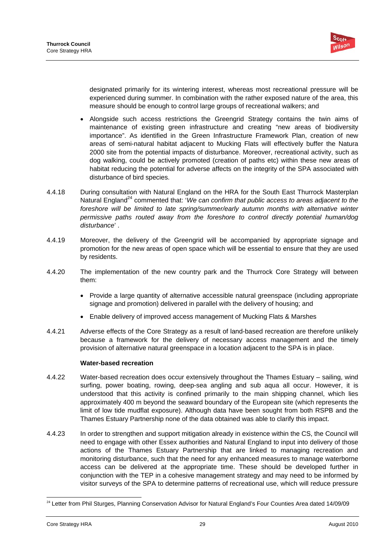

designated primarily for its wintering interest, whereas most recreational pressure will be experienced during summer. In combination with the rather exposed nature of the area, this measure should be enough to control large groups of recreational walkers; and

- Alongside such access restrictions the Greengrid Strategy contains the twin aims of maintenance of existing green infrastructure and creating "new areas of biodiversity importance". As identified in the Green Infrastructure Framework Plan, creation of new areas of semi-natural habitat adjacent to Mucking Flats will effectively buffer the Natura 2000 site from the potential impacts of disturbance. Moreover, recreational activity, such as dog walking, could be actively promoted (creation of paths etc) within these new areas of habitat reducing the potential for adverse affects on the integrity of the SPA associated with disturbance of bird species.
- 4.4.18 During consultation with Natural England on the HRA for the South East Thurrock Masterplan Natural England<sup>24</sup> commented that: 'We can confirm that public access to areas adjacent to the foreshore will be limited to late spring/summer/early autumn months with alternative winter *permissive paths routed away from the foreshore to control directly potential human/dog disturbance*' .
- 4.4.19 Moreover, the delivery of the Greengrid will be accompanied by appropriate signage and promotion for the new areas of open space which will be essential to ensure that they are used by residents.
- 4.4.20 The implementation of the new country park and the Thurrock Core Strategy will between them:
	- Provide a large quantity of alternative accessible natural greenspace (including appropriate signage and promotion) delivered in parallel with the delivery of housing; and
	- Enable delivery of improved access management of Mucking Flats & Marshes
- 4.4.21 Adverse effects of the Core Strategy as a result of land-based recreation are therefore unlikely because a framework for the delivery of necessary access management and the timely provision of alternative natural greenspace in a location adjacent to the SPA is in place.

### **Water-based recreation**

- 4.4.22 Water-based recreation does occur extensively throughout the Thames Estuary sailing, wind surfing, power boating, rowing, deep-sea angling and sub aqua all occur. However, it is understood that this activity is confined primarily to the main shipping channel, which lies approximately 400 m beyond the seaward boundary of the European site (which represents the limit of low tide mudflat exposure). Although data have been sought from both RSPB and the Thames Estuary Partnership none of the data obtained was able to clarify this impact.
- 4.4.23 In order to strengthen and support mitigation already in existence within the CS, the Council will need to engage with other Essex authorities and Natural England to input into delivery of those actions of the Thames Estuary Partnership that are linked to managing recreation and monitoring disturbance, such that the need for any enhanced measures to manage waterborne access can be delivered at the appropriate time. These should be developed further in conjunction with the TEP in a cohesive management strategy and may need to be informed by visitor surveys of the SPA to determine patterns of recreational use, which will reduce pressure

<sup>1</sup> <sup>24</sup> Letter from Phil Sturges, Planning Conservation Advisor for Natural England's Four Counties Area dated 14/09/09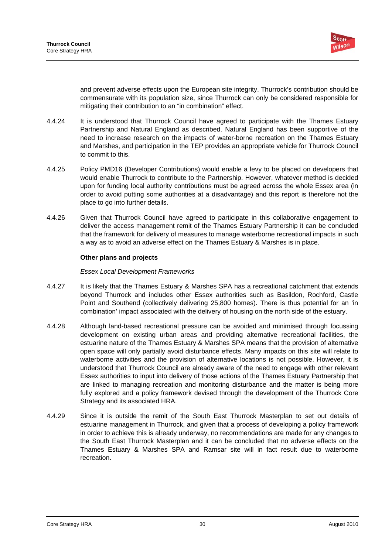

and prevent adverse effects upon the European site integrity. Thurrock's contribution should be commensurate with its population size, since Thurrock can only be considered responsible for mitigating their contribution to an "in combination" effect.

- 4.4.24 It is understood that Thurrock Council have agreed to participate with the Thames Estuary Partnership and Natural England as described. Natural England has been supportive of the need to increase research on the impacts of water-borne recreation on the Thames Estuary and Marshes, and participation in the TEP provides an appropriate vehicle for Thurrock Council to commit to this.
- 4.4.25 Policy PMD16 (Developer Contributions) would enable a levy to be placed on developers that would enable Thurrock to contribute to the Partnership. However, whatever method is decided upon for funding local authority contributions must be agreed across the whole Essex area (in order to avoid putting some authorities at a disadvantage) and this report is therefore not the place to go into further details.
- 4.4.26 Given that Thurrock Council have agreed to participate in this collaborative engagement to deliver the access management remit of the Thames Estuary Partnership it can be concluded that the framework for delivery of measures to manage waterborne recreational impacts in such a way as to avoid an adverse effect on the Thames Estuary & Marshes is in place.

### **Other plans and projects**

### *Essex Local Development Frameworks*

- 4.4.27 It is likely that the Thames Estuary & Marshes SPA has a recreational catchment that extends beyond Thurrock and includes other Essex authorities such as Basildon, Rochford, Castle Point and Southend (collectively delivering 25,800 homes). There is thus potential for an 'in combination' impact associated with the delivery of housing on the north side of the estuary.
- 4.4.28 Although land-based recreational pressure can be avoided and minimised through focussing development on existing urban areas and providing alternative recreational facilities, the estuarine nature of the Thames Estuary & Marshes SPA means that the provision of alternative open space will only partially avoid disturbance effects. Many impacts on this site will relate to waterborne activities and the provision of alternative locations is not possible. However, it is understood that Thurrock Council are already aware of the need to engage with other relevant Essex authorities to input into delivery of those actions of the Thames Estuary Partnership that are linked to managing recreation and monitoring disturbance and the matter is being more fully explored and a policy framework devised through the development of the Thurrock Core Strategy and its associated HRA.
- 4.4.29 Since it is outside the remit of the South East Thurrock Masterplan to set out details of estuarine management in Thurrock, and given that a process of developing a policy framework in order to achieve this is already underway, no recommendations are made for any changes to the South East Thurrock Masterplan and it can be concluded that no adverse effects on the Thames Estuary & Marshes SPA and Ramsar site will in fact result due to waterborne recreation.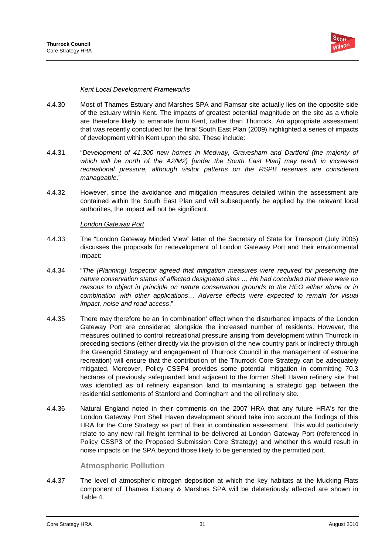

### *Kent Local Development Frameworks*

- 4.4.30 Most of Thames Estuary and Marshes SPA and Ramsar site actually lies on the opposite side of the estuary within Kent. The impacts of greatest potential magnitude on the site as a whole are therefore likely to emanate from Kent, rather than Thurrock. An appropriate assessment that was recently concluded for the final South East Plan (2009) highlighted a series of impacts of development within Kent upon the site. These include:
- 4.4.31 "*Development of 41,300 new homes in Medway, Gravesham and Dartford (the majority of which will be north of the A2/M2) [under the South East Plan] may result in increased recreational pressure, although visitor patterns on the RSPB reserves are considered manageable*."
- 4.4.32 However, since the avoidance and mitigation measures detailed within the assessment are contained within the South East Plan and will subsequently be applied by the relevant local authorities, the impact will not be significant.

#### *London Gateway Port*

- 4.4.33 The "London Gateway Minded View" letter of the Secretary of State for Transport (July 2005) discusses the proposals for redevelopment of London Gateway Port and their environmental impact:
- 4.4.34 "*The [Planning] Inspector agreed that mitigation measures were required for preserving the nature conservation status of affected designated sites … He had concluded that there were no reasons to object in principle on nature conservation grounds to the HEO either alone or in combination with other applications… Adverse effects were expected to remain for visual impact, noise and road access*."
- 4.4.35 There may therefore be an 'in combination' effect when the disturbance impacts of the London Gateway Port are considered alongside the increased number of residents. However, the measures outlined to control recreational pressure arising from development within Thurrock in preceding sections (either directly via the provision of the new country park or indirectly through the Greengrid Strategy and engagement of Thurrock Council in the management of estuarine recreation) will ensure that the contribution of the Thurrock Core Strategy can be adequately mitigated. Moreover, Policy CSSP4 provides some potential mitigation in committing 70.3 hectares of previously safeguarded land adjacent to the former Shell Haven refinery site that was identified as oil refinery expansion land to maintaining a strategic gap between the residential settlements of Stanford and Corringham and the oil refinery site.
- 4.4.36 Natural England noted in their comments on the 2007 HRA that any future HRA's for the London Gateway Port Shell Haven development should take into account the findings of this HRA for the Core Strategy as part of their in combination assessment. This would particularly relate to any new rail freight terminal to be delivered at London Gateway Port (referenced in Policy CSSP3 of the Proposed Submission Core Strategy) and whether this would result in noise impacts on the SPA beyond those likely to be generated by the permitted port.

### **Atmospheric Pollution**

4.4.37 The level of atmospheric nitrogen deposition at which the key habitats at the Mucking Flats component of Thames Estuary & Marshes SPA will be deleteriously affected are shown in Table 4.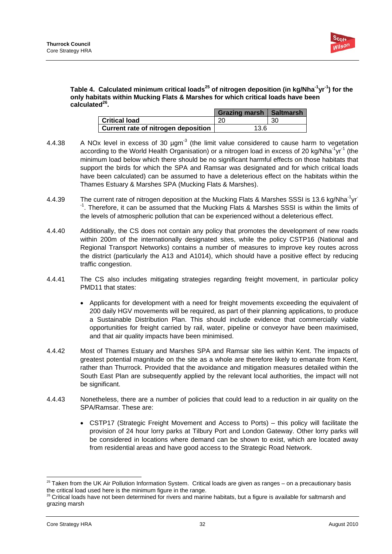

### Table 4. Calculated minimum critical loads<sup>25</sup> of nitrogen deposition (in kg/Nha<sup>-1</sup>yr<sup>-1</sup>) for the **only habitats within Mucking Flats & Marshes for which critical loads have been**  calculated<sup>26</sup>.

|                                     | Grazing marsh   Saltmarsh |     |
|-------------------------------------|---------------------------|-----|
| <b>Critical load</b>                | 20                        | -30 |
| Current rate of nitrogen deposition | 13.6                      |     |

- 4.4.38  $\ldots$  A NOx level in excess of 30  $\mu$ gm<sup>-3</sup> (the limit value considered to cause harm to vegetation according to the World Health Organisation) or a nitrogen load in excess of 20 kg/Nha<sup>-1</sup>yr<sup>-1</sup> (the minimum load below which there should be no significant harmful effects on those habitats that support the birds for which the SPA and Ramsar was designated and for which critical loads have been calculated) can be assumed to have a deleterious effect on the habitats within the Thames Estuary & Marshes SPA (Mucking Flats & Marshes).
- 4.4.39 The current rate of nitrogen deposition at the Mucking Flats & Marshes SSSI is 13.6 kg/Nha<sup>-1</sup>yr<sup>-</sup> <sup>-1</sup>. Therefore, it can be assumed that the Mucking Flats & Marshes SSSI is within the limits of the levels of atmospheric pollution that can be experienced without a deleterious effect.
- 4.4.40 Additionally, the CS does not contain any policy that promotes the development of new roads within 200m of the internationally designated sites, while the policy CSTP16 (National and Regional Transport Networks) contains a number of measures to improve key routes across the district (particularly the A13 and A1014), which should have a positive effect by reducing traffic congestion.
- 4.4.41 The CS also includes mitigating strategies regarding freight movement, in particular policy PMD11 that states:
	- Applicants for development with a need for freight movements exceeding the equivalent of 200 daily HGV movements will be required, as part of their planning applications, to produce a Sustainable Distribution Plan. This should include evidence that commercially viable opportunities for freight carried by rail, water, pipeline or conveyor have been maximised, and that air quality impacts have been minimised.
- 4.4.42 Most of Thames Estuary and Marshes SPA and Ramsar site lies within Kent. The impacts of greatest potential magnitude on the site as a whole are therefore likely to emanate from Kent, rather than Thurrock. Provided that the avoidance and mitigation measures detailed within the South East Plan are subsequently applied by the relevant local authorities, the impact will not be significant.
- 4.4.43 Nonetheless, there are a number of policies that could lead to a reduction in air quality on the SPA/Ramsar. These are:
	- CSTP17 (Strategic Freight Movement and Access to Ports) this policy will facilitate the provision of 24 hour lorry parks at Tilbury Port and London Gateway. Other lorry parks will be considered in locations where demand can be shown to exist, which are located away from residential areas and have good access to the Strategic Road Network.

<sup>1</sup>  $25$  Taken from the UK Air Pollution Information System. Critical loads are given as ranges – on a precautionary basis the critical load used here is the minimum figure in the range.<br><sup>26</sup> Critical loads have not been determined for rivers and marine habitats, but a figure is available for saltmarsh and

grazing marsh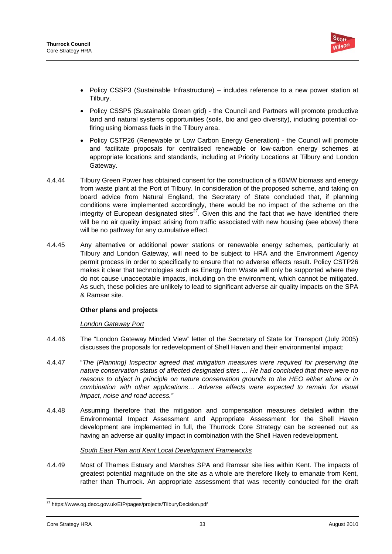

- Policy CSSP3 (Sustainable Infrastructure) includes reference to a new power station at Tilbury.
- Policy CSSP5 (Sustainable Green grid) the Council and Partners will promote productive land and natural systems opportunities (soils, bio and geo diversity), including potential cofiring using biomass fuels in the Tilbury area.
- Policy CSTP26 (Renewable or Low Carbon Energy Generation) the Council will promote and facilitate proposals for centralised renewable or low-carbon energy schemes at appropriate locations and standards, including at Priority Locations at Tilbury and London Gateway.
- 4.4.44 Tilbury Green Power has obtained consent for the construction of a 60MW biomass and energy from waste plant at the Port of Tilbury. In consideration of the proposed scheme, and taking on board advice from Natural England, the Secretary of State concluded that, if planning conditions were implemented accordingly, there would be no impact of the scheme on the integrity of European designated sites $27.$  Given this and the fact that we have identified there will be no air quality impact arising from traffic associated with new housing (see above) there will be no pathway for any cumulative effect.
- 4.4.45 Any alternative or additional power stations or renewable energy schemes, particularly at Tilbury and London Gateway, will need to be subject to HRA and the Environment Agency permit process in order to specifically to ensure that no adverse effects result. Policy CSTP26 makes it clear that technologies such as Energy from Waste will only be supported where they do not cause unacceptable impacts, including on the environment, which cannot be mitigated. As such, these policies are unlikely to lead to significant adverse air quality impacts on the SPA & Ramsar site.

# **Other plans and projects**

# *London Gateway Port*

- 4.4.46 The "London Gateway Minded View" letter of the Secretary of State for Transport (July 2005) discusses the proposals for redevelopment of Shell Haven and their environmental impact:
- 4.4.47 "*The [Planning] Inspector agreed that mitigation measures were required for preserving the nature conservation status of affected designated sites … He had concluded that there were no reasons to object in principle on nature conservation grounds to the HEO either alone or in combination with other applications… Adverse effects were expected to remain for visual impact, noise and road access."*
- 4.4.48 Assuming therefore that the mitigation and compensation measures detailed within the Environmental Impact Assessment and Appropriate Assessment for the Shell Haven development are implemented in full, the Thurrock Core Strategy can be screened out as having an adverse air quality impact in combination with the Shell Haven redevelopment.

# *South East Plan and Kent Local Development Frameworks*

4.4.49 Most of Thames Estuary and Marshes SPA and Ramsar site lies within Kent. The impacts of greatest potential magnitude on the site as a whole are therefore likely to emanate from Kent, rather than Thurrock. An appropriate assessment that was recently conducted for the draft

<sup>1</sup> <sup>27</sup> https://www.og.decc.gov.uk/EIP/pages/projects/TilburyDecision.pdf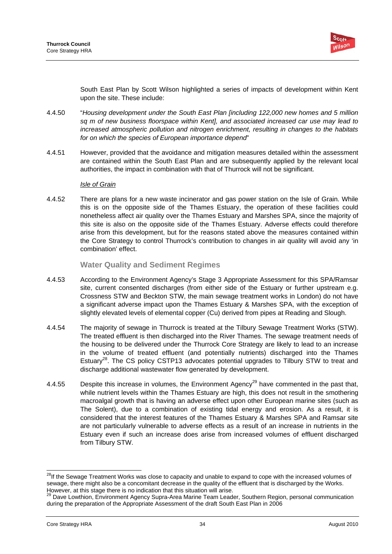

South East Plan by Scott Wilson highlighted a series of impacts of development within Kent upon the site. These include:

- 4.4.50 "*Housing development under the South East Plan [including 122,000 new homes and 5 million sq m of new business floorspace within Kent], and associated increased car use may lead to increased atmospheric pollution and nitrogen enrichment, resulting in changes to the habitats for on which the species of European importance depend*"
- 4.4.51 However, provided that the avoidance and mitigation measures detailed within the assessment are contained within the South East Plan and are subsequently applied by the relevant local authorities, the impact in combination with that of Thurrock will not be significant.

#### *Isle of Grain*

4.4.52 There are plans for a new waste incinerator and gas power station on the Isle of Grain. While this is on the opposite side of the Thames Estuary, the operation of these facilities could nonetheless affect air quality over the Thames Estuary and Marshes SPA, since the majority of this site is also on the opposite side of the Thames Estuary. Adverse effects could therefore arise from this development, but for the reasons stated above the measures contained within the Core Strategy to control Thurrock's contribution to changes in air quality will avoid any 'in combination' effect.

### **Water Quality and Sediment Regimes**

- 4.4.53 According to the Environment Agency's Stage 3 Appropriate Assessment for this SPA/Ramsar site, current consented discharges (from either side of the Estuary or further upstream e.g. Crossness STW and Beckton STW, the main sewage treatment works in London) do not have a significant adverse impact upon the Thames Estuary & Marshes SPA, with the exception of slightly elevated levels of elemental copper (Cu) derived from pipes at Reading and Slough.
- 4.4.54 The majority of sewage in Thurrock is treated at the Tilbury Sewage Treatment Works (STW). The treated effluent is then discharged into the River Thames. The sewage treatment needs of the housing to be delivered under the Thurrock Core Strategy are likely to lead to an increase in the volume of treated effluent (and potentially nutrients) discharged into the Thames Estuary<sup>28</sup>. The CS policy CSTP13 advocates potential upgrades to Tilbury STW to treat and discharge additional wastewater flow generated by development.
- 4.4.55 Despite this increase in volumes, the Environment Agency<sup>29</sup> have commented in the past that, while nutrient levels within the Thames Estuary are high, this does not result in the smothering macroalgal growth that is having an adverse effect upon other European marine sites (such as The Solent), due to a combination of existing tidal energy and erosion. As a result, it is considered that the interest features of the Thames Estuary & Marshes SPA and Ramsar site are not particularly vulnerable to adverse effects as a result of an increase in nutrients in the Estuary even if such an increase does arise from increased volumes of effluent discharged from Tilbury STW.

<sup>1</sup> <sup>28</sup>If the Sewage Treatment Works was close to capacity and unable to expand to cope with the increased volumes of sewage, there might also be a concomitant decrease in the quality of the effluent that is discharged by the Works. However, at this stage there is no indication that this situation will arise.<br><sup>29</sup> Dave Lowthion, Environment Agency Supra-Area Marine Team Leader, Southern Region, personal communication

during the preparation of the Appropriate Assessment of the draft South East Plan in 2006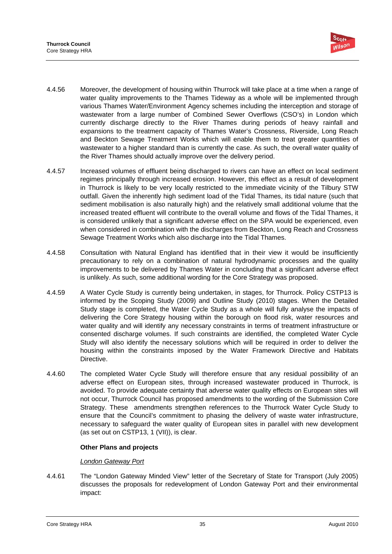

- 4.4.56 Moreover, the development of housing within Thurrock will take place at a time when a range of water quality improvements to the Thames Tideway as a whole will be implemented through various Thames Water/Environment Agency schemes including the interception and storage of wastewater from a large number of Combined Sewer Overflows (CSO's) in London which currently discharge directly to the River Thames during periods of heavy rainfall and expansions to the treatment capacity of Thames Water's Crossness, Riverside, Long Reach and Beckton Sewage Treatment Works which will enable them to treat greater quantities of wastewater to a higher standard than is currently the case. As such, the overall water quality of the River Thames should actually improve over the delivery period.
- 4.4.57 Increased volumes of effluent being discharged to rivers can have an effect on local sediment regimes principally through increased erosion. However, this effect as a result of development in Thurrock is likely to be very locally restricted to the immediate vicinity of the Tilbury STW outfall. Given the inherently high sediment load of the Tidal Thames, its tidal nature (such that sediment mobilisation is also naturally high) and the relatively small additional volume that the increased treated effluent will contribute to the overall volume and flows of the Tidal Thames, it is considered unlikely that a significant adverse effect on the SPA would be experienced, even when considered in combination with the discharges from Beckton, Long Reach and Crossness Sewage Treatment Works which also discharge into the Tidal Thames.
- 4.4.58 Consultation with Natural England has identified that in their view it would be insufficiently precautionary to rely on a combination of natural hydrodynamic processes and the quality improvements to be delivered by Thames Water in concluding that a significant adverse effect is unlikely. As such, some additional wording for the Core Strategy was proposed.
- 4.4.59 A Water Cycle Study is currently being undertaken, in stages, for Thurrock. Policy CSTP13 is informed by the Scoping Study (2009) and Outline Study (2010) stages. When the Detailed Study stage is completed, the Water Cycle Study as a whole will fully analyse the impacts of delivering the Core Strategy housing within the borough on flood risk, water resources and water quality and will identify any necessary constraints in terms of treatment infrastructure or consented discharge volumes. If such constraints are identified, the completed Water Cycle Study will also identify the necessary solutions which will be required in order to deliver the housing within the constraints imposed by the Water Framework Directive and Habitats Directive.
- 4.4.60 The completed Water Cycle Study will therefore ensure that any residual possibility of an adverse effect on European sites, through increased wastewater produced in Thurrock, is avoided. To provide adequate certainty that adverse water quality effects on European sites will not occur, Thurrock Council has proposed amendments to the wording of the Submission Core Strategy. These amendments strengthen references to the Thurrock Water Cycle Study to ensure that the Council's commitment to phasing the delivery of waste water infrastructure, necessary to safeguard the water quality of European sites in parallel with new development (as set out on CSTP13, 1 (VII)), is clear.

# **Other Plans and projects**

#### *London Gateway Port*

4.4.61 The "London Gateway Minded View" letter of the Secretary of State for Transport (July 2005) discusses the proposals for redevelopment of London Gateway Port and their environmental impact: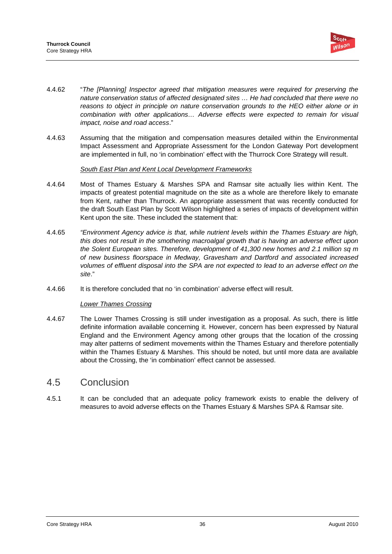

- 4.4.62 "*The [Planning] Inspector agreed that mitigation measures were required for preserving the nature conservation status of affected designated sites … He had concluded that there were no reasons to object in principle on nature conservation grounds to the HEO either alone or in combination with other applications… Adverse effects were expected to remain for visual impact, noise and road access*."
- 4.4.63 Assuming that the mitigation and compensation measures detailed within the Environmental Impact Assessment and Appropriate Assessment for the London Gateway Port development are implemented in full, no 'in combination' effect with the Thurrock Core Strategy will result.

### *South East Plan and Kent Local Development Frameworks*

- 4.4.64 Most of Thames Estuary & Marshes SPA and Ramsar site actually lies within Kent. The impacts of greatest potential magnitude on the site as a whole are therefore likely to emanate from Kent, rather than Thurrock. An appropriate assessment that was recently conducted for the draft South East Plan by Scott Wilson highlighted a series of impacts of development within Kent upon the site. These included the statement that:
- 4.4.65 *"Environment Agency advice is that, while nutrient levels within the Thames Estuary are high, this does not result in the smothering macroalgal growth that is having an adverse effect upon the Solent European sites. Therefore, development of 41,300 new homes and 2.1 million sq m of new business floorspace in Medway, Gravesham and Dartford and associated increased volumes of effluent disposal into the SPA are not expected to lead to an adverse effect on the site*."
- 4.4.66 It is therefore concluded that no 'in combination' adverse effect will result.

#### *Lower Thames Crossing*

4.4.67 The Lower Thames Crossing is still under investigation as a proposal. As such, there is little definite information available concerning it. However, concern has been expressed by Natural England and the Environment Agency among other groups that the location of the crossing may alter patterns of sediment movements within the Thames Estuary and therefore potentially within the Thames Estuary & Marshes. This should be noted, but until more data are available about the Crossing, the 'in combination' effect cannot be assessed.

# 4.5 Conclusion

4.5.1 It can be concluded that an adequate policy framework exists to enable the delivery of measures to avoid adverse effects on the Thames Estuary & Marshes SPA & Ramsar site.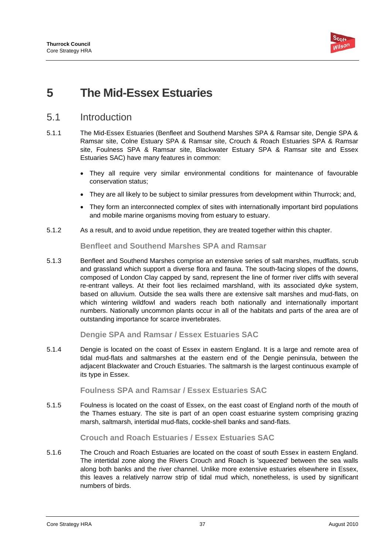

# **5 The Mid-Essex Estuaries**

# 5.1 Introduction

- 5.1.1 The Mid-Essex Estuaries (Benfleet and Southend Marshes SPA & Ramsar site, Dengie SPA & Ramsar site, Colne Estuary SPA & Ramsar site, Crouch & Roach Estuaries SPA & Ramsar site, Foulness SPA & Ramsar site, Blackwater Estuary SPA & Ramsar site and Essex Estuaries SAC) have many features in common:
	- They all require very similar environmental conditions for maintenance of favourable conservation status;
	- They are all likely to be subject to similar pressures from development within Thurrock; and,
	- They form an interconnected complex of sites with internationally important bird populations and mobile marine organisms moving from estuary to estuary.
- 5.1.2 As a result, and to avoid undue repetition, they are treated together within this chapter.

**Benfleet and Southend Marshes SPA and Ramsar** 

5.1.3 Benfleet and Southend Marshes comprise an extensive series of salt marshes, mudflats, scrub and grassland which support a diverse flora and fauna. The south-facing slopes of the downs, composed of London Clay capped by sand, represent the line of former river cliffs with several re-entrant valleys. At their foot lies reclaimed marshland, with its associated dyke system, based on alluvium. Outside the sea walls there are extensive salt marshes and mud-flats, on which wintering wildfowl and waders reach both nationally and internationally important numbers. Nationally uncommon plants occur in all of the habitats and parts of the area are of outstanding importance for scarce invertebrates.

**Dengie SPA and Ramsar / Essex Estuaries SAC** 

5.1.4 Dengie is located on the coast of Essex in eastern England. It is a large and remote area of tidal mud-flats and saltmarshes at the eastern end of the Dengie peninsula, between the adjacent Blackwater and Crouch Estuaries. The saltmarsh is the largest continuous example of its type in Essex.

# **Foulness SPA and Ramsar / Essex Estuaries SAC**

5.1.5 Foulness is located on the coast of Essex, on the east coast of England north of the mouth of the Thames estuary. The site is part of an open coast estuarine system comprising grazing marsh, saltmarsh, intertidal mud-flats, cockle-shell banks and sand-flats.

# **Crouch and Roach Estuaries / Essex Estuaries SAC**

5.1.6 The Crouch and Roach Estuaries are located on the coast of south Essex in eastern England. The intertidal zone along the Rivers Crouch and Roach is 'squeezed' between the sea walls along both banks and the river channel. Unlike more extensive estuaries elsewhere in Essex, this leaves a relatively narrow strip of tidal mud which, nonetheless, is used by significant numbers of birds.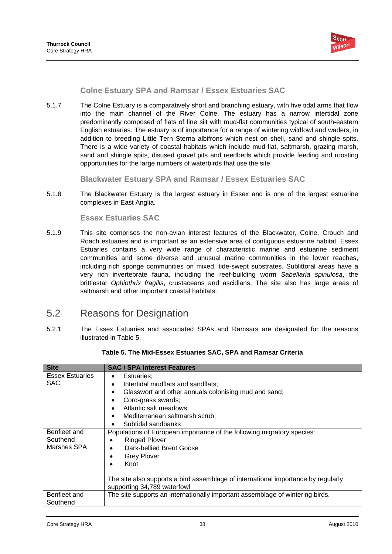

**Colne Estuary SPA and Ramsar / Essex Estuaries SAC** 

5.1.7 The Colne Estuary is a comparatively short and branching estuary, with five tidal arms that flow into the main channel of the River Colne. The estuary has a narrow intertidal zone predominantly composed of flats of fine silt with mud-flat communities typical of south-eastern English estuaries. The estuary is of importance for a range of wintering wildfowl and waders, in addition to breeding Little Tern Sterna albifrons which nest on shell, sand and shingle spits. There is a wide variety of coastal habitats which include mud-flat, saltmarsh, grazing marsh, sand and shingle spits, disused gravel pits and reedbeds which provide feeding and roosting opportunities for the large numbers of waterbirds that use the site.

**Blackwater Estuary SPA and Ramsar / Essex Estuaries SAC** 

5.1.8 The Blackwater Estuary is the largest estuary in Essex and is one of the largest estuarine complexes in East Anglia.

### **Essex Estuaries SAC**

5.1.9 This site comprises the non-avian interest features of the Blackwater, Colne, Crouch and Roach estuaries and is important as an extensive area of contiguous estuarine habitat. Essex Estuaries contains a very wide range of characteristic marine and estuarine sediment communities and some diverse and unusual marine communities in the lower reaches, including rich sponge communities on mixed, tide-swept substrates. Sublittoral areas have a very rich invertebrate fauna, including the reef-building worm *Sabellaria spinulosa*, the brittlestar *Ophiothrix fragilis*, crustaceans and ascidians. The site also has large areas of saltmarsh and other important coastal habitats.

# 5.2 Reasons for Designation

5.2.1 The Essex Estuaries and associated SPAs and Ramsars are designated for the reasons illustrated in Table 5.

| <b>Site</b>                             | <b>SAC / SPA Interest Features</b>                                                |  |  |  |
|-----------------------------------------|-----------------------------------------------------------------------------------|--|--|--|
| <b>Essex Estuaries</b>                  | Estuaries;<br>٠                                                                   |  |  |  |
| <b>SAC</b>                              | Intertidal mudflats and sandflats;<br>$\bullet$                                   |  |  |  |
|                                         | Glasswort and other annuals colonising mud and sand;<br>$\bullet$                 |  |  |  |
|                                         | Cord-grass swards;<br>$\bullet$                                                   |  |  |  |
|                                         | Atlantic salt meadows;<br>$\bullet$                                               |  |  |  |
|                                         | Mediterranean saltmarsh scrub;<br>$\bullet$                                       |  |  |  |
|                                         | Subtidal sandbanks                                                                |  |  |  |
| Benfleet and                            | Populations of European importance of the following migratory species:            |  |  |  |
| Southend                                | <b>Ringed Plover</b>                                                              |  |  |  |
| Marshes SPA<br>Dark-bellied Brent Goose |                                                                                   |  |  |  |
|                                         | <b>Grey Plover</b>                                                                |  |  |  |
|                                         | Knot<br>٠                                                                         |  |  |  |
|                                         | The site also supports a bird assemblage of international importance by regularly |  |  |  |
|                                         | supporting 34,789 waterfowl                                                       |  |  |  |
| Benfleet and                            | The site supports an internationally important assemblage of wintering birds.     |  |  |  |
| Southend                                |                                                                                   |  |  |  |

#### **Table 5. The Mid-Essex Estuaries SAC, SPA and Ramsar Criteria**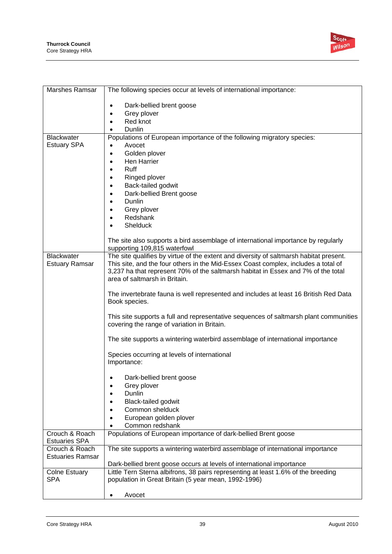

| Marshes Ramsar          | The following species occur at levels of international importance:                                                     |
|-------------------------|------------------------------------------------------------------------------------------------------------------------|
|                         | Dark-bellied brent goose                                                                                               |
|                         | Grey plover                                                                                                            |
|                         | Red knot                                                                                                               |
|                         | Dunlin                                                                                                                 |
| <b>Blackwater</b>       | Populations of European importance of the following migratory species:                                                 |
| <b>Estuary SPA</b>      | Avocet<br>$\bullet$<br>Golden plover<br>$\bullet$                                                                      |
|                         | Hen Harrier                                                                                                            |
|                         | Ruff                                                                                                                   |
|                         | Ringed plover<br>$\bullet$                                                                                             |
|                         | Back-tailed godwit<br>٠                                                                                                |
|                         | Dark-bellied Brent goose                                                                                               |
|                         | Dunlin                                                                                                                 |
|                         | Grey plover                                                                                                            |
|                         | Redshank<br>Shelduck                                                                                                   |
|                         |                                                                                                                        |
|                         | The site also supports a bird assemblage of international importance by regularly                                      |
| <b>Blackwater</b>       | supporting 109,815 waterfowl<br>The site qualifies by virtue of the extent and diversity of saltmarsh habitat present. |
| <b>Estuary Ramsar</b>   | This site, and the four others in the Mid-Essex Coast complex, includes a total of                                     |
|                         | 3,237 ha that represent 70% of the saltmarsh habitat in Essex and 7% of the total                                      |
|                         | area of saltmarsh in Britain.                                                                                          |
|                         | The invertebrate fauna is well represented and includes at least 16 British Red Data                                   |
|                         | Book species.                                                                                                          |
|                         |                                                                                                                        |
|                         | This site supports a full and representative sequences of saltmarsh plant communities                                  |
|                         | covering the range of variation in Britain.                                                                            |
|                         | The site supports a wintering waterbird assemblage of international importance                                         |
|                         | Species occurring at levels of international                                                                           |
|                         | Importance:                                                                                                            |
|                         | Dark-bellied brent goose                                                                                               |
|                         | Grey plover                                                                                                            |
|                         | Dunlin                                                                                                                 |
|                         | <b>Black-tailed godwit</b>                                                                                             |
|                         | Common shelduck                                                                                                        |
|                         | European golden plover<br>Common redshank                                                                              |
| Crouch & Roach          | Populations of European importance of dark-bellied Brent goose                                                         |
| <b>Estuaries SPA</b>    |                                                                                                                        |
| Crouch & Roach          | The site supports a wintering waterbird assemblage of international importance                                         |
|                         |                                                                                                                        |
| Colne Estuary           | Little Tern Sterna albifrons, 38 pairs representing at least 1.6% of the breeding                                      |
| <b>SPA</b>              | population in Great Britain (5 year mean, 1992-1996)                                                                   |
|                         |                                                                                                                        |
| <b>Estuaries Ramsar</b> | Dark-bellied brent goose occurs at levels of international importance<br>Avocet                                        |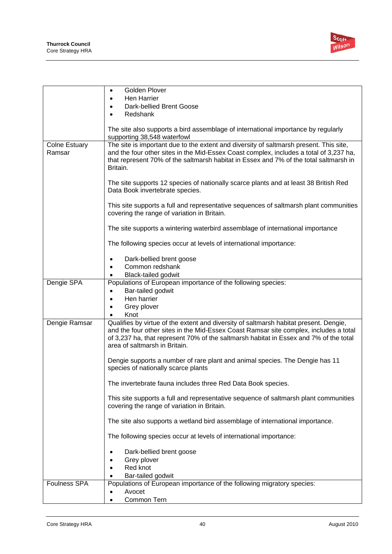

|                      | Golden Plover<br>$\bullet$                                                                                                                                                                                                                                                                               |
|----------------------|----------------------------------------------------------------------------------------------------------------------------------------------------------------------------------------------------------------------------------------------------------------------------------------------------------|
|                      | Hen Harrier                                                                                                                                                                                                                                                                                              |
|                      | Dark-bellied Brent Goose                                                                                                                                                                                                                                                                                 |
|                      | Redshank                                                                                                                                                                                                                                                                                                 |
|                      |                                                                                                                                                                                                                                                                                                          |
|                      | The site also supports a bird assemblage of international importance by regularly<br>supporting 38,548 waterfowl                                                                                                                                                                                         |
| <b>Colne Estuary</b> | The site is important due to the extent and diversity of saltmarsh present. This site,                                                                                                                                                                                                                   |
| Ramsar               | and the four other sites in the Mid-Essex Coast complex, includes a total of 3,237 ha,<br>that represent 70% of the saltmarsh habitat in Essex and 7% of the total saltmarsh in<br>Britain.                                                                                                              |
|                      | The site supports 12 species of nationally scarce plants and at least 38 British Red<br>Data Book invertebrate species.                                                                                                                                                                                  |
|                      | This site supports a full and representative sequences of saltmarsh plant communities<br>covering the range of variation in Britain.                                                                                                                                                                     |
|                      | The site supports a wintering waterbird assemblage of international importance                                                                                                                                                                                                                           |
|                      | The following species occur at levels of international importance:                                                                                                                                                                                                                                       |
|                      | Dark-bellied brent goose                                                                                                                                                                                                                                                                                 |
|                      | Common redshank                                                                                                                                                                                                                                                                                          |
|                      | Black-tailed godwit                                                                                                                                                                                                                                                                                      |
| Dengie SPA           | Populations of European importance of the following species:                                                                                                                                                                                                                                             |
|                      | Bar-tailed godwit<br>$\bullet$                                                                                                                                                                                                                                                                           |
|                      | Hen harrier                                                                                                                                                                                                                                                                                              |
|                      | Grey plover                                                                                                                                                                                                                                                                                              |
|                      | Knot                                                                                                                                                                                                                                                                                                     |
| Dengie Ramsar        | Qualifies by virtue of the extent and diversity of saltmarsh habitat present. Dengie,<br>and the four other sites in the Mid-Essex Coast Ramsar site complex, includes a total<br>of 3,237 ha, that represent 70% of the saltmarsh habitat in Essex and 7% of the total<br>area of saltmarsh in Britain. |
|                      | Dengie supports a number of rare plant and animal species. The Dengie has 11<br>species of nationally scarce plants                                                                                                                                                                                      |
|                      | The invertebrate fauna includes three Red Data Book species.                                                                                                                                                                                                                                             |
|                      | This site supports a full and representative sequence of saltmarsh plant communities<br>covering the range of variation in Britain.                                                                                                                                                                      |
|                      | The site also supports a wetland bird assemblage of international importance.                                                                                                                                                                                                                            |
|                      | The following species occur at levels of international importance:                                                                                                                                                                                                                                       |
|                      | Dark-bellied brent goose                                                                                                                                                                                                                                                                                 |
|                      | Grey plover                                                                                                                                                                                                                                                                                              |
|                      | Red knot                                                                                                                                                                                                                                                                                                 |
|                      | Bar-tailed godwit                                                                                                                                                                                                                                                                                        |
| <b>Foulness SPA</b>  | Populations of European importance of the following migratory species:                                                                                                                                                                                                                                   |
|                      | Avocet                                                                                                                                                                                                                                                                                                   |
|                      | Common Tern                                                                                                                                                                                                                                                                                              |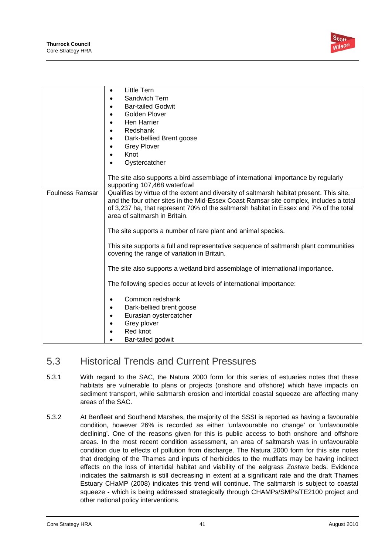

|                        | Little Tern<br>$\bullet$                                                                                                                                                                                                                                                                                    |  |
|------------------------|-------------------------------------------------------------------------------------------------------------------------------------------------------------------------------------------------------------------------------------------------------------------------------------------------------------|--|
|                        | Sandwich Tern                                                                                                                                                                                                                                                                                               |  |
|                        | <b>Bar-tailed Godwit</b>                                                                                                                                                                                                                                                                                    |  |
|                        | Golden Plover                                                                                                                                                                                                                                                                                               |  |
|                        | Hen Harrier                                                                                                                                                                                                                                                                                                 |  |
|                        | Redshank                                                                                                                                                                                                                                                                                                    |  |
|                        | Dark-bellied Brent goose                                                                                                                                                                                                                                                                                    |  |
|                        | <b>Grey Plover</b>                                                                                                                                                                                                                                                                                          |  |
|                        | Knot                                                                                                                                                                                                                                                                                                        |  |
|                        | Oystercatcher                                                                                                                                                                                                                                                                                               |  |
|                        |                                                                                                                                                                                                                                                                                                             |  |
|                        | The site also supports a bird assemblage of international importance by regularly<br>supporting 107,468 waterfowl                                                                                                                                                                                           |  |
| <b>Foulness Ramsar</b> | Qualifies by virtue of the extent and diversity of saltmarsh habitat present. This site,<br>and the four other sites in the Mid-Essex Coast Ramsar site complex, includes a total<br>of 3,237 ha, that represent 70% of the saltmarsh habitat in Essex and 7% of the total<br>area of saltmarsh in Britain. |  |
|                        | The site supports a number of rare plant and animal species.                                                                                                                                                                                                                                                |  |
|                        | This site supports a full and representative sequence of saltmarsh plant communities<br>covering the range of variation in Britain.                                                                                                                                                                         |  |
|                        | The site also supports a wetland bird assemblage of international importance.                                                                                                                                                                                                                               |  |
|                        | The following species occur at levels of international importance:                                                                                                                                                                                                                                          |  |
|                        | Common redshank                                                                                                                                                                                                                                                                                             |  |
|                        | Dark-bellied brent goose                                                                                                                                                                                                                                                                                    |  |
|                        | Eurasian oystercatcher                                                                                                                                                                                                                                                                                      |  |
|                        | Grey plover                                                                                                                                                                                                                                                                                                 |  |
|                        | Red knot                                                                                                                                                                                                                                                                                                    |  |
|                        | Bar-tailed godwit                                                                                                                                                                                                                                                                                           |  |

# 5.3 Historical Trends and Current Pressures

- 5.3.1 With regard to the SAC, the Natura 2000 form for this series of estuaries notes that these habitats are vulnerable to plans or projects (onshore and offshore) which have impacts on sediment transport, while saltmarsh erosion and intertidal coastal squeeze are affecting many areas of the SAC.
- 5.3.2 At Benfleet and Southend Marshes, the majority of the SSSI is reported as having a favourable condition, however 26% is recorded as either 'unfavourable no change' or 'unfavourable declining'. One of the reasons given for this is public access to both onshore and offshore areas. In the most recent condition assessment, an area of saltmarsh was in unfavourable condition due to effects of pollution from discharge. The Natura 2000 form for this site notes that dredging of the Thames and inputs of herbicides to the mudflats may be having indirect effects on the loss of intertidal habitat and viability of the eelgrass *Zostera* beds. Evidence indicates the saltmarsh is still decreasing in extent at a significant rate and the draft Thames Estuary CHaMP (2008) indicates this trend will continue. The saltmarsh is subject to coastal squeeze - which is being addressed strategically through CHAMPs/SMPs/TE2100 project and other national policy interventions.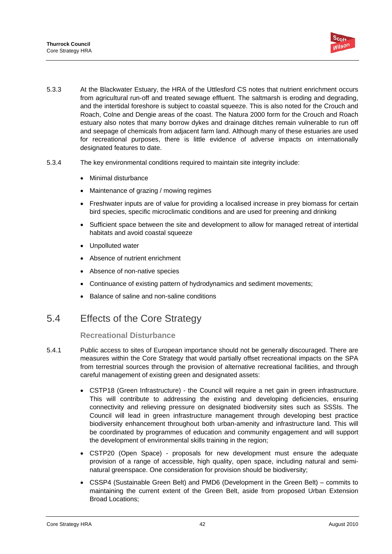

- 5.3.3 At the Blackwater Estuary, the HRA of the Uttlesford CS notes that nutrient enrichment occurs from agricultural run-off and treated sewage effluent. The saltmarsh is eroding and degrading, and the intertidal foreshore is subject to coastal squeeze. This is also noted for the Crouch and Roach, Colne and Dengie areas of the coast. The Natura 2000 form for the Crouch and Roach estuary also notes that many borrow dykes and drainage ditches remain vulnerable to run off and seepage of chemicals from adjacent farm land. Although many of these estuaries are used for recreational purposes, there is little evidence of adverse impacts on internationally designated features to date.
- 5.3.4 The key environmental conditions required to maintain site integrity include:
	- Minimal disturbance
	- Maintenance of grazing / mowing regimes
	- Freshwater inputs are of value for providing a localised increase in prey biomass for certain bird species, specific microclimatic conditions and are used for preening and drinking
	- Sufficient space between the site and development to allow for managed retreat of intertidal habitats and avoid coastal squeeze
	- Unpolluted water
	- Absence of nutrient enrichment
	- Absence of non-native species
	- Continuance of existing pattern of hydrodynamics and sediment movements;
	- Balance of saline and non-saline conditions

# 5.4 Effects of the Core Strategy

# **Recreational Disturbance**

- 5.4.1 Public access to sites of European importance should not be generally discouraged. There are measures within the Core Strategy that would partially offset recreational impacts on the SPA from terrestrial sources through the provision of alternative recreational facilities, and through careful management of existing green and designated assets:
	- CSTP18 (Green Infrastructure) the Council will require a net gain in green infrastructure. This will contribute to addressing the existing and developing deficiencies, ensuring connectivity and relieving pressure on designated biodiversity sites such as SSSIs. The Council will lead in green infrastructure management through developing best practice biodiversity enhancement throughout both urban-amenity and infrastructure land. This will be coordinated by programmes of education and community engagement and will support the development of environmental skills training in the region;
	- CSTP20 (Open Space) proposals for new development must ensure the adequate provision of a range of accessible, high quality, open space, including natural and seminatural greenspace. One consideration for provision should be biodiversity;
	- CSSP4 (Sustainable Green Belt) and PMD6 (Development in the Green Belt) commits to maintaining the current extent of the Green Belt, aside from proposed Urban Extension Broad Locations;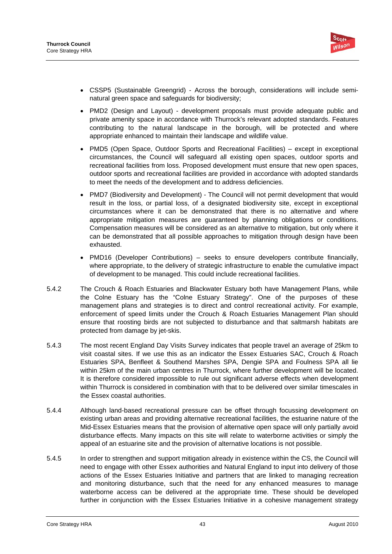

- CSSP5 (Sustainable Greengrid) Across the borough, considerations will include seminatural green space and safeguards for biodiversity;
- PMD2 (Design and Layout) development proposals must provide adequate public and private amenity space in accordance with Thurrock's relevant adopted standards. Features contributing to the natural landscape in the borough, will be protected and where appropriate enhanced to maintain their landscape and wildlife value.
- PMD5 (Open Space, Outdoor Sports and Recreational Facilities) except in exceptional circumstances, the Council will safeguard all existing open spaces, outdoor sports and recreational facilities from loss. Proposed development must ensure that new open spaces, outdoor sports and recreational facilities are provided in accordance with adopted standards to meet the needs of the development and to address deficiencies.
- PMD7 (Biodiversity and Development) The Council will not permit development that would result in the loss, or partial loss, of a designated biodiversity site, except in exceptional circumstances where it can be demonstrated that there is no alternative and where appropriate mitigation measures are guaranteed by planning obligations or conditions. Compensation measures will be considered as an alternative to mitigation, but only where it can be demonstrated that all possible approaches to mitigation through design have been exhausted.
- PMD16 (Developer Contributions) seeks to ensure developers contribute financially, where appropriate, to the delivery of strategic infrastructure to enable the cumulative impact of development to be managed. This could include recreational facilities.
- 5.4.2 The Crouch & Roach Estuaries and Blackwater Estuary both have Management Plans, while the Colne Estuary has the "Colne Estuary Strategy". One of the purposes of these management plans and strategies is to direct and control recreational activity. For example, enforcement of speed limits under the Crouch & Roach Estuaries Management Plan should ensure that roosting birds are not subjected to disturbance and that saltmarsh habitats are protected from damage by jet-skis.
- 5.4.3 The most recent England Day Visits Survey indicates that people travel an average of 25km to visit coastal sites. If we use this as an indicator the Essex Estuaries SAC, Crouch & Roach Estuaries SPA, Benfleet & Southend Marshes SPA, Dengie SPA and Foulness SPA all lie within 25km of the main urban centres in Thurrock, where further development will be located. It is therefore considered impossible to rule out significant adverse effects when development within Thurrock is considered in combination with that to be delivered over similar timescales in the Essex coastal authorities.
- 5.4.4 Although land-based recreational pressure can be offset through focussing development on existing urban areas and providing alternative recreational facilities, the estuarine nature of the Mid-Essex Estuaries means that the provision of alternative open space will only partially avoid disturbance effects. Many impacts on this site will relate to waterborne activities or simply the appeal of an estuarine site and the provision of alternative locations is not possible.
- 5.4.5 In order to strengthen and support mitigation already in existence within the CS, the Council will need to engage with other Essex authorities and Natural England to input into delivery of those actions of the Essex Estuaries Initiative and partners that are linked to managing recreation and monitoring disturbance, such that the need for any enhanced measures to manage waterborne access can be delivered at the appropriate time. These should be developed further in conjunction with the Essex Estuaries Initiative in a cohesive management strategy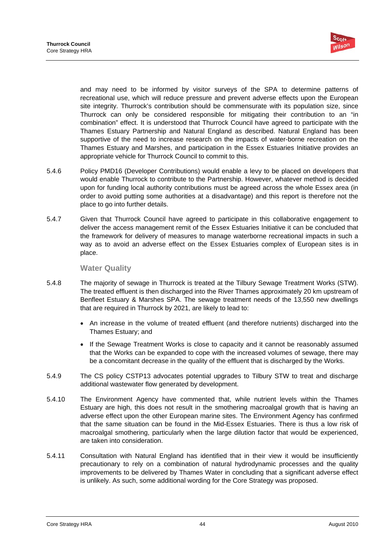

and may need to be informed by visitor surveys of the SPA to determine patterns of recreational use, which will reduce pressure and prevent adverse effects upon the European site integrity. Thurrock's contribution should be commensurate with its population size, since Thurrock can only be considered responsible for mitigating their contribution to an "in combination" effect. It is understood that Thurrock Council have agreed to participate with the Thames Estuary Partnership and Natural England as described. Natural England has been supportive of the need to increase research on the impacts of water-borne recreation on the Thames Estuary and Marshes, and participation in the Essex Estuaries Initiative provides an appropriate vehicle for Thurrock Council to commit to this.

- 5.4.6 Policy PMD16 (Developer Contributions) would enable a levy to be placed on developers that would enable Thurrock to contribute to the Partnership. However, whatever method is decided upon for funding local authority contributions must be agreed across the whole Essex area (in order to avoid putting some authorities at a disadvantage) and this report is therefore not the place to go into further details.
- 5.4.7 Given that Thurrock Council have agreed to participate in this collaborative engagement to deliver the access management remit of the Essex Estuaries Initiative it can be concluded that the framework for delivery of measures to manage waterborne recreational impacts in such a way as to avoid an adverse effect on the Essex Estuaries complex of European sites is in place.

# **Water Quality**

- 5.4.8 The majority of sewage in Thurrock is treated at the Tilbury Sewage Treatment Works (STW). The treated effluent is then discharged into the River Thames approximately 20 km upstream of Benfleet Estuary & Marshes SPA. The sewage treatment needs of the 13,550 new dwellings that are required in Thurrock by 2021, are likely to lead to:
	- An increase in the volume of treated effluent (and therefore nutrients) discharged into the Thames Estuary; and
	- If the Sewage Treatment Works is close to capacity and it cannot be reasonably assumed that the Works can be expanded to cope with the increased volumes of sewage, there may be a concomitant decrease in the quality of the effluent that is discharged by the Works.
- 5.4.9 The CS policy CSTP13 advocates potential upgrades to Tilbury STW to treat and discharge additional wastewater flow generated by development.
- 5.4.10 The Environment Agency have commented that, while nutrient levels within the Thames Estuary are high, this does not result in the smothering macroalgal growth that is having an adverse effect upon the other European marine sites. The Environment Agency has confirmed that the same situation can be found in the Mid-Essex Estuaries. There is thus a low risk of macroalgal smothering, particularly when the large dilution factor that would be experienced, are taken into consideration.
- 5.4.11 Consultation with Natural England has identified that in their view it would be insufficiently precautionary to rely on a combination of natural hydrodynamic processes and the quality improvements to be delivered by Thames Water in concluding that a significant adverse effect is unlikely. As such, some additional wording for the Core Strategy was proposed.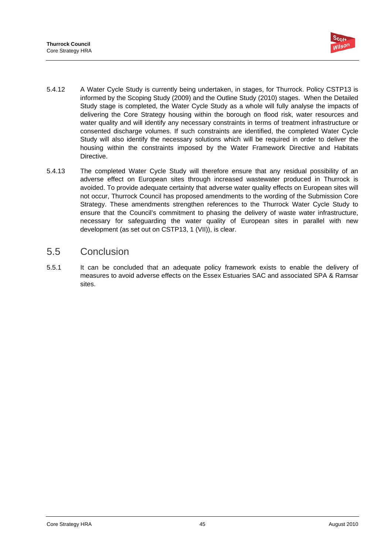

- 5.4.12 A Water Cycle Study is currently being undertaken, in stages, for Thurrock. Policy CSTP13 is informed by the Scoping Study (2009) and the Outline Study (2010) stages. When the Detailed Study stage is completed, the Water Cycle Study as a whole will fully analyse the impacts of delivering the Core Strategy housing within the borough on flood risk, water resources and water quality and will identify any necessary constraints in terms of treatment infrastructure or consented discharge volumes. If such constraints are identified, the completed Water Cycle Study will also identify the necessary solutions which will be required in order to deliver the housing within the constraints imposed by the Water Framework Directive and Habitats Directive.
- 5.4.13 The completed Water Cycle Study will therefore ensure that any residual possibility of an adverse effect on European sites through increased wastewater produced in Thurrock is avoided. To provide adequate certainty that adverse water quality effects on European sites will not occur, Thurrock Council has proposed amendments to the wording of the Submission Core Strategy. These amendments strengthen references to the Thurrock Water Cycle Study to ensure that the Council's commitment to phasing the delivery of waste water infrastructure, necessary for safeguarding the water quality of European sites in parallel with new development (as set out on CSTP13, 1 (VII)), is clear.

# 5.5 Conclusion

5.5.1 It can be concluded that an adequate policy framework exists to enable the delivery of measures to avoid adverse effects on the Essex Estuaries SAC and associated SPA & Ramsar sites.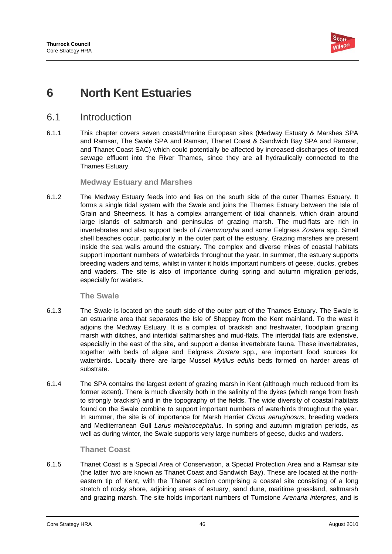

# **6 North Kent Estuaries**

# 6.1 Introduction

6.1.1 This chapter covers seven coastal/marine European sites (Medway Estuary & Marshes SPA and Ramsar, The Swale SPA and Ramsar, Thanet Coast & Sandwich Bay SPA and Ramsar, and Thanet Coast SAC) which could potentially be affected by increased discharges of treated sewage effluent into the River Thames, since they are all hydraulically connected to the Thames Estuary.

# **Medway Estuary and Marshes**

6.1.2 The Medway Estuary feeds into and lies on the south side of the outer Thames Estuary. It forms a single tidal system with the Swale and joins the Thames Estuary between the Isle of Grain and Sheerness. It has a complex arrangement of tidal channels, which drain around large islands of saltmarsh and peninsulas of grazing marsh. The mud-flats are rich in invertebrates and also support beds of *Enteromorpha* and some Eelgrass *Zostera* spp. Small shell beaches occur, particularly in the outer part of the estuary. Grazing marshes are present inside the sea walls around the estuary. The complex and diverse mixes of coastal habitats support important numbers of waterbirds throughout the year. In summer, the estuary supports breeding waders and terns, whilst in winter it holds important numbers of geese, ducks, grebes and waders. The site is also of importance during spring and autumn migration periods, especially for waders.

**The Swale** 

- 6.1.3 The Swale is located on the south side of the outer part of the Thames Estuary. The Swale is an estuarine area that separates the Isle of Sheppey from the Kent mainland. To the west it adjoins the Medway Estuary. It is a complex of brackish and freshwater, floodplain grazing marsh with ditches, and intertidal saltmarshes and mud-flats. The intertidal flats are extensive, especially in the east of the site, and support a dense invertebrate fauna. These invertebrates, together with beds of algae and Eelgrass *Zostera* spp., are important food sources for waterbirds. Locally there are large Mussel *Mytilus edulis* beds formed on harder areas of substrate.
- 6.1.4 The SPA contains the largest extent of grazing marsh in Kent (although much reduced from its former extent). There is much diversity both in the salinity of the dykes (which range from fresh to strongly brackish) and in the topography of the fields. The wide diversity of coastal habitats found on the Swale combine to support important numbers of waterbirds throughout the year. In summer, the site is of importance for Marsh Harrier *Circus aeruginosus*, breeding waders and Mediterranean Gull *Larus melanocephalus*. In spring and autumn migration periods, as well as during winter, the Swale supports very large numbers of geese, ducks and waders.

# **Thanet Coast**

6.1.5 Thanet Coast is a Special Area of Conservation, a Special Protection Area and a Ramsar site (the latter two are known as Thanet Coast and Sandwich Bay). These are located at the northeastern tip of Kent, with the Thanet section comprising a coastal site consisting of a long stretch of rocky shore, adjoining areas of estuary, sand dune, maritime grassland, saltmarsh and grazing marsh. The site holds important numbers of Turnstone *Arenaria interpres*, and is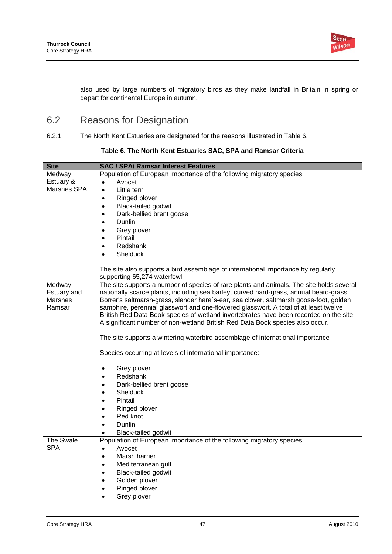

also used by large numbers of migratory birds as they make landfall in Britain in spring or depart for continental Europe in autumn.

# 6.2 Reasons for Designation

6.2.1 The North Kent Estuaries are designated for the reasons illustrated in Table 6.

| <b>Site</b> | <b>SAC / SPA/ Ramsar Interest Features</b>                                                                                                                      |  |  |  |
|-------------|-----------------------------------------------------------------------------------------------------------------------------------------------------------------|--|--|--|
| Medway      | Population of European importance of the following migratory species:                                                                                           |  |  |  |
| Estuary &   | Avocet<br>$\bullet$                                                                                                                                             |  |  |  |
| Marshes SPA | Little tern<br>$\bullet$                                                                                                                                        |  |  |  |
|             | Ringed plover<br>$\bullet$                                                                                                                                      |  |  |  |
|             | <b>Black-tailed godwit</b><br>$\bullet$                                                                                                                         |  |  |  |
|             | Dark-bellied brent goose<br>$\bullet$                                                                                                                           |  |  |  |
|             | Dunlin<br>$\bullet$                                                                                                                                             |  |  |  |
|             | Grey plover<br>$\bullet$                                                                                                                                        |  |  |  |
|             | Pintail<br>$\bullet$                                                                                                                                            |  |  |  |
|             |                                                                                                                                                                 |  |  |  |
|             | Redshank<br>$\bullet$                                                                                                                                           |  |  |  |
|             | <b>Shelduck</b><br>$\bullet$                                                                                                                                    |  |  |  |
|             | The site also supports a bird assemblage of international importance by regularly                                                                               |  |  |  |
|             | supporting 65,274 waterfowl                                                                                                                                     |  |  |  |
| Medway      | The site supports a number of species of rare plants and animals. The site holds several                                                                        |  |  |  |
| Estuary and | nationally scarce plants, including sea barley, curved hard-grass, annual beard-grass,                                                                          |  |  |  |
| Marshes     | Borrer's saltmarsh-grass, slender hare`s-ear, sea clover, saltmarsh goose-foot, golden                                                                          |  |  |  |
| Ramsar      | samphire, perennial glasswort and one-flowered glasswort. A total of at least twelve                                                                            |  |  |  |
|             | British Red Data Book species of wetland invertebrates have been recorded on the site.                                                                          |  |  |  |
|             | A significant number of non-wetland British Red Data Book species also occur.<br>The site supports a wintering waterbird assemblage of international importance |  |  |  |
|             |                                                                                                                                                                 |  |  |  |
|             | Species occurring at levels of international importance:                                                                                                        |  |  |  |
|             | Grey plover<br>$\bullet$                                                                                                                                        |  |  |  |
|             | Redshank<br>$\bullet$                                                                                                                                           |  |  |  |
|             | Dark-bellied brent goose<br>$\bullet$                                                                                                                           |  |  |  |
|             | Shelduck<br>$\bullet$                                                                                                                                           |  |  |  |
|             | Pintail<br>$\bullet$                                                                                                                                            |  |  |  |
|             | Ringed plover<br>$\bullet$                                                                                                                                      |  |  |  |
|             | Red knot<br>$\bullet$                                                                                                                                           |  |  |  |
|             |                                                                                                                                                                 |  |  |  |
|             | Dunlin<br>$\bullet$                                                                                                                                             |  |  |  |
| The Swale   | <b>Black-tailed godwit</b>                                                                                                                                      |  |  |  |
| <b>SPA</b>  | Population of European importance of the following migratory species:                                                                                           |  |  |  |
|             | Avocet<br>$\bullet$                                                                                                                                             |  |  |  |
|             | Marsh harrier<br>$\bullet$                                                                                                                                      |  |  |  |
|             | Mediterranean gull<br>$\bullet$                                                                                                                                 |  |  |  |
|             | <b>Black-tailed godwit</b><br>$\bullet$                                                                                                                         |  |  |  |
|             | Golden plover<br>$\bullet$                                                                                                                                      |  |  |  |
|             | Ringed plover<br>$\bullet$                                                                                                                                      |  |  |  |
|             | Grey plover                                                                                                                                                     |  |  |  |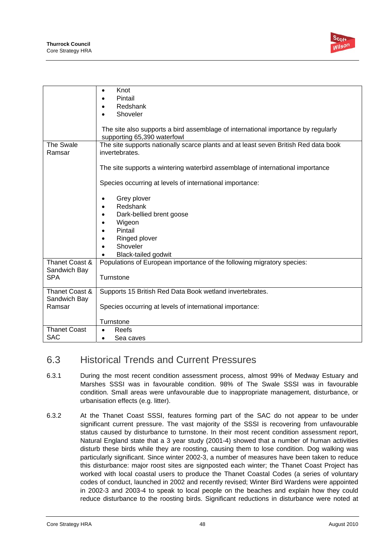

|                                | Knot<br>$\bullet$                                                                                                |
|--------------------------------|------------------------------------------------------------------------------------------------------------------|
|                                | Pintail                                                                                                          |
|                                | Redshank                                                                                                         |
|                                | Shoveler<br>$\bullet$                                                                                            |
|                                |                                                                                                                  |
|                                | The site also supports a bird assemblage of international importance by regularly<br>supporting 65,390 waterfowl |
| The Swale                      | The site supports nationally scarce plants and at least seven British Red data book                              |
| Ramsar                         | invertebrates.                                                                                                   |
|                                |                                                                                                                  |
|                                | The site supports a wintering waterbird assemblage of international importance                                   |
|                                | Species occurring at levels of international importance:                                                         |
|                                |                                                                                                                  |
|                                | Grey plover                                                                                                      |
|                                | Redshank                                                                                                         |
|                                | Dark-bellied brent goose                                                                                         |
|                                | Wigeon                                                                                                           |
|                                | Pintail                                                                                                          |
|                                | Ringed plover                                                                                                    |
|                                | Shoveler                                                                                                         |
|                                |                                                                                                                  |
|                                | Black-tailed godwit                                                                                              |
| Thanet Coast &<br>Sandwich Bay | Populations of European importance of the following migratory species:                                           |
| <b>SPA</b>                     | Turnstone                                                                                                        |
|                                |                                                                                                                  |
| Thanet Coast &                 | Supports 15 British Red Data Book wetland invertebrates.                                                         |
| Sandwich Bay                   |                                                                                                                  |
| Ramsar                         | Species occurring at levels of international importance:                                                         |
|                                |                                                                                                                  |
|                                | Turnstone                                                                                                        |
| <b>Thanet Coast</b>            | Reefs                                                                                                            |
| SAC                            | Sea caves                                                                                                        |

# 6.3 Historical Trends and Current Pressures

- 6.3.1 During the most recent condition assessment process, almost 99% of Medway Estuary and Marshes SSSI was in favourable condition. 98% of The Swale SSSI was in favourable condition. Small areas were unfavourable due to inappropriate management, disturbance, or urbanisation effects (e.g. litter).
- 6.3.2 At the Thanet Coast SSSI, features forming part of the SAC do not appear to be under significant current pressure. The vast majority of the SSSI is recovering from unfavourable status caused by disturbance to turnstone. In their most recent condition assessment report, Natural England state that a 3 year study (2001-4) showed that a number of human activities disturb these birds while they are roosting, causing them to lose condition. Dog walking was particularly significant. Since winter 2002-3, a number of measures have been taken to reduce this disturbance: major roost sites are signposted each winter; the Thanet Coast Project has worked with local coastal users to produce the Thanet Coastal Codes (a series of voluntary codes of conduct, launched in 2002 and recently revised; Winter Bird Wardens were appointed in 2002-3 and 2003-4 to speak to local people on the beaches and explain how they could reduce disturbance to the roosting birds. Significant reductions in disturbance were noted at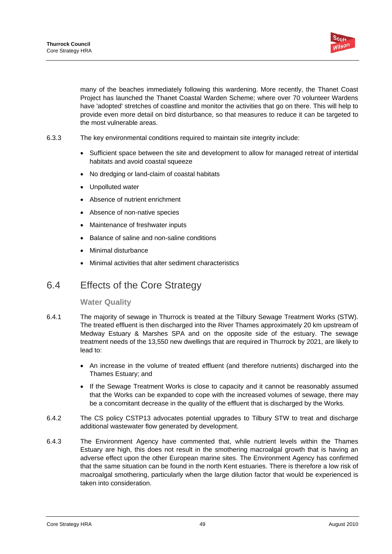

many of the beaches immediately following this wardening. More recently, the Thanet Coast Project has launched the Thanet Coastal Warden Scheme; where over 70 volunteer Wardens have 'adopted' stretches of coastline and monitor the activities that go on there. This will help to provide even more detail on bird disturbance, so that measures to reduce it can be targeted to the most vulnerable areas.

- 6.3.3 The key environmental conditions required to maintain site integrity include:
	- Sufficient space between the site and development to allow for managed retreat of intertidal habitats and avoid coastal squeeze
	- No dredging or land-claim of coastal habitats
	- Unpolluted water
	- Absence of nutrient enrichment
	- Absence of non-native species
	- Maintenance of freshwater inputs
	- Balance of saline and non-saline conditions
	- Minimal disturbance
	- Minimal activities that alter sediment characteristics

# 6.4 Effects of the Core Strategy

# **Water Quality**

- 6.4.1 The majority of sewage in Thurrock is treated at the Tilbury Sewage Treatment Works (STW). The treated effluent is then discharged into the River Thames approximately 20 km upstream of Medway Estuary & Marshes SPA and on the opposite side of the estuary. The sewage treatment needs of the 13,550 new dwellings that are required in Thurrock by 2021, are likely to lead to:
	- An increase in the volume of treated effluent (and therefore nutrients) discharged into the Thames Estuary; and
	- If the Sewage Treatment Works is close to capacity and it cannot be reasonably assumed that the Works can be expanded to cope with the increased volumes of sewage, there may be a concomitant decrease in the quality of the effluent that is discharged by the Works.
- 6.4.2 The CS policy CSTP13 advocates potential upgrades to Tilbury STW to treat and discharge additional wastewater flow generated by development.
- 6.4.3 The Environment Agency have commented that, while nutrient levels within the Thames Estuary are high, this does not result in the smothering macroalgal growth that is having an adverse effect upon the other European marine sites. The Environment Agency has confirmed that the same situation can be found in the north Kent estuaries. There is therefore a low risk of macroalgal smothering, particularly when the large dilution factor that would be experienced is taken into consideration.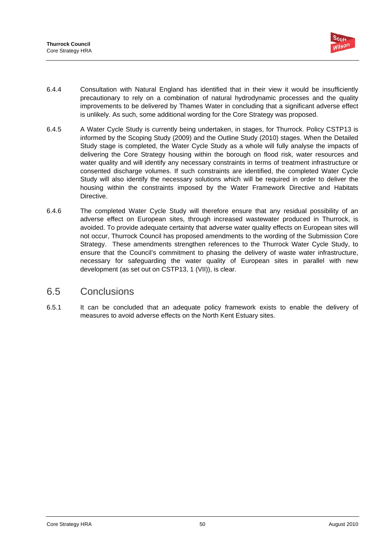

- 6.4.4 Consultation with Natural England has identified that in their view it would be insufficiently precautionary to rely on a combination of natural hydrodynamic processes and the quality improvements to be delivered by Thames Water in concluding that a significant adverse effect is unlikely. As such, some additional wording for the Core Strategy was proposed.
- 6.4.5 A Water Cycle Study is currently being undertaken, in stages, for Thurrock. Policy CSTP13 is informed by the Scoping Study (2009) and the Outline Study (2010) stages. When the Detailed Study stage is completed, the Water Cycle Study as a whole will fully analyse the impacts of delivering the Core Strategy housing within the borough on flood risk, water resources and water quality and will identify any necessary constraints in terms of treatment infrastructure or consented discharge volumes. If such constraints are identified, the completed Water Cycle Study will also identify the necessary solutions which will be required in order to deliver the housing within the constraints imposed by the Water Framework Directive and Habitats Directive.
- 6.4.6 The completed Water Cycle Study will therefore ensure that any residual possibility of an adverse effect on European sites, through increased wastewater produced in Thurrock, is avoided. To provide adequate certainty that adverse water quality effects on European sites will not occur, Thurrock Council has proposed amendments to the wording of the Submission Core Strategy. These amendments strengthen references to the Thurrock Water Cycle Study, to ensure that the Council's commitment to phasing the delivery of waste water infrastructure, necessary for safeguarding the water quality of European sites in parallel with new development (as set out on CSTP13, 1 (VII)), is clear.

# 6.5 Conclusions

6.5.1 It can be concluded that an adequate policy framework exists to enable the delivery of measures to avoid adverse effects on the North Kent Estuary sites.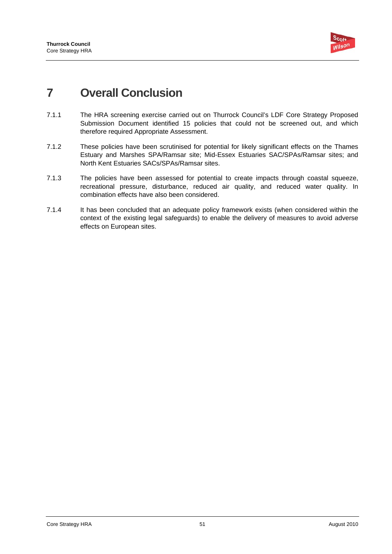

# **7 Overall Conclusion**

- 7.1.1 The HRA screening exercise carried out on Thurrock Council's LDF Core Strategy Proposed Submission Document identified 15 policies that could not be screened out, and which therefore required Appropriate Assessment.
- 7.1.2 These policies have been scrutinised for potential for likely significant effects on the Thames Estuary and Marshes SPA/Ramsar site; Mid-Essex Estuaries SAC/SPAs/Ramsar sites; and North Kent Estuaries SACs/SPAs/Ramsar sites.
- 7.1.3 The policies have been assessed for potential to create impacts through coastal squeeze, recreational pressure, disturbance, reduced air quality, and reduced water quality. In combination effects have also been considered.
- 7.1.4 It has been concluded that an adequate policy framework exists (when considered within the context of the existing legal safeguards) to enable the delivery of measures to avoid adverse effects on European sites.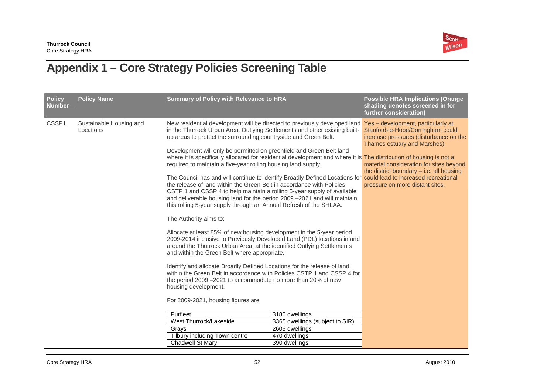

# **Appendix 1 – Core Strategy Policies Screening Table**

| <b>Policy</b><br><b>Number</b> | <b>Policy Name</b>                   | <b>Summary of Policy with Relevance to HRA</b>                                                                                                                                                                                                                                                                                                                                                                                                                                                                                                                                                                                                                                                                                                                                                                                                                                                                                                                                                                                                                                                                                                                                                                                                                                                                                                                                                                                                                                                                                                                                                   |                                                                                      | <b>Possible HRA Implications (Orange</b><br>shading denotes screened in for<br>further consideration)                                                                                                                                                                         |
|--------------------------------|--------------------------------------|--------------------------------------------------------------------------------------------------------------------------------------------------------------------------------------------------------------------------------------------------------------------------------------------------------------------------------------------------------------------------------------------------------------------------------------------------------------------------------------------------------------------------------------------------------------------------------------------------------------------------------------------------------------------------------------------------------------------------------------------------------------------------------------------------------------------------------------------------------------------------------------------------------------------------------------------------------------------------------------------------------------------------------------------------------------------------------------------------------------------------------------------------------------------------------------------------------------------------------------------------------------------------------------------------------------------------------------------------------------------------------------------------------------------------------------------------------------------------------------------------------------------------------------------------------------------------------------------------|--------------------------------------------------------------------------------------|-------------------------------------------------------------------------------------------------------------------------------------------------------------------------------------------------------------------------------------------------------------------------------|
| CSSP1                          | Sustainable Housing and<br>Locations | New residential development will be directed to previously developed land<br>in the Thurrock Urban Area, Outlying Settlements and other existing built-<br>up areas to protect the surrounding countryside and Green Belt.<br>Development will only be permitted on greenfield and Green Belt land<br>where it is specifically allocated for residential development and where it is The distribution of housing is not a<br>required to maintain a five-year rolling housing land supply.<br>The Council has and will continue to identify Broadly Defined Locations for could lead to increased recreational<br>the release of land within the Green Belt in accordance with Policies<br>CSTP 1 and CSSP 4 to help maintain a rolling 5-year supply of available<br>and deliverable housing land for the period 2009 -2021 and will maintain<br>this rolling 5-year supply through an Annual Refresh of the SHLAA.<br>The Authority aims to:<br>Allocate at least 85% of new housing development in the 5-year period<br>2009-2014 inclusive to Previously Developed Land (PDL) locations in and<br>around the Thurrock Urban Area, at the identified Outlying Settlements<br>and within the Green Belt where appropriate.<br>Identify and allocate Broadly Defined Locations for the release of land<br>within the Green Belt in accordance with Policies CSTP 1 and CSSP 4 for<br>the period 2009 -2021 to accommodate no more than 20% of new<br>housing development.<br>For 2009-2021, housing figures are<br>Purfleet<br>West Thurrock/Lakeside<br>Grays<br>Tilbury including Town centre | 3180 dwellings<br>3365 dwellings (subject to SIR)<br>2605 dwellings<br>470 dwellings | Yes - development, particularly at<br>Stanford-le-Hope/Corringham could<br>increase pressures (disturbance on the<br>Thames estuary and Marshes).<br>material consideration for sites beyond<br>the district boundary $-$ i.e. all housing<br>pressure on more distant sites. |
|                                |                                      | Chadwell St Mary                                                                                                                                                                                                                                                                                                                                                                                                                                                                                                                                                                                                                                                                                                                                                                                                                                                                                                                                                                                                                                                                                                                                                                                                                                                                                                                                                                                                                                                                                                                                                                                 | 390 dwellings                                                                        |                                                                                                                                                                                                                                                                               |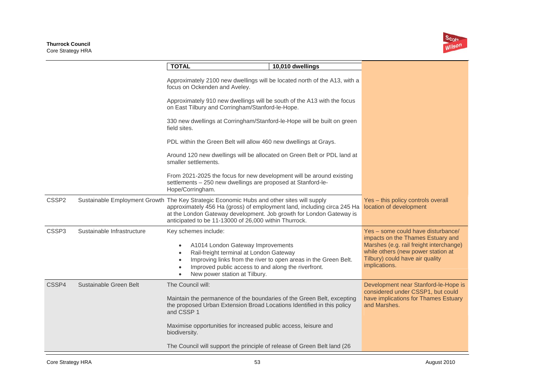

|                   |                            | <b>TOTAL</b>                                     | 10,010 dwellings                                                                                                                                                                                                                                                                                     |                                                                                                                                                                                                              |
|-------------------|----------------------------|--------------------------------------------------|------------------------------------------------------------------------------------------------------------------------------------------------------------------------------------------------------------------------------------------------------------------------------------------------------|--------------------------------------------------------------------------------------------------------------------------------------------------------------------------------------------------------------|
|                   |                            |                                                  | Approximately 2100 new dwellings will be located north of the A13, with a<br>focus on Ockenden and Aveley.                                                                                                                                                                                           |                                                                                                                                                                                                              |
|                   |                            |                                                  | Approximately 910 new dwellings will be south of the A13 with the focus<br>on East Tilbury and Corringham/Stanford-le-Hope.                                                                                                                                                                          |                                                                                                                                                                                                              |
|                   |                            | field sites.                                     | 330 new dwellings at Corringham/Stanford-le-Hope will be built on green                                                                                                                                                                                                                              |                                                                                                                                                                                                              |
|                   |                            |                                                  | PDL within the Green Belt will allow 460 new dwellings at Grays.                                                                                                                                                                                                                                     |                                                                                                                                                                                                              |
|                   |                            | smaller settlements.                             | Around 120 new dwellings will be allocated on Green Belt or PDL land at                                                                                                                                                                                                                              |                                                                                                                                                                                                              |
|                   |                            | Hope/Corringham.                                 | From 2021-2025 the focus for new development will be around existing<br>settlements - 250 new dwellings are proposed at Stanford-le-                                                                                                                                                                 |                                                                                                                                                                                                              |
| CSSP <sub>2</sub> |                            |                                                  | Sustainable Employment Growth The Key Strategic Economic Hubs and other sites will supply<br>approximately 456 Ha (gross) of employment land, including circa 245 Ha<br>at the London Gateway development. Job growth for London Gateway is<br>anticipated to be 11-13000 of 26,000 within Thurrock. | Yes - this policy controls overall<br>location of development                                                                                                                                                |
| CSSP <sub>3</sub> | Sustainable Infrastructure | Key schemes include:<br>$\bullet$                | A1014 London Gateway Improvements<br>Rail-freight terminal at London Gateway<br>Improving links from the river to open areas in the Green Belt.<br>Improved public access to and along the riverfront.<br>New power station at Tilbury.                                                              | Yes - some could have disturbance/<br>impacts on the Thames Estuary and<br>Marshes (e.g. rail freight interchange)<br>while others (new power station at<br>Tilbury) could have air quality<br>implications. |
| CSSP4             | Sustainable Green Belt     | The Council will:<br>and CSSP 1<br>biodiversity. | Maintain the permanence of the boundaries of the Green Belt, excepting<br>the proposed Urban Extension Broad Locations Identified in this policy<br>Maximise opportunities for increased public access, leisure and                                                                                  | Development near Stanford-le-Hope is<br>considered under CSSP1, but could<br>have implications for Thames Estuary<br>and Marshes.                                                                            |
|                   |                            |                                                  | The Council will support the principle of release of Green Belt land (26                                                                                                                                                                                                                             |                                                                                                                                                                                                              |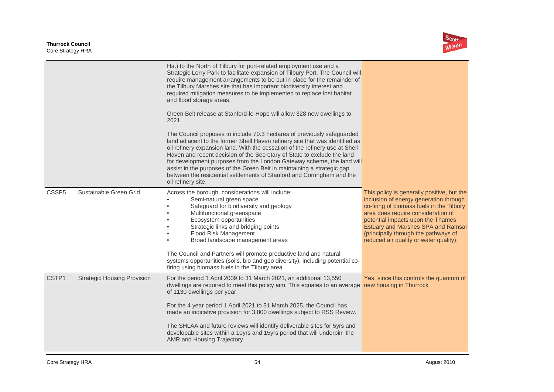

| Ha.) to the North of Tilbury for port-related employment use and a<br>Strategic Lorry Park to facilitate expansion of Tilbury Port. The Council will<br>require management arrangements to be put in place for the remainder of<br>the Tilbury Marshes site that has important biodiversity interest and<br>required mitigation measures to be implemented to replace lost habitat<br>and flood storage areas.<br>Green Belt release at Stanford-le-Hope will allow 328 new dwellings to<br>2021.<br>The Council proposes to include 70.3 hectares of previously safeguarded<br>land adjacent to the former Shell Haven refinery site that was identified as<br>oil refinery expansion land. With the cessation of the refinery use at Shell<br>Haven and recent decision of the Secretary of State to exclude the land<br>for development purposes from the London Gateway scheme, the land will<br>assist in the purposes of the Green Belt in maintaining a strategic gap<br>between the residential settlements of Stanford and Corringham and the<br>oil refinery site.<br>Sustainable Green Grid<br>CSSP <sub>5</sub><br>Across the borough, considerations will include:<br>This policy is generally positive, but the<br>Semi-natural green space<br>inclusion of energy generation through<br>Safeguard for biodiversity and geology<br>co-firing of biomass fuels in the Tilbury<br>area does require consideration of<br>Multifunctional greenspace<br>Ecosystem opportunities<br>potential impacts upon the Thames<br>Strategic links and bridging points<br>Estuary and Marshes SPA and Ramsar<br>Flood Risk Management<br>(principally through the pathways of<br>reduced air quality or water quality).<br>Broad landscape management areas<br>The Council and Partners will promote productive land and natural<br>systems opportunities (soils, bio and geo diversity), including potential co-<br>firing using biomass fuels in the Tilbury area<br>CSTP1<br><b>Strategic Housing Provision</b><br>For the period 1 April 2009 to 31 March 2021, an additional 13,550<br>Yes, since this controls the quantum of<br>dwellings are required to meet this policy aim. This equates to an average new housing in Thurrock<br>of 1130 dwellings per year.<br>For the 4 year period 1 April 2021 to 31 March 2025, the Council has<br>made an indicative provision for 3,800 dwellings subject to RSS Review.<br>The SHLAA and future reviews will identify deliverable sites for 5yrs and<br>developable sites within a 10yrs and 15yrs period that will underpin the<br>AMR and Housing Trajectory |  |  |
|-------------------------------------------------------------------------------------------------------------------------------------------------------------------------------------------------------------------------------------------------------------------------------------------------------------------------------------------------------------------------------------------------------------------------------------------------------------------------------------------------------------------------------------------------------------------------------------------------------------------------------------------------------------------------------------------------------------------------------------------------------------------------------------------------------------------------------------------------------------------------------------------------------------------------------------------------------------------------------------------------------------------------------------------------------------------------------------------------------------------------------------------------------------------------------------------------------------------------------------------------------------------------------------------------------------------------------------------------------------------------------------------------------------------------------------------------------------------------------------------------------------------------------------------------------------------------------------------------------------------------------------------------------------------------------------------------------------------------------------------------------------------------------------------------------------------------------------------------------------------------------------------------------------------------------------------------------------------------------------------------------------------------------------------------------------------------------------------------------------------------------------------------------------------------------------------------------------------------------------------------------------------------------------------------------------------------------------------------------------------------------------------------------------------------------------------------------------------------------------------------------------------------------------------------------------------------------------------------------------------|--|--|
|                                                                                                                                                                                                                                                                                                                                                                                                                                                                                                                                                                                                                                                                                                                                                                                                                                                                                                                                                                                                                                                                                                                                                                                                                                                                                                                                                                                                                                                                                                                                                                                                                                                                                                                                                                                                                                                                                                                                                                                                                                                                                                                                                                                                                                                                                                                                                                                                                                                                                                                                                                                                                   |  |  |
|                                                                                                                                                                                                                                                                                                                                                                                                                                                                                                                                                                                                                                                                                                                                                                                                                                                                                                                                                                                                                                                                                                                                                                                                                                                                                                                                                                                                                                                                                                                                                                                                                                                                                                                                                                                                                                                                                                                                                                                                                                                                                                                                                                                                                                                                                                                                                                                                                                                                                                                                                                                                                   |  |  |
|                                                                                                                                                                                                                                                                                                                                                                                                                                                                                                                                                                                                                                                                                                                                                                                                                                                                                                                                                                                                                                                                                                                                                                                                                                                                                                                                                                                                                                                                                                                                                                                                                                                                                                                                                                                                                                                                                                                                                                                                                                                                                                                                                                                                                                                                                                                                                                                                                                                                                                                                                                                                                   |  |  |
|                                                                                                                                                                                                                                                                                                                                                                                                                                                                                                                                                                                                                                                                                                                                                                                                                                                                                                                                                                                                                                                                                                                                                                                                                                                                                                                                                                                                                                                                                                                                                                                                                                                                                                                                                                                                                                                                                                                                                                                                                                                                                                                                                                                                                                                                                                                                                                                                                                                                                                                                                                                                                   |  |  |
|                                                                                                                                                                                                                                                                                                                                                                                                                                                                                                                                                                                                                                                                                                                                                                                                                                                                                                                                                                                                                                                                                                                                                                                                                                                                                                                                                                                                                                                                                                                                                                                                                                                                                                                                                                                                                                                                                                                                                                                                                                                                                                                                                                                                                                                                                                                                                                                                                                                                                                                                                                                                                   |  |  |
|                                                                                                                                                                                                                                                                                                                                                                                                                                                                                                                                                                                                                                                                                                                                                                                                                                                                                                                                                                                                                                                                                                                                                                                                                                                                                                                                                                                                                                                                                                                                                                                                                                                                                                                                                                                                                                                                                                                                                                                                                                                                                                                                                                                                                                                                                                                                                                                                                                                                                                                                                                                                                   |  |  |
|                                                                                                                                                                                                                                                                                                                                                                                                                                                                                                                                                                                                                                                                                                                                                                                                                                                                                                                                                                                                                                                                                                                                                                                                                                                                                                                                                                                                                                                                                                                                                                                                                                                                                                                                                                                                                                                                                                                                                                                                                                                                                                                                                                                                                                                                                                                                                                                                                                                                                                                                                                                                                   |  |  |
|                                                                                                                                                                                                                                                                                                                                                                                                                                                                                                                                                                                                                                                                                                                                                                                                                                                                                                                                                                                                                                                                                                                                                                                                                                                                                                                                                                                                                                                                                                                                                                                                                                                                                                                                                                                                                                                                                                                                                                                                                                                                                                                                                                                                                                                                                                                                                                                                                                                                                                                                                                                                                   |  |  |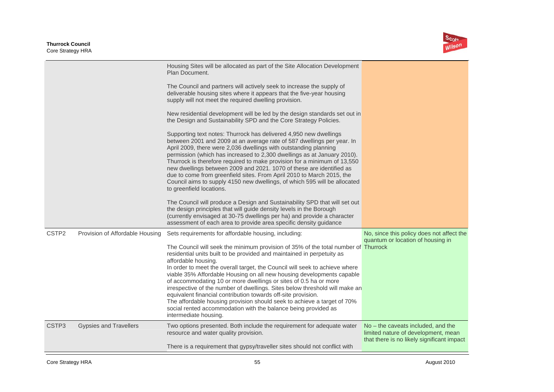

|                   |                                 | Housing Sites will be allocated as part of the Site Allocation Development<br>Plan Document.<br>The Council and partners will actively seek to increase the supply of<br>deliverable housing sites where it appears that the five-year housing<br>supply will not meet the required dwelling provision.<br>New residential development will be led by the design standards set out in<br>the Design and Sustainability SPD and the Core Strategy Policies.<br>Supporting text notes: Thurrock has delivered 4,950 new dwellings<br>between 2001 and 2009 at an average rate of 587 dwellings per year. In<br>April 2009, there were 2,036 dwellings with outstanding planning<br>permission (which has increased to 2,300 dwellings as at January 2010).<br>Thurrock is therefore required to make provision for a minimum of 13,550<br>new dwellings between 2009 and 2021. 1070 of these are identified as<br>due to come from greenfield sites. From April 2010 to March 2015, the<br>Council aims to supply 4150 new dwellings, of which 595 will be allocated<br>to greenfield locations.<br>The Council will produce a Design and Sustainability SPD that will set out<br>the design principles that will guide density levels in the Borough<br>(currently envisaged at 30-75 dwellings per ha) and provide a character |                                                                                                                         |
|-------------------|---------------------------------|--------------------------------------------------------------------------------------------------------------------------------------------------------------------------------------------------------------------------------------------------------------------------------------------------------------------------------------------------------------------------------------------------------------------------------------------------------------------------------------------------------------------------------------------------------------------------------------------------------------------------------------------------------------------------------------------------------------------------------------------------------------------------------------------------------------------------------------------------------------------------------------------------------------------------------------------------------------------------------------------------------------------------------------------------------------------------------------------------------------------------------------------------------------------------------------------------------------------------------------------------------------------------------------------------------------------------------|-------------------------------------------------------------------------------------------------------------------------|
| CSTP <sub>2</sub> | Provision of Affordable Housing | assessment of each area to provide area specific density guidance<br>Sets requirements for affordable housing, including:<br>The Council will seek the minimum provision of 35% of the total number of Thurrock<br>residential units built to be provided and maintained in perpetuity as<br>affordable housing.<br>In order to meet the overall target, the Council will seek to achieve where<br>viable 35% Affordable Housing on all new housing developments capable<br>of accommodating 10 or more dwellings or sites of 0.5 ha or more<br>irrespective of the number of dwellings. Sites below threshold will make an<br>equivalent financial contribution towards off-site provision.<br>The affordable housing provision should seek to achieve a target of 70%<br>social rented accommodation with the balance being provided as<br>intermediate housing.                                                                                                                                                                                                                                                                                                                                                                                                                                                             | No, since this policy does not affect the<br>quantum or location of housing in                                          |
| CSTP <sub>3</sub> | <b>Gypsies and Travellers</b>   | Two options presented. Both include the requirement for adequate water<br>resource and water quality provision.<br>There is a requirement that gypsy/traveller sites should not conflict with                                                                                                                                                                                                                                                                                                                                                                                                                                                                                                                                                                                                                                                                                                                                                                                                                                                                                                                                                                                                                                                                                                                                  | No – the caveats included, and the<br>limited nature of development, mean<br>that there is no likely significant impact |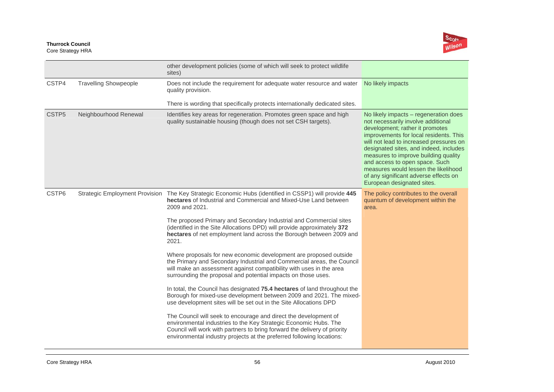

|                   |                                       | other development policies (some of which will seek to protect wildlife<br>sites)                                                                                                                                                                                                          |                                                                                                                                                                                                                                                                                                                                                                                                                                        |
|-------------------|---------------------------------------|--------------------------------------------------------------------------------------------------------------------------------------------------------------------------------------------------------------------------------------------------------------------------------------------|----------------------------------------------------------------------------------------------------------------------------------------------------------------------------------------------------------------------------------------------------------------------------------------------------------------------------------------------------------------------------------------------------------------------------------------|
| CSTP4             | <b>Travelling Showpeople</b>          | Does not include the requirement for adequate water resource and water<br>quality provision.                                                                                                                                                                                               | No likely impacts                                                                                                                                                                                                                                                                                                                                                                                                                      |
|                   |                                       | There is wording that specifically protects internationally dedicated sites.                                                                                                                                                                                                               |                                                                                                                                                                                                                                                                                                                                                                                                                                        |
| CSTP <sub>5</sub> | Neighbourhood Renewal                 | Identifies key areas for regeneration. Promotes green space and high<br>quality sustainable housing (though does not set CSH targets).                                                                                                                                                     | No likely impacts – regeneration does<br>not necessarily involve additional<br>development; rather it promotes<br>improvements for local residents. This<br>will not lead to increased pressures on<br>designated sites, and indeed, includes<br>measures to improve building quality<br>and access to open space. Such<br>measures would lessen the likelihood<br>of any significant adverse effects on<br>European designated sites. |
| CSTP6             | <b>Strategic Employment Provision</b> | The Key Strategic Economic Hubs (identified in CSSP1) will provide 445<br>hectares of Industrial and Commercial and Mixed-Use Land between<br>2009 and 2021.                                                                                                                               | The policy contributes to the overall<br>quantum of development within the<br>area.                                                                                                                                                                                                                                                                                                                                                    |
|                   |                                       | The proposed Primary and Secondary Industrial and Commercial sites<br>(identified in the Site Allocations DPD) will provide approximately 372<br>hectares of net employment land across the Borough between 2009 and<br>2021.                                                              |                                                                                                                                                                                                                                                                                                                                                                                                                                        |
|                   |                                       | Where proposals for new economic development are proposed outside<br>the Primary and Secondary Industrial and Commercial areas, the Council<br>will make an assessment against compatibility with uses in the area<br>surrounding the proposal and potential impacts on those uses.        |                                                                                                                                                                                                                                                                                                                                                                                                                                        |
|                   |                                       | In total, the Council has designated 75.4 hectares of land throughout the<br>Borough for mixed-use development between 2009 and 2021. The mixed-<br>use development sites will be set out in the Site Allocations DPD                                                                      |                                                                                                                                                                                                                                                                                                                                                                                                                                        |
|                   |                                       | The Council will seek to encourage and direct the development of<br>environmental industries to the Key Strategic Economic Hubs. The<br>Council will work with partners to bring forward the delivery of priority<br>environmental industry projects at the preferred following locations: |                                                                                                                                                                                                                                                                                                                                                                                                                                        |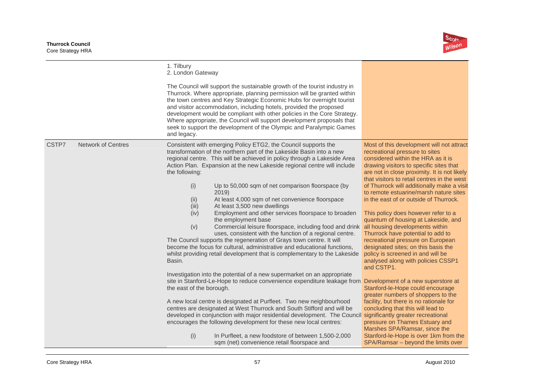

|                                    | 1. Tilbury<br>2. London Gateway<br>The Council will support the sustainable growth of the tourist industry in<br>Thurrock. Where appropriate, planning permission will be granted within<br>the town centres and Key Strategic Economic Hubs for overnight tourist<br>and visitor accommodation, including hotels, provided the proposed<br>development would be compliant with other policies in the Core Strategy.<br>Where appropriate, the Council will support development proposals that<br>seek to support the development of the Olympic and Paralympic Games<br>and legacy.                                                                                                                                                                                                                                                                                                                                                                                                   |                                                                                                                                                                                                                                                                                                                                                                                                                                                                                                                                                                                                                                                                                       |
|------------------------------------|----------------------------------------------------------------------------------------------------------------------------------------------------------------------------------------------------------------------------------------------------------------------------------------------------------------------------------------------------------------------------------------------------------------------------------------------------------------------------------------------------------------------------------------------------------------------------------------------------------------------------------------------------------------------------------------------------------------------------------------------------------------------------------------------------------------------------------------------------------------------------------------------------------------------------------------------------------------------------------------|---------------------------------------------------------------------------------------------------------------------------------------------------------------------------------------------------------------------------------------------------------------------------------------------------------------------------------------------------------------------------------------------------------------------------------------------------------------------------------------------------------------------------------------------------------------------------------------------------------------------------------------------------------------------------------------|
| CSTP7<br><b>Network of Centres</b> | Consistent with emerging Policy ETG2, the Council supports the<br>transformation of the northern part of the Lakeside Basin into a new<br>regional centre. This will be achieved in policy through a Lakeside Area<br>Action Plan. Expansion at the new Lakeside regional centre will include<br>the following:<br>(i)<br>Up to 50,000 sqm of net comparison floorspace (by<br>2019<br>At least 4,000 sqm of net convenience floorspace<br>(ii)<br>At least 3,500 new dwellings<br>(iii)<br>(iv)<br>Employment and other services floorspace to broaden<br>the employment base<br>(v)<br>Commercial leisure floorspace, including food and drink all housing developments within<br>uses, consistent with the function of a regional centre.<br>The Council supports the regeneration of Grays town centre. It will<br>become the focus for cultural, administrative and educational functions,<br>whilst providing retail development that is complementary to the Lakeside<br>Basin. | Most of this development will not attract<br>recreational pressure to sites<br>considered within the HRA as it is<br>drawing visitors to specific sites that<br>are not in close proximity. It is not likely<br>that visitors to retail centres in the west<br>of Thurrock will additionally make a visit<br>to remote estuarine/marsh nature sites<br>in the east of or outside of Thurrock.<br>This policy does however refer to a<br>quantum of housing at Lakeside, and<br>Thurrock have potential to add to<br>recreational pressure on European<br>designated sites; on this basis the<br>policy is screened in and will be<br>analysed along with policies CSSP1<br>and CSTP1. |
|                                    | Investigation into the potential of a new supermarket on an appropriate<br>site in Stanford-Le-Hope to reduce convenience expenditure leakage from<br>the east of the borough.<br>A new local centre is designated at Purfleet. Two new neighbourhood<br>centres are designated at West Thurrock and South Stifford and will be<br>developed in conjunction with major residential development. The Council significantly greater recreational<br>encourages the following development for these new local centres:<br>(i)<br>In Purfleet, a new foodstore of between 1,500-2,000<br>sqm (net) convenience retail floorspace and                                                                                                                                                                                                                                                                                                                                                       | Development of a new superstore at<br>Stanford-le-Hope could encourage<br>greater numbers of shoppers to the<br>facility, but there is no rationale for<br>concluding that this will lead to<br>pressure on Thames Estuary and<br>Marshes SPA/Ramsar, since the<br>Stanford-le-Hope is over 1km from the<br>SPA/Ramsar - beyond the limits over                                                                                                                                                                                                                                                                                                                                       |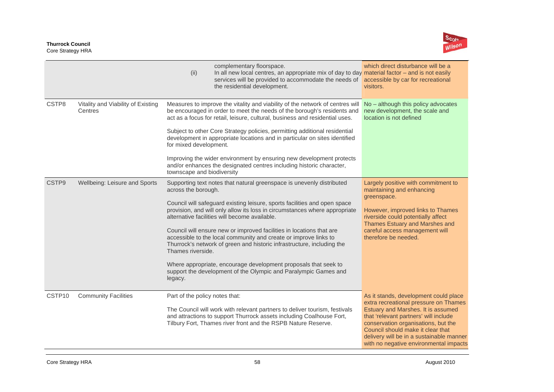

|                   |                                               | (ii)                                                 | complementary floorspace.<br>In all new local centres, an appropriate mix of day to day material factor $-$ and is not easily<br>services will be provided to accommodate the needs of accessible by car for recreational<br>the residential development.                                                                                                                                                                                                                                                                                                                                                                                     | which direct disturbance will be a<br>visitors.                                                                                                                                                                                                                                                                                 |
|-------------------|-----------------------------------------------|------------------------------------------------------|-----------------------------------------------------------------------------------------------------------------------------------------------------------------------------------------------------------------------------------------------------------------------------------------------------------------------------------------------------------------------------------------------------------------------------------------------------------------------------------------------------------------------------------------------------------------------------------------------------------------------------------------------|---------------------------------------------------------------------------------------------------------------------------------------------------------------------------------------------------------------------------------------------------------------------------------------------------------------------------------|
| CSTP8             | Vitality and Viability of Existing<br>Centres | for mixed development.<br>townscape and biodiversity | Measures to improve the vitality and viability of the network of centres will<br>be encouraged in order to meet the needs of the borough's residents and<br>act as a focus for retail, leisure, cultural, business and residential uses.<br>Subject to other Core Strategy policies, permitting additional residential<br>development in appropriate locations and in particular on sites identified<br>Improving the wider environment by ensuring new development protects<br>and/or enhances the designated centres including historic character,                                                                                          | No - although this policy advocates<br>new development, the scale and<br>location is not defined                                                                                                                                                                                                                                |
| CSTP <sub>9</sub> | Wellbeing: Leisure and Sports                 | across the borough.<br>Thames riverside.<br>legacy.  | Supporting text notes that natural greenspace is unevenly distributed<br>Council will safeguard existing leisure, sports facilities and open space<br>provision, and will only allow its loss in circumstances where appropriate<br>alternative facilities will become available.<br>Council will ensure new or improved facilities in locations that are<br>accessible to the local community and create or improve links to<br>Thurrock's network of green and historic infrastructure, including the<br>Where appropriate, encourage development proposals that seek to<br>support the development of the Olympic and Paralympic Games and | Largely positive with commitment to<br>maintaining and enhancing<br>greenspace.<br>However, improved links to Thames<br>riverside could potentially affect<br>Thames Estuary and Marshes and<br>careful access management will<br>therefore be needed.                                                                          |
| CSTP10            | <b>Community Facilities</b>                   | Part of the policy notes that:                       | The Council will work with relevant partners to deliver tourism, festivals<br>and attractions to support Thurrock assets including Coalhouse Fort,<br>Tilbury Fort, Thames river front and the RSPB Nature Reserve.                                                                                                                                                                                                                                                                                                                                                                                                                           | As it stands, development could place<br>extra recreational pressure on Thames<br>Estuary and Marshes. It is assumed<br>that 'relevant partners' will include<br>conservation organisations, but the<br>Council should make it clear that<br>delivery will be in a sustainable manner<br>with no negative environmental impacts |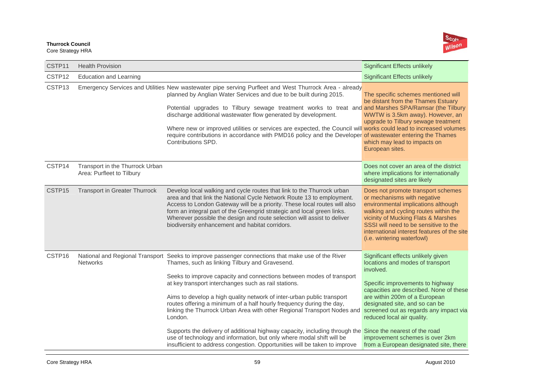

| CSTP11             | <b>Health Provision</b>                                      |                                                                                                                                                                                                                                                                                                                                                                                                                                                                                                                                                                                                                                          | <b>Significant Effects unlikely</b>                                                                                                                                                                                                                                                                            |
|--------------------|--------------------------------------------------------------|------------------------------------------------------------------------------------------------------------------------------------------------------------------------------------------------------------------------------------------------------------------------------------------------------------------------------------------------------------------------------------------------------------------------------------------------------------------------------------------------------------------------------------------------------------------------------------------------------------------------------------------|----------------------------------------------------------------------------------------------------------------------------------------------------------------------------------------------------------------------------------------------------------------------------------------------------------------|
| CSTP12             | <b>Education and Learning</b>                                |                                                                                                                                                                                                                                                                                                                                                                                                                                                                                                                                                                                                                                          | <b>Significant Effects unlikely</b>                                                                                                                                                                                                                                                                            |
| CSTP13             |                                                              | Emergency Services and Utilities New wastewater pipe serving Purfleet and West Thurrock Area - already<br>planned by Anglian Water Services and due to be built during 2015.<br>Potential upgrades to Tilbury sewage treatment works to treat and and Marshes SPA/Ramsar (the Tilbury<br>discharge additional wastewater flow generated by development.<br>Where new or improved utilities or services are expected, the Council will works could lead to increased volumes<br>require contributions in accordance with PMD16 policy and the Developer of wastewater entering the Thames<br>Contributions SPD.                           | The specific schemes mentioned will<br>be distant from the Thames Estuary<br>WWTW is 3.5km away). However, an<br>upgrade to Tilbury sewage treatment<br>which may lead to impacts on<br>European sites.                                                                                                        |
| CSTP <sub>14</sub> | Transport in the Thurrock Urban<br>Area: Purfleet to Tilbury |                                                                                                                                                                                                                                                                                                                                                                                                                                                                                                                                                                                                                                          | Does not cover an area of the district<br>where implications for internationally<br>designated sites are likely                                                                                                                                                                                                |
| CSTP15             | <b>Transport in Greater Thurrock</b>                         | Develop local walking and cycle routes that link to the Thurrock urban<br>area and that link the National Cycle Network Route 13 to employment.<br>Access to London Gateway will be a priority. These local routes will also<br>form an integral part of the Greengrid strategic and local green links.<br>Wherever possible the design and route selection will assist to deliver<br>biodiversity enhancement and habitat corridors.                                                                                                                                                                                                    | Does not promote transport schemes<br>or mechanisms with negative<br>environmental implications although<br>walking and cycling routes within the<br>vicinity of Mucking Flats & Marshes<br>SSSI will need to be sensitive to the<br>international interest features of the site<br>(i.e. wintering waterfowl) |
| CSTP16             | <b>Networks</b>                                              | National and Regional Transport Seeks to improve passenger connections that make use of the River<br>Thames, such as linking Tilbury and Gravesend.<br>Seeks to improve capacity and connections between modes of transport<br>at key transport interchanges such as rail stations.<br>Aims to develop a high quality network of inter-urban public transport<br>routes offering a minimum of a half hourly frequency during the day,<br>linking the Thurrock Urban Area with other Regional Transport Nodes and<br>London.<br>Supports the delivery of additional highway capacity, including through the Since the nearest of the road | Significant effects unlikely given<br>locations and modes of transport<br>involved.<br>Specific improvements to highway<br>capacities are described. None of these<br>are within 200m of a European<br>designated site, and so can be<br>screened out as regards any impact via<br>reduced local air quality.  |
|                    |                                                              | use of technology and information, but only where modal shift will be<br>insufficient to address congestion. Opportunities will be taken to improve                                                                                                                                                                                                                                                                                                                                                                                                                                                                                      | improvement schemes is over 2km<br>from a European designated site, there                                                                                                                                                                                                                                      |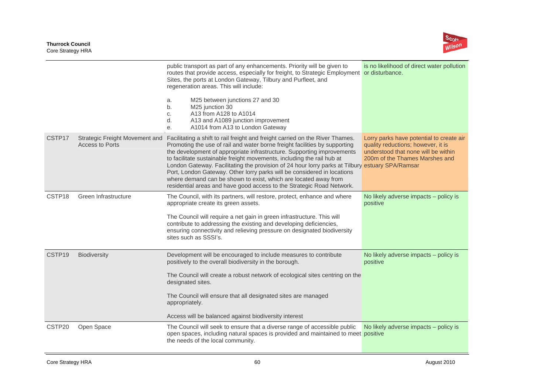

|                    |                                                                 | public transport as part of any enhancements. Priority will be given to<br>routes that provide access, especially for freight, to Strategic Employment or disturbance.<br>Sites, the ports at London Gateway, Tilbury and Purfleet, and<br>regeneration areas. This will include:<br>M25 between junctions 27 and 30<br>a.<br>M25 junction 30<br>b.<br>A13 from A128 to A1014<br>C.<br>A13 and A1089 junction improvement<br>d.<br>A1014 from A13 to London Gateway<br>е.                                                                                                                                                                 | is no likelihood of direct water pollution                                                                                                              |
|--------------------|-----------------------------------------------------------------|-------------------------------------------------------------------------------------------------------------------------------------------------------------------------------------------------------------------------------------------------------------------------------------------------------------------------------------------------------------------------------------------------------------------------------------------------------------------------------------------------------------------------------------------------------------------------------------------------------------------------------------------|---------------------------------------------------------------------------------------------------------------------------------------------------------|
| CSTP17             | <b>Strategic Freight Movement and</b><br><b>Access to Ports</b> | Facilitating a shift to rail freight and freight carried on the River Thames.<br>Promoting the use of rail and water borne freight facilities by supporting<br>the development of appropriate infrastructure. Supporting improvements<br>to facilitate sustainable freight movements, including the rail hub at<br>London Gateway. Facilitating the provision of 24 hour lorry parks at Tilbury estuary SPA/Ramsar<br>Port, London Gateway. Other lorry parks will be considered in locations<br>where demand can be shown to exist, which are located away from<br>residential areas and have good access to the Strategic Road Network. | Lorry parks have potential to create air<br>quality reductions; however, it is<br>understood that none will be within<br>200m of the Thames Marshes and |
| CSTP18             | Green Infrastructure                                            | The Council, with its partners, will restore, protect, enhance and where<br>appropriate create its green assets.<br>The Council will require a net gain in green infrastructure. This will<br>contribute to addressing the existing and developing deficiencies,<br>ensuring connectivity and relieving pressure on designated biodiversity<br>sites such as SSSI's.                                                                                                                                                                                                                                                                      | No likely adverse impacts - policy is<br>positive                                                                                                       |
| CSTP <sub>19</sub> | <b>Biodiversity</b>                                             | Development will be encouraged to include measures to contribute<br>positively to the overall biodiversity in the borough.<br>The Council will create a robust network of ecological sites centring on the<br>designated sites.<br>The Council will ensure that all designated sites are managed<br>appropriately.<br>Access will be balanced against biodiversity interest                                                                                                                                                                                                                                                               | No likely adverse impacts – policy is<br>positive                                                                                                       |
| CSTP20             | Open Space                                                      | The Council will seek to ensure that a diverse range of accessible public<br>open spaces, including natural spaces is provided and maintained to meet positive<br>the needs of the local community.                                                                                                                                                                                                                                                                                                                                                                                                                                       | No likely adverse impacts - policy is                                                                                                                   |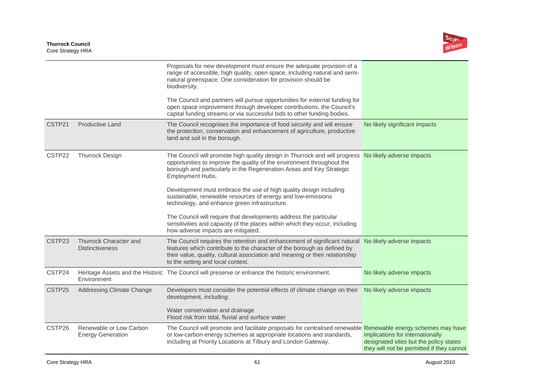

|        |                                                     | Proposals for new development must ensure the adequate provision of a<br>range of accessible, high quality, open space, including natural and semi-<br>natural greenspace. One consideration for provision should be<br>biodiversity.                                                               |                                                                                                                         |
|--------|-----------------------------------------------------|-----------------------------------------------------------------------------------------------------------------------------------------------------------------------------------------------------------------------------------------------------------------------------------------------------|-------------------------------------------------------------------------------------------------------------------------|
|        |                                                     | The Council and partners will pursue opportunities for external funding for<br>open space improvement through developer contributions, the Council's<br>capital funding streams or via successful bids to other funding bodies.                                                                     |                                                                                                                         |
| CSTP21 | <b>Productive Land</b>                              | The Council recognises the importance of food security and will ensure<br>the protection, conservation and enhancement of agriculture, productive<br>land and soil in the borough.                                                                                                                  | No likely significant impacts                                                                                           |
| CSTP22 | <b>Thurrock Design</b>                              | The Council will promote high quality design in Thurrock and will progress<br>opportunities to improve the quality of the environment throughout the<br>borough and particularly in the Regeneration Areas and Key Strategic<br>Employment Hubs.                                                    | No likely adverse impacts                                                                                               |
|        |                                                     | Development must embrace the use of high quality design including<br>sustainable, renewable resources of energy and low-emissions<br>technology, and enhance green infrastructure.                                                                                                                  |                                                                                                                         |
|        |                                                     | The Council will require that developments address the particular<br>sensitivities and capacity of the places within which they occur, including<br>how adverse impacts are mitigated.                                                                                                              |                                                                                                                         |
| CSTP23 | Thurrock Character and<br><b>Distinctiveness</b>    | The Council requires the retention and enhancement of significant natural No likely adverse impacts<br>features which contribute to the character of the borough as defined by<br>their value, quality, cultural association and meaning or their relationship<br>to the setting and local context. |                                                                                                                         |
| CSTP24 | Environment                                         | Heritage Assets and the Historic The Council will preserve or enhance the historic environment.                                                                                                                                                                                                     | No likely adverse impacts                                                                                               |
| CSTP25 | Addressing Climate Change                           | Developers must consider the potential effects of climate change on their No likely adverse impacts<br>development, including:                                                                                                                                                                      |                                                                                                                         |
|        |                                                     | Water conservation and drainage<br>Flood risk from tidal, fluvial and surface water                                                                                                                                                                                                                 |                                                                                                                         |
| CSTP26 | Renewable or Low Carbon<br><b>Energy Generation</b> | The Council will promote and facilitate proposals for centralised renewable Renewable energy schemes may have<br>or low-carbon energy schemes at appropriate locations and standards,<br>including at Priority Locations at Tilbury and London Gateway.                                             | implications for internationally<br>designated sites but the policy states<br>they will not be permitted if they cannot |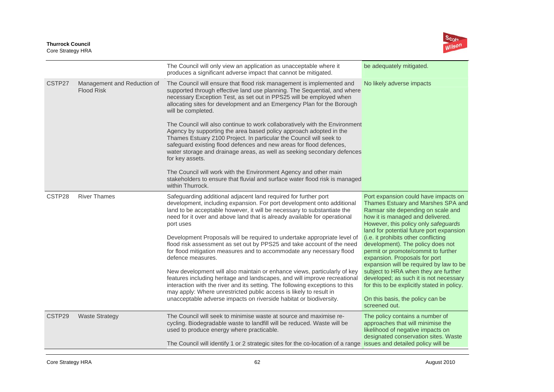

|        |                                                  | The Council will only view an application as unacceptable where it<br>produces a significant adverse impact that cannot be mitigated.                                                                                                                                                                                                                                                                                                                                                                                                                                                                                                                                                                                                                                                                                                                                                                                                                  | be adequately mitigated.                                                                                                                                                                                                                                                                                                                                                                                                                                                                                                                                                                                                       |
|--------|--------------------------------------------------|--------------------------------------------------------------------------------------------------------------------------------------------------------------------------------------------------------------------------------------------------------------------------------------------------------------------------------------------------------------------------------------------------------------------------------------------------------------------------------------------------------------------------------------------------------------------------------------------------------------------------------------------------------------------------------------------------------------------------------------------------------------------------------------------------------------------------------------------------------------------------------------------------------------------------------------------------------|--------------------------------------------------------------------------------------------------------------------------------------------------------------------------------------------------------------------------------------------------------------------------------------------------------------------------------------------------------------------------------------------------------------------------------------------------------------------------------------------------------------------------------------------------------------------------------------------------------------------------------|
| CSTP27 | Management and Reduction of<br><b>Flood Risk</b> | The Council will ensure that flood risk management is implemented and<br>supported through effective land use planning. The Sequential, and where<br>necessary Exception Test, as set out in PPS25 will be employed when<br>allocating sites for development and an Emergency Plan for the Borough<br>will be completed.                                                                                                                                                                                                                                                                                                                                                                                                                                                                                                                                                                                                                               | No likely adverse impacts                                                                                                                                                                                                                                                                                                                                                                                                                                                                                                                                                                                                      |
|        |                                                  | The Council will also continue to work collaboratively with the Environment<br>Agency by supporting the area based policy approach adopted in the<br>Thames Estuary 2100 Project. In particular the Council will seek to<br>safeguard existing flood defences and new areas for flood defences,<br>water storage and drainage areas, as well as seeking secondary defences<br>for key assets.                                                                                                                                                                                                                                                                                                                                                                                                                                                                                                                                                          |                                                                                                                                                                                                                                                                                                                                                                                                                                                                                                                                                                                                                                |
|        |                                                  | The Council will work with the Environment Agency and other main<br>stakeholders to ensure that fluvial and surface water flood risk is managed<br>within Thurrock.                                                                                                                                                                                                                                                                                                                                                                                                                                                                                                                                                                                                                                                                                                                                                                                    |                                                                                                                                                                                                                                                                                                                                                                                                                                                                                                                                                                                                                                |
| CSTP28 | <b>River Thames</b>                              | Safeguarding additional adjacent land required for further port<br>development, including expansion. For port development onto additional<br>land to be acceptable however, it will be necessary to substantiate the<br>need for it over and above land that is already available for operational<br>port uses<br>Development Proposals will be required to undertake appropriate level of<br>flood risk assessment as set out by PPS25 and take account of the need<br>for flood mitigation measures and to accommodate any necessary flood<br>defence measures.<br>New development will also maintain or enhance views, particularly of key<br>features including heritage and landscapes, and will improve recreational<br>interaction with the river and its setting. The following exceptions to this<br>may apply: Where unrestricted public access is likely to result in<br>unacceptable adverse impacts on riverside habitat or biodiversity. | Port expansion could have impacts on<br>Thames Estuary and Marshes SPA and<br>Ramsar site depending on scale and<br>how it is managed and delivered.<br>However, this policy only safeguards<br>land for potential future port expansion<br>(i.e. it prohibits other conflicting<br>development). The policy does not<br>permit or promote/commit to further<br>expansion. Proposals for port<br>expansion will be required by law to be<br>subject to HRA when they are further<br>developed; as such it is not necessary<br>for this to be explicitly stated in policy.<br>On this basis, the policy can be<br>screened out. |
| CSTP29 | <b>Waste Strategy</b>                            | The Council will seek to minimise waste at source and maximise re-<br>cycling. Biodegradable waste to landfill will be reduced. Waste will be<br>used to produce energy where practicable.<br>The Council will identify 1 or 2 strategic sites for the co-location of a range issues and detailed policy will be                                                                                                                                                                                                                                                                                                                                                                                                                                                                                                                                                                                                                                       | The policy contains a number of<br>approaches that will minimise the<br>likelihood of negative impacts on<br>designated conservation sites. Waste                                                                                                                                                                                                                                                                                                                                                                                                                                                                              |
|        |                                                  |                                                                                                                                                                                                                                                                                                                                                                                                                                                                                                                                                                                                                                                                                                                                                                                                                                                                                                                                                        |                                                                                                                                                                                                                                                                                                                                                                                                                                                                                                                                                                                                                                |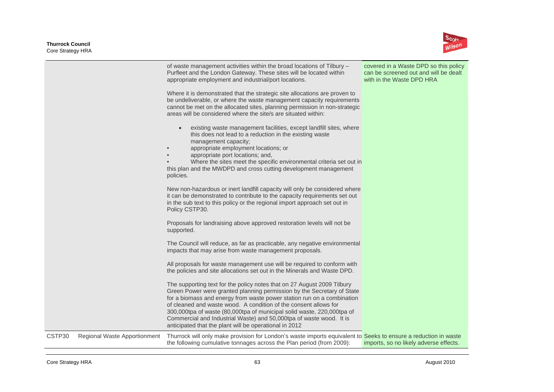

|                    |                              | of waste management activities within the broad locations of Tilbury -<br>Purfleet and the London Gateway. These sites will be located within<br>appropriate employment and industrial/port locations.<br>Where it is demonstrated that the strategic site allocations are proven to<br>be undeliverable, or where the waste management capacity requirements<br>cannot be met on the allocated sites, planning permission in non-strategic<br>areas will be considered where the site/s are situated within: | covered in a Waste DPD so this policy<br>can be screened out and will be dealt<br>with in the Waste DPD HRA |
|--------------------|------------------------------|---------------------------------------------------------------------------------------------------------------------------------------------------------------------------------------------------------------------------------------------------------------------------------------------------------------------------------------------------------------------------------------------------------------------------------------------------------------------------------------------------------------|-------------------------------------------------------------------------------------------------------------|
|                    |                              | existing waste management facilities, except landfill sites, where<br>this does not lead to a reduction in the existing waste<br>management capacity;<br>appropriate employment locations; or<br>$\bullet$<br>appropriate port locations; and,<br>Where the sites meet the specific environmental criteria set out in<br>this plan and the MWDPD and cross cutting development management<br>policies.                                                                                                        |                                                                                                             |
|                    |                              | New non-hazardous or inert landfill capacity will only be considered where<br>it can be demonstrated to contribute to the capacity requirements set out<br>in the sub text to this policy or the regional import approach set out in<br>Policy CSTP30.                                                                                                                                                                                                                                                        |                                                                                                             |
|                    |                              | Proposals for landraising above approved restoration levels will not be<br>supported.                                                                                                                                                                                                                                                                                                                                                                                                                         |                                                                                                             |
|                    |                              | The Council will reduce, as far as practicable, any negative environmental<br>impacts that may arise from waste management proposals.                                                                                                                                                                                                                                                                                                                                                                         |                                                                                                             |
|                    |                              | All proposals for waste management use will be required to conform with<br>the policies and site allocations set out in the Minerals and Waste DPD.                                                                                                                                                                                                                                                                                                                                                           |                                                                                                             |
|                    |                              | The supporting text for the policy notes that on 27 August 2009 Tilbury<br>Green Power were granted planning permission by the Secretary of State<br>for a biomass and energy from waste power station run on a combination<br>of cleaned and waste wood. A condition of the consent allows for<br>300,000tpa of waste (80,000tpa of municipal solid waste, 220,000tpa of<br>Commercial and Industrial Waste) and 50,000tpa of waste wood. It is<br>anticipated that the plant will be operational in 2012    |                                                                                                             |
| CSTP <sub>30</sub> | Regional Waste Apportionment | Thurrock will only make provision for London's waste imports equivalent to Seeks to ensure a reduction in waste<br>the following cumulative tonnages across the Plan period (from 2009):                                                                                                                                                                                                                                                                                                                      | imports, so no likely adverse effects.                                                                      |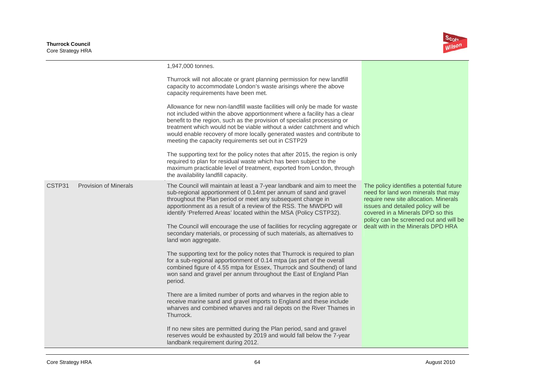

|        |                              | 1,947,000 tonnes.                                                                                                                                                                                                                                                                                                                                                                                                                                 |                                                                                                                                                                                                                                               |
|--------|------------------------------|---------------------------------------------------------------------------------------------------------------------------------------------------------------------------------------------------------------------------------------------------------------------------------------------------------------------------------------------------------------------------------------------------------------------------------------------------|-----------------------------------------------------------------------------------------------------------------------------------------------------------------------------------------------------------------------------------------------|
|        |                              | Thurrock will not allocate or grant planning permission for new landfill<br>capacity to accommodate London's waste arisings where the above<br>capacity requirements have been met.                                                                                                                                                                                                                                                               |                                                                                                                                                                                                                                               |
|        |                              | Allowance for new non-landfill waste facilities will only be made for waste<br>not included within the above apportionment where a facility has a clear<br>benefit to the region, such as the provision of specialist processing or<br>treatment which would not be viable without a wider catchment and which<br>would enable recovery of more locally generated wastes and contribute to<br>meeting the capacity requirements set out in CSTP29 |                                                                                                                                                                                                                                               |
|        |                              | The supporting text for the policy notes that after 2015, the region is only<br>required to plan for residual waste which has been subject to the<br>maximum practicable level of treatment, exported from London, through<br>the availability landfill capacity.                                                                                                                                                                                 |                                                                                                                                                                                                                                               |
| CSTP31 | <b>Provision of Minerals</b> | The Council will maintain at least a 7-year landbank and aim to meet the<br>sub-regional apportionment of 0.14mt per annum of sand and gravel<br>throughout the Plan period or meet any subsequent change in<br>apportionment as a result of a review of the RSS. The MWDPD will<br>identify 'Preferred Areas' located within the MSA (Policy CSTP32).                                                                                            | The policy identifies a potential future<br>need for land won minerals that may<br>require new site allocation. Minerals<br>issues and detailed policy will be<br>covered in a Minerals DPD so this<br>policy can be screened out and will be |
|        |                              | The Council will encourage the use of facilities for recycling aggregate or<br>secondary materials, or processing of such materials, as alternatives to<br>land won aggregate.                                                                                                                                                                                                                                                                    | dealt with in the Minerals DPD HRA                                                                                                                                                                                                            |
|        |                              | The supporting text for the policy notes that Thurrock is required to plan<br>for a sub-regional apportionment of 0.14 mtpa (as part of the overall<br>combined figure of 4.55 mtpa for Essex, Thurrock and Southend) of land<br>won sand and gravel per annum throughout the East of England Plan<br>period.                                                                                                                                     |                                                                                                                                                                                                                                               |
|        |                              | There are a limited number of ports and wharves in the region able to<br>receive marine sand and gravel imports to England and these include<br>wharves and combined wharves and rail depots on the River Thames in<br>Thurrock.                                                                                                                                                                                                                  |                                                                                                                                                                                                                                               |
|        |                              | If no new sites are permitted during the Plan period, sand and gravel<br>reserves would be exhausted by 2019 and would fall below the 7-year<br>landbank requirement during 2012.                                                                                                                                                                                                                                                                 |                                                                                                                                                                                                                                               |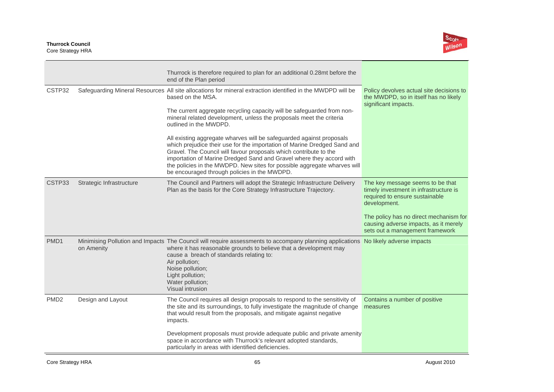

|                  |                          | Thurrock is therefore required to plan for an additional 0.28mt before the<br>end of the Plan period                                                                                                                                                                                                                                                                                                                                                                                                                                                                                                                                                                                                                                    |                                                                                                                                                                                                                                                    |
|------------------|--------------------------|-----------------------------------------------------------------------------------------------------------------------------------------------------------------------------------------------------------------------------------------------------------------------------------------------------------------------------------------------------------------------------------------------------------------------------------------------------------------------------------------------------------------------------------------------------------------------------------------------------------------------------------------------------------------------------------------------------------------------------------------|----------------------------------------------------------------------------------------------------------------------------------------------------------------------------------------------------------------------------------------------------|
| CSTP32           |                          | Safeguarding Mineral Resources All site allocations for mineral extraction identified in the MWDPD will be<br>based on the MSA.<br>The current aggregate recycling capacity will be safeguarded from non-<br>mineral related development, unless the proposals meet the criteria<br>outlined in the MWDPD.<br>All existing aggregate wharves will be safeguarded against proposals<br>which prejudice their use for the importation of Marine Dredged Sand and<br>Gravel. The Council will favour proposals which contribute to the<br>importation of Marine Dredged Sand and Gravel where they accord with<br>the policies in the MWDPD. New sites for possible aggregate wharves will<br>be encouraged through policies in the MWDPD. | Policy devolves actual site decisions to<br>the MWDPD, so in itself has no likely<br>significant impacts.                                                                                                                                          |
| CSTP33           | Strategic Infrastructure | The Council and Partners will adopt the Strategic Infrastructure Delivery<br>Plan as the basis for the Core Strategy Infrastructure Trajectory.                                                                                                                                                                                                                                                                                                                                                                                                                                                                                                                                                                                         | The key message seems to be that<br>timely investment in infrastructure is<br>required to ensure sustainable<br>development.<br>The policy has no direct mechanism for<br>causing adverse impacts, as it merely<br>sets out a management framework |
| PMD <sub>1</sub> | on Amenity               | Minimising Pollution and Impacts The Council will require assessments to accompany planning applications No likely adverse impacts<br>where it has reasonable grounds to believe that a development may<br>cause a breach of standards relating to:<br>Air pollution;<br>Noise pollution;<br>Light pollution;<br>Water pollution;<br>Visual intrusion                                                                                                                                                                                                                                                                                                                                                                                   |                                                                                                                                                                                                                                                    |
| PMD <sub>2</sub> | Design and Layout        | The Council requires all design proposals to respond to the sensitivity of<br>the site and its surroundings, to fully investigate the magnitude of change<br>that would result from the proposals, and mitigate against negative<br>impacts.                                                                                                                                                                                                                                                                                                                                                                                                                                                                                            | Contains a number of positive<br>measures                                                                                                                                                                                                          |
|                  |                          | Development proposals must provide adequate public and private amenity<br>space in accordance with Thurrock's relevant adopted standards,<br>particularly in areas with identified deficiencies.                                                                                                                                                                                                                                                                                                                                                                                                                                                                                                                                        |                                                                                                                                                                                                                                                    |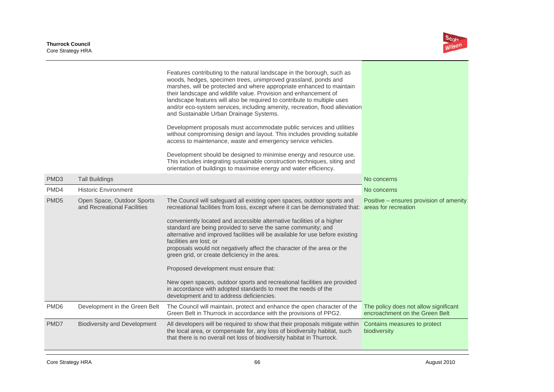

|                  |                                                           | Features contributing to the natural landscape in the borough, such as<br>woods, hedges, specimen trees, unimproved grassland, ponds and<br>marshes, will be protected and where appropriate enhanced to maintain<br>their landscape and wildlife value. Provision and enhancement of<br>landscape features will also be required to contribute to multiple uses<br>and/or eco-system services, including amenity, recreation, flood alleviation<br>and Sustainable Urban Drainage Systems.<br>Development proposals must accommodate public services and utilities<br>without compromising design and layout. This includes providing suitable<br>access to maintenance, waste and emergency service vehicles.<br>Development should be designed to minimise energy and resource use.<br>This includes integrating sustainable construction techniques, siting and<br>orientation of buildings to maximise energy and water efficiency. |                                                                         |
|------------------|-----------------------------------------------------------|------------------------------------------------------------------------------------------------------------------------------------------------------------------------------------------------------------------------------------------------------------------------------------------------------------------------------------------------------------------------------------------------------------------------------------------------------------------------------------------------------------------------------------------------------------------------------------------------------------------------------------------------------------------------------------------------------------------------------------------------------------------------------------------------------------------------------------------------------------------------------------------------------------------------------------------|-------------------------------------------------------------------------|
| PMD <sub>3</sub> | <b>Tall Buildings</b>                                     |                                                                                                                                                                                                                                                                                                                                                                                                                                                                                                                                                                                                                                                                                                                                                                                                                                                                                                                                          | No concerns                                                             |
| PMD4             | <b>Historic Environment</b>                               |                                                                                                                                                                                                                                                                                                                                                                                                                                                                                                                                                                                                                                                                                                                                                                                                                                                                                                                                          | No concerns                                                             |
| PMD <sub>5</sub> | Open Space, Outdoor Sports<br>and Recreational Facilities | The Council will safeguard all existing open spaces, outdoor sports and<br>recreational facilities from loss, except where it can be demonstrated that: areas for recreation<br>conveniently located and accessible alternative facilities of a higher<br>standard are being provided to serve the same community; and<br>alternative and improved facilities will be available for use before existing<br>facilities are lost; or<br>proposals would not negatively affect the character of the area or the<br>green grid, or create deficiency in the area.<br>Proposed development must ensure that:<br>New open spaces, outdoor sports and recreational facilities are provided<br>in accordance with adopted standards to meet the needs of the<br>development and to address deficiencies.                                                                                                                                         | Positive – ensures provision of amenity                                 |
| PMD <sub>6</sub> | Development in the Green Belt                             | The Council will maintain, protect and enhance the open character of the<br>Green Belt in Thurrock in accordance with the provisions of PPG2.                                                                                                                                                                                                                                                                                                                                                                                                                                                                                                                                                                                                                                                                                                                                                                                            | The policy does not allow significant<br>encroachment on the Green Belt |
| PMD7             | <b>Biodiversity and Development</b>                       | All developers will be required to show that their proposals mitigate within<br>the local area, or compensate for, any loss of biodiversity habitat, such<br>that there is no overall net loss of biodiversity habitat in Thurrock.                                                                                                                                                                                                                                                                                                                                                                                                                                                                                                                                                                                                                                                                                                      | Contains measures to protect<br>biodiversity                            |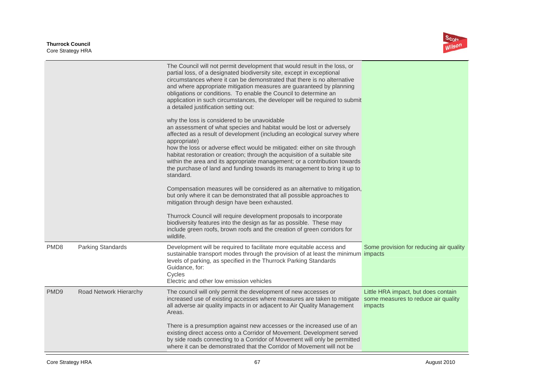

|                  |                          | The Council will not permit development that would result in the loss, or<br>partial loss, of a designated biodiversity site, except in exceptional<br>circumstances where it can be demonstrated that there is no alternative<br>and where appropriate mitigation measures are guaranteed by planning<br>obligations or conditions. To enable the Council to determine an<br>application in such circumstances, the developer will be required to submit<br>a detailed justification setting out:                                                   |                                                                                       |
|------------------|--------------------------|------------------------------------------------------------------------------------------------------------------------------------------------------------------------------------------------------------------------------------------------------------------------------------------------------------------------------------------------------------------------------------------------------------------------------------------------------------------------------------------------------------------------------------------------------|---------------------------------------------------------------------------------------|
|                  |                          | why the loss is considered to be unavoidable<br>an assessment of what species and habitat would be lost or adversely<br>affected as a result of development (including an ecological survey where<br>appropriate)<br>how the loss or adverse effect would be mitigated: either on site through<br>habitat restoration or creation; through the acquisition of a suitable site<br>within the area and its appropriate management; or a contribution towards<br>the purchase of land and funding towards its management to bring it up to<br>standard. |                                                                                       |
|                  |                          | Compensation measures will be considered as an alternative to mitigation,<br>but only where it can be demonstrated that all possible approaches to<br>mitigation through design have been exhausted.                                                                                                                                                                                                                                                                                                                                                 |                                                                                       |
|                  |                          | Thurrock Council will require development proposals to incorporate<br>biodiversity features into the design as far as possible. These may<br>include green roofs, brown roofs and the creation of green corridors for<br>wildlife.                                                                                                                                                                                                                                                                                                                   |                                                                                       |
| PMD <sub>8</sub> | <b>Parking Standards</b> | Development will be required to facilitate more equitable access and<br>sustainable transport modes through the provision of at least the minimum impacts<br>levels of parking, as specified in the Thurrock Parking Standards<br>Guidance, for:<br>Cycles<br>Electric and other low emission vehicles                                                                                                                                                                                                                                               | Some provision for reducing air quality                                               |
| PMD9             | Road Network Hierarchy   | The council will only permit the development of new accesses or<br>increased use of existing accesses where measures are taken to mitigate<br>all adverse air quality impacts in or adjacent to Air Quality Management<br>Areas.                                                                                                                                                                                                                                                                                                                     | Little HRA impact, but does contain<br>some measures to reduce air quality<br>impacts |
|                  |                          | There is a presumption against new accesses or the increased use of an<br>existing direct access onto a Corridor of Movement. Development served<br>by side roads connecting to a Corridor of Movement will only be permitted<br>where it can be demonstrated that the Corridor of Movement will not be                                                                                                                                                                                                                                              |                                                                                       |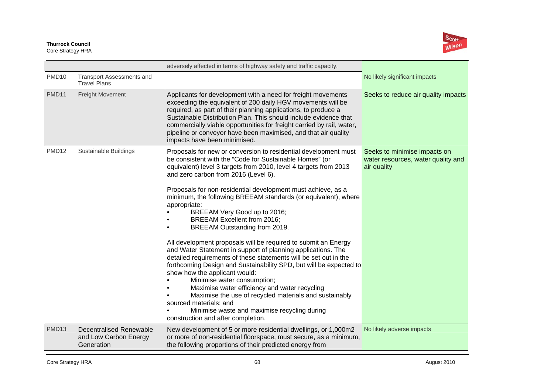

|                   |                                                                       | adversely affected in terms of highway safety and traffic capacity.                                                                                                                                                                                                                                                                                                                                                                                                                                                                                                 |                                                                                   |
|-------------------|-----------------------------------------------------------------------|---------------------------------------------------------------------------------------------------------------------------------------------------------------------------------------------------------------------------------------------------------------------------------------------------------------------------------------------------------------------------------------------------------------------------------------------------------------------------------------------------------------------------------------------------------------------|-----------------------------------------------------------------------------------|
| PMD <sub>10</sub> | <b>Transport Assessments and</b><br><b>Travel Plans</b>               |                                                                                                                                                                                                                                                                                                                                                                                                                                                                                                                                                                     | No likely significant impacts                                                     |
| <b>PMD11</b>      | Freight Movement                                                      | Applicants for development with a need for freight movements<br>exceeding the equivalent of 200 daily HGV movements will be<br>required, as part of their planning applications, to produce a<br>Sustainable Distribution Plan. This should include evidence that<br>commercially viable opportunities for freight carried by rail, water,<br>pipeline or conveyor have been maximised, and that air quality<br>impacts have been minimised.                                                                                                                        | Seeks to reduce air quality impacts                                               |
| PMD <sub>12</sub> | Sustainable Buildings                                                 | Proposals for new or conversion to residential development must<br>be consistent with the "Code for Sustainable Homes" (or<br>equivalent) level 3 targets from 2010, level 4 targets from 2013<br>and zero carbon from 2016 (Level 6).                                                                                                                                                                                                                                                                                                                              | Seeks to minimise impacts on<br>water resources, water quality and<br>air quality |
|                   |                                                                       | Proposals for non-residential development must achieve, as a<br>minimum, the following BREEAM standards (or equivalent), where<br>appropriate:<br>BREEAM Very Good up to 2016;<br><b>BREEAM Excellent from 2016;</b><br>BREEAM Outstanding from 2019.                                                                                                                                                                                                                                                                                                               |                                                                                   |
|                   |                                                                       | All development proposals will be required to submit an Energy<br>and Water Statement in support of planning applications. The<br>detailed requirements of these statements will be set out in the<br>forthcoming Design and Sustainability SPD, but will be expected to<br>show how the applicant would:<br>Minimise water consumption;<br>Maximise water efficiency and water recycling<br>Maximise the use of recycled materials and sustainably<br>sourced materials; and<br>Minimise waste and maximise recycling during<br>construction and after completion. |                                                                                   |
| PMD <sub>13</sub> | <b>Decentralised Renewable</b><br>and Low Carbon Energy<br>Generation | New development of 5 or more residential dwellings, or 1,000m2<br>or more of non-residential floorspace, must secure, as a minimum,<br>the following proportions of their predicted energy from                                                                                                                                                                                                                                                                                                                                                                     | No likely adverse impacts                                                         |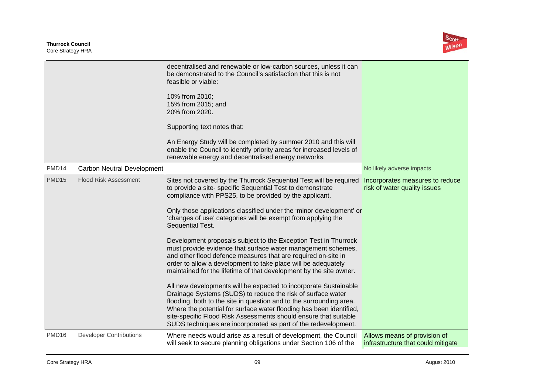**Thurrock Council**  Core Strategy HRA



|                   |                                | decentralised and renewable or low-carbon sources, unless it can<br>be demonstrated to the Council's satisfaction that this is not<br>feasible or viable:<br>10% from 2010;<br>15% from 2015; and<br>20% from 2020.<br>Supporting text notes that:<br>An Energy Study will be completed by summer 2010 and this will<br>enable the Council to identify priority areas for increased levels of<br>renewable energy and decentralised energy networks.                                                                                                                                                                                                                                                                                                                                                                                                                                                                                                                                                                                                                                                                     |                                                                    |
|-------------------|--------------------------------|--------------------------------------------------------------------------------------------------------------------------------------------------------------------------------------------------------------------------------------------------------------------------------------------------------------------------------------------------------------------------------------------------------------------------------------------------------------------------------------------------------------------------------------------------------------------------------------------------------------------------------------------------------------------------------------------------------------------------------------------------------------------------------------------------------------------------------------------------------------------------------------------------------------------------------------------------------------------------------------------------------------------------------------------------------------------------------------------------------------------------|--------------------------------------------------------------------|
| PMD14             | Carbon Neutral Development     |                                                                                                                                                                                                                                                                                                                                                                                                                                                                                                                                                                                                                                                                                                                                                                                                                                                                                                                                                                                                                                                                                                                          | No likely adverse impacts                                          |
| PMD <sub>15</sub> | <b>Flood Risk Assessment</b>   | Sites not covered by the Thurrock Sequential Test will be required<br>to provide a site- specific Sequential Test to demonstrate<br>compliance with PPS25, to be provided by the applicant.<br>Only those applications classified under the 'minor development' or<br>'changes of use' categories will be exempt from applying the<br>Sequential Test.<br>Development proposals subject to the Exception Test in Thurrock<br>must provide evidence that surface water management schemes,<br>and other flood defence measures that are required on-site in<br>order to allow a development to take place will be adequately<br>maintained for the lifetime of that development by the site owner.<br>All new developments will be expected to incorporate Sustainable<br>Drainage Systems (SUDS) to reduce the risk of surface water<br>flooding, both to the site in question and to the surrounding area.<br>Where the potential for surface water flooding has been identified,<br>site-specific Flood Risk Assessments should ensure that suitable<br>SUDS techniques are incorporated as part of the redevelopment. | Incorporates measures to reduce<br>risk of water quality issues    |
| PMD <sub>16</sub> | <b>Developer Contributions</b> | Where needs would arise as a result of development, the Council<br>will seek to secure planning obligations under Section 106 of the                                                                                                                                                                                                                                                                                                                                                                                                                                                                                                                                                                                                                                                                                                                                                                                                                                                                                                                                                                                     | Allows means of provision of<br>infrastructure that could mitigate |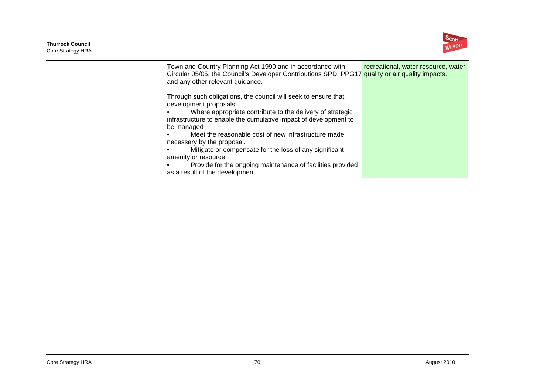**Thurrock Council**  Core Strategy HRA



| Town and Country Planning Act 1990 and in accordance with                                        | recreational, water resource, water |
|--------------------------------------------------------------------------------------------------|-------------------------------------|
| Circular 05/05, the Council's Developer Contributions SPD, PPG17 quality or air quality impacts. |                                     |
| and any other relevant guidance.                                                                 |                                     |
| Through such obligations, the council will seek to ensure that<br>development proposals:         |                                     |
| Where appropriate contribute to the delivery of strategic                                        |                                     |
| infrastructure to enable the cumulative impact of development to                                 |                                     |
| be managed                                                                                       |                                     |
| Meet the reasonable cost of new infrastructure made                                              |                                     |
| necessary by the proposal.                                                                       |                                     |
| Mitigate or compensate for the loss of any significant                                           |                                     |
| amenity or resource.                                                                             |                                     |
| Provide for the ongoing maintenance of facilities provided                                       |                                     |
| as a result of the development.                                                                  |                                     |